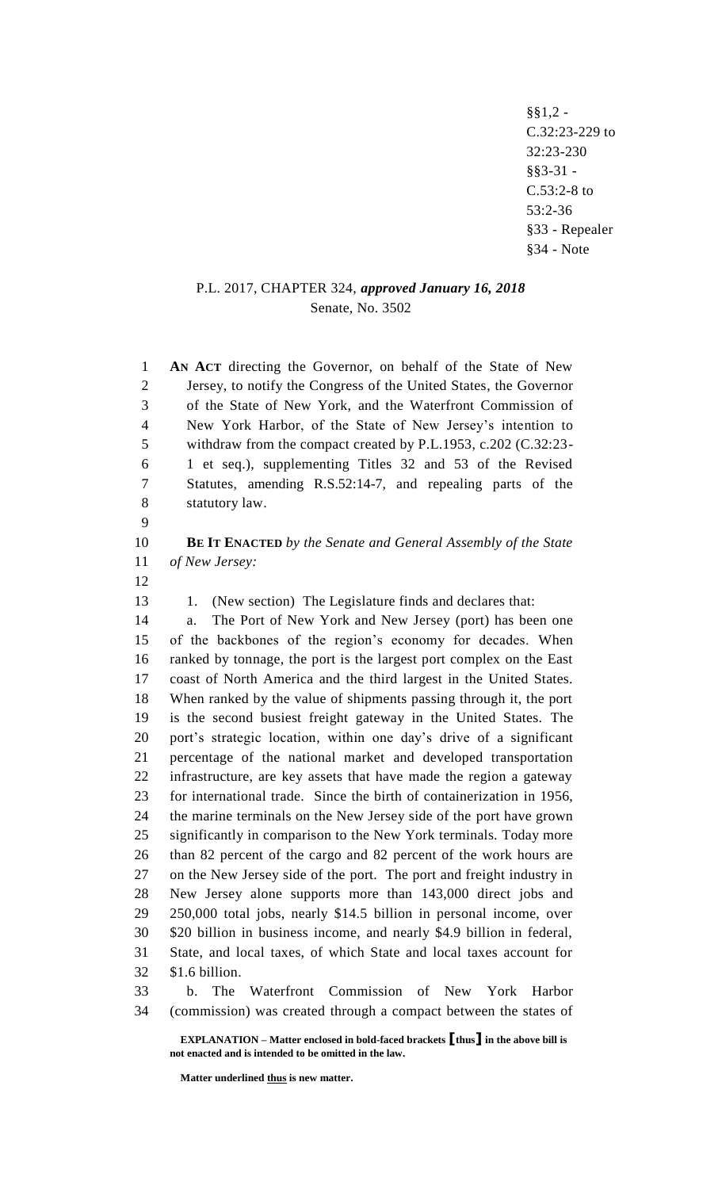§§1,2 - C.32:23-229 to 32:23-230 §§3-31 - C.53:2-8 to 53:2-36 §33 - Repealer §34 - Note

## P.L. 2017, CHAPTER 324, *approved January 16, 2018* Senate, No. 3502

 **AN ACT** directing the Governor, on behalf of the State of New Jersey, to notify the Congress of the United States, the Governor of the State of New York, and the Waterfront Commission of New York Harbor, of the State of New Jersey's intention to withdraw from the compact created by P.L.1953, c.202 (C.32:23- 1 et seq.), supplementing Titles 32 and 53 of the Revised Statutes, amending R.S.52:14-7, and repealing parts of the statutory law.

 **BE IT ENACTED** *by the Senate and General Assembly of the State of New Jersey:*

13 1. (New section) The Legislature finds and declares that:

 a. The Port of New York and New Jersey (port) has been one of the backbones of the region's economy for decades. When ranked by tonnage, the port is the largest port complex on the East coast of North America and the third largest in the United States. When ranked by the value of shipments passing through it, the port is the second busiest freight gateway in the United States. The port's strategic location, within one day's drive of a significant percentage of the national market and developed transportation infrastructure, are key assets that have made the region a gateway for international trade. Since the birth of containerization in 1956, the marine terminals on the New Jersey side of the port have grown significantly in comparison to the New York terminals. Today more than 82 percent of the cargo and 82 percent of the work hours are on the New Jersey side of the port. The port and freight industry in New Jersey alone supports more than 143,000 direct jobs and 250,000 total jobs, nearly \$14.5 billion in personal income, over \$20 billion in business income, and nearly \$4.9 billion in federal, State, and local taxes, of which State and local taxes account for \$1.6 billion.

 b. The Waterfront Commission of New York Harbor (commission) was created through a compact between the states of

**EXPLANATION – Matter enclosed in bold-faced brackets [thus] in the above bill is not enacted and is intended to be omitted in the law.**

**Matter underlined thus is new matter.**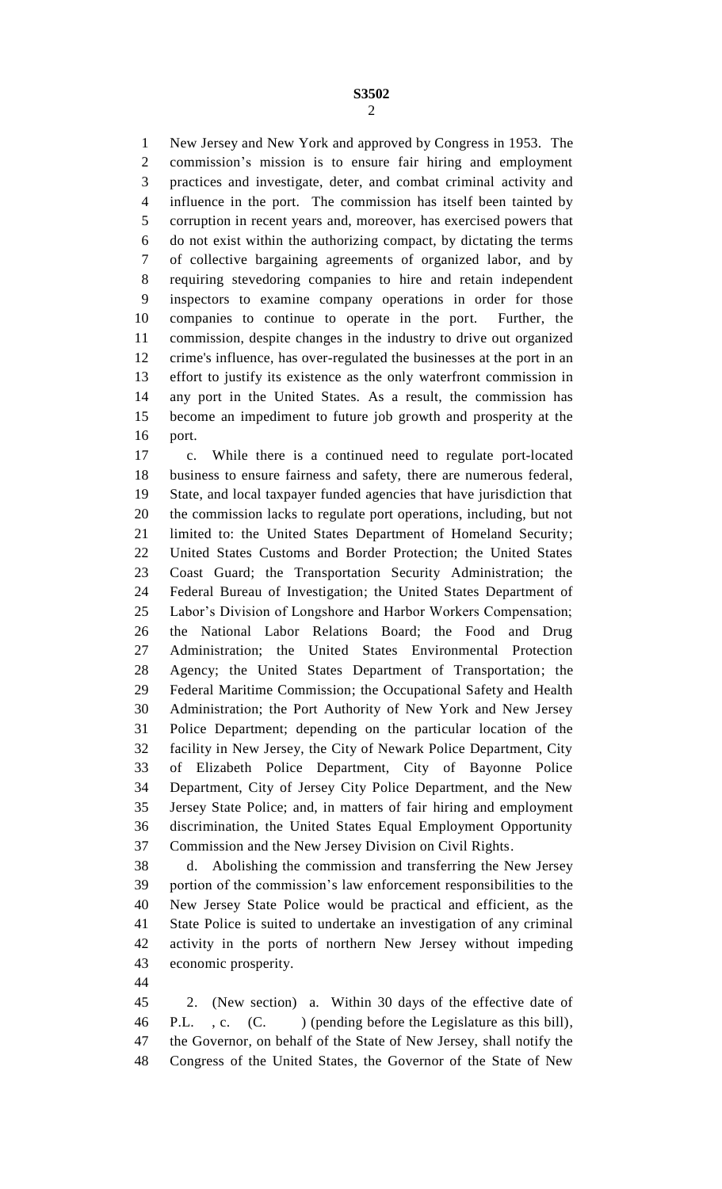New Jersey and New York and approved by Congress in 1953. The commission's mission is to ensure fair hiring and employment practices and investigate, deter, and combat criminal activity and influence in the port. The commission has itself been tainted by corruption in recent years and, moreover, has exercised powers that do not exist within the authorizing compact, by dictating the terms of collective bargaining agreements of organized labor, and by requiring stevedoring companies to hire and retain independent inspectors to examine company operations in order for those companies to continue to operate in the port. Further, the commission, despite changes in the industry to drive out organized crime's influence, has over-regulated the businesses at the port in an effort to justify its existence as the only waterfront commission in any port in the United States. As a result, the commission has become an impediment to future job growth and prosperity at the port.

 c. While there is a continued need to regulate port-located business to ensure fairness and safety, there are numerous federal, State, and local taxpayer funded agencies that have jurisdiction that the commission lacks to regulate port operations, including, but not limited to: the United States Department of Homeland Security; United States Customs and Border Protection; the United States Coast Guard; the Transportation Security Administration; the Federal Bureau of Investigation; the United States Department of Labor's Division of Longshore and Harbor Workers Compensation; the National Labor Relations Board; the Food and Drug Administration; the United States Environmental Protection Agency; the United States Department of Transportation; the Federal Maritime Commission; the Occupational Safety and Health Administration; the Port Authority of New York and New Jersey Police Department; depending on the particular location of the facility in New Jersey, the City of Newark Police Department, City of Elizabeth Police Department, City of Bayonne Police Department, City of Jersey City Police Department, and the New Jersey State Police; and, in matters of fair hiring and employment discrimination, the United States Equal Employment Opportunity Commission and the New Jersey Division on Civil Rights.

 d. Abolishing the commission and transferring the New Jersey portion of the commission's law enforcement responsibilities to the New Jersey State Police would be practical and efficient, as the State Police is suited to undertake an investigation of any criminal activity in the ports of northern New Jersey without impeding economic prosperity.

 2. (New section) a. Within 30 days of the effective date of 46 P.L., c. (C.) (pending before the Legislature as this bill), the Governor, on behalf of the State of New Jersey, shall notify the Congress of the United States, the Governor of the State of New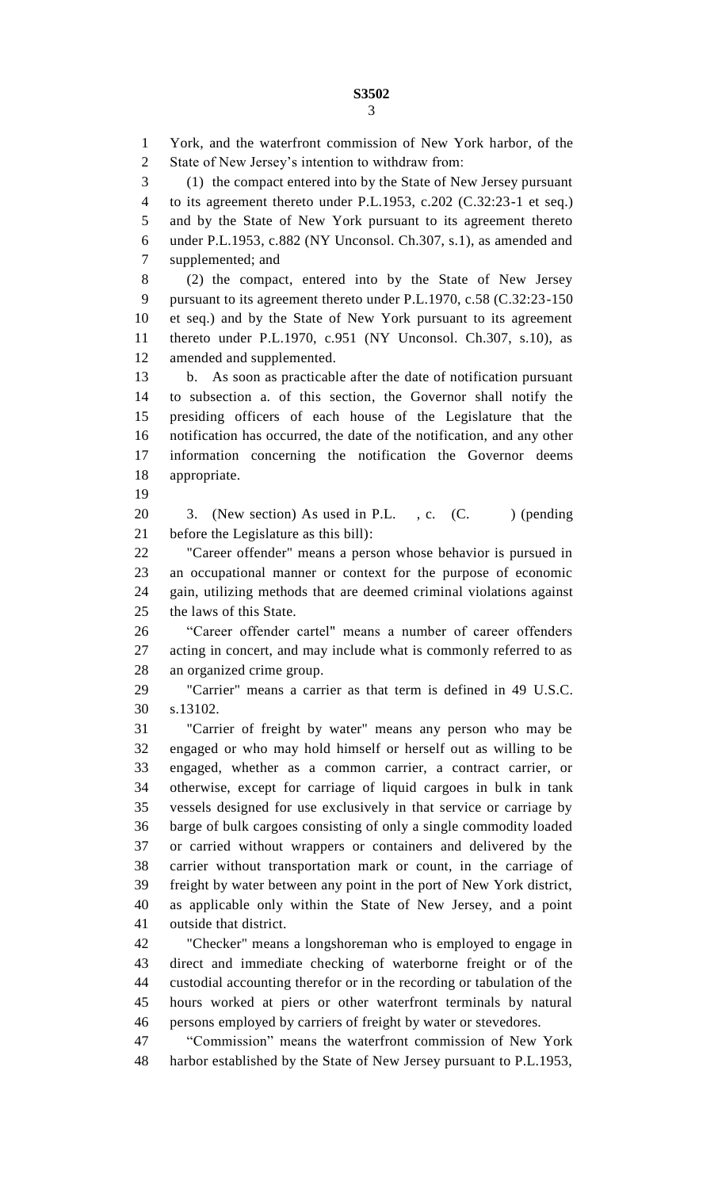**S3502** 

 York, and the waterfront commission of New York harbor, of the State of New Jersey's intention to withdraw from: (1) the compact entered into by the State of New Jersey pursuant to its agreement thereto under P.L.1953, c.202 (C.32:23-1 et seq.) and by the State of New York pursuant to its agreement thereto under P.L.1953, c.882 (NY Unconsol. Ch.307, s.1), as amended and supplemented; and (2) the compact, entered into by the State of New Jersey pursuant to its agreement thereto under P.L.1970, c.58 (C.32:23-150 et seq.) and by the State of New York pursuant to its agreement thereto under P.L.1970, c.951 (NY Unconsol. Ch.307, s.10), as amended and supplemented. b. As soon as practicable after the date of notification pursuant to subsection a. of this section, the Governor shall notify the presiding officers of each house of the Legislature that the notification has occurred, the date of the notification, and any other information concerning the notification the Governor deems appropriate. 20 3. (New section) As used in P.L., c. (C. ) (pending before the Legislature as this bill): "Career offender" means a person whose behavior is pursued in an occupational manner or context for the purpose of economic gain, utilizing methods that are deemed criminal violations against the laws of this State. "Career offender cartel" means a number of career offenders acting in concert, and may include what is commonly referred to as an organized crime group. "Carrier" means a carrier as that term is defined in 49 U.S.C. s.13102. "Carrier of freight by water" means any person who may be engaged or who may hold himself or herself out as willing to be engaged, whether as a common carrier, a contract carrier, or otherwise, except for carriage of liquid cargoes in bulk in tank vessels designed for use exclusively in that service or carriage by barge of bulk cargoes consisting of only a single commodity loaded or carried without wrappers or containers and delivered by the carrier without transportation mark or count, in the carriage of freight by water between any point in the port of New York district, as applicable only within the State of New Jersey, and a point outside that district. "Checker" means a longshoreman who is employed to engage in direct and immediate checking of waterborne freight or of the custodial accounting therefor or in the recording or tabulation of the hours worked at piers or other waterfront terminals by natural persons employed by carriers of freight by water or stevedores.

 "Commission" means the waterfront commission of New York harbor established by the State of New Jersey pursuant to P.L.1953,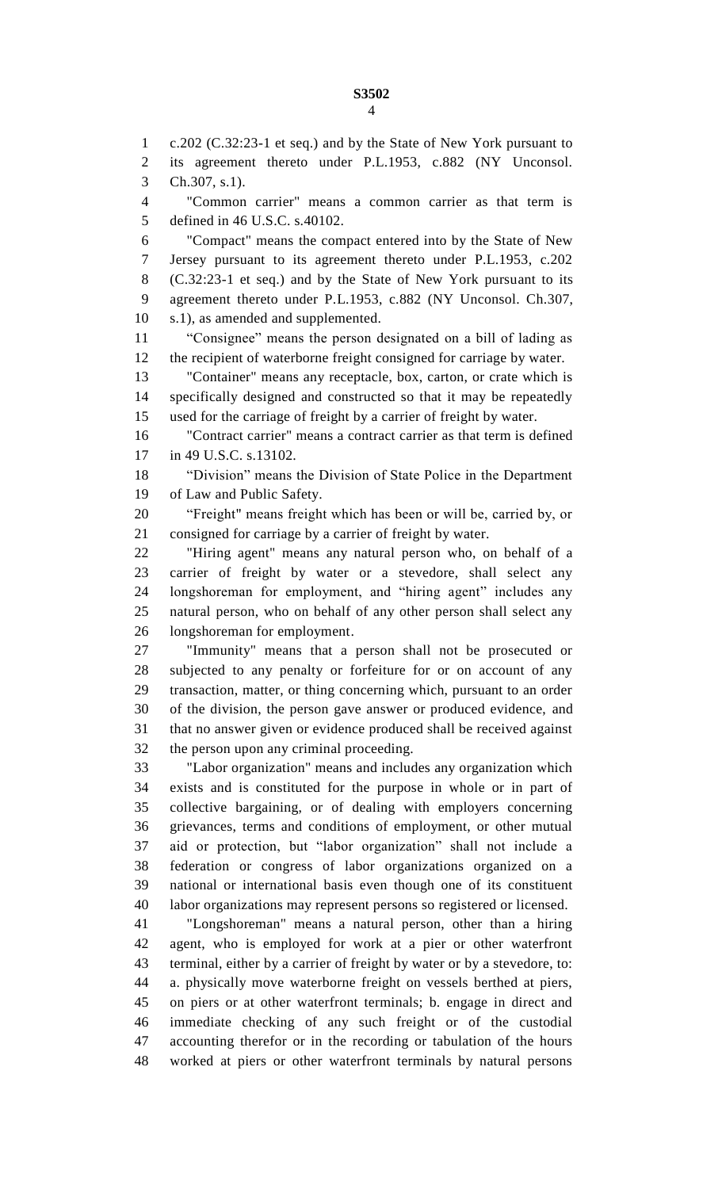c.202 (C.32:23-1 et seq.) and by the State of New York pursuant to its agreement thereto under P.L.1953, c.882 (NY Unconsol. Ch.307, s.1). "Common carrier" means a common carrier as that term is defined in 46 U.S.C. s.40102. "Compact" means the compact entered into by the State of New Jersey pursuant to its agreement thereto under P.L.1953, c.202 (C.32:23-1 et seq.) and by the State of New York pursuant to its agreement thereto under P.L.1953, c.882 (NY Unconsol. Ch.307, s.1), as amended and supplemented. "Consignee" means the person designated on a bill of lading as the recipient of waterborne freight consigned for carriage by water. "Container" means any receptacle, box, carton, or crate which is specifically designed and constructed so that it may be repeatedly used for the carriage of freight by a carrier of freight by water. "Contract carrier" means a contract carrier as that term is defined in 49 U.S.C. s.13102. "Division" means the Division of State Police in the Department of Law and Public Safety. "Freight" means freight which has been or will be, carried by, or consigned for carriage by a carrier of freight by water. "Hiring agent" means any natural person who, on behalf of a carrier of freight by water or a stevedore, shall select any longshoreman for employment, and "hiring agent" includes any natural person, who on behalf of any other person shall select any longshoreman for employment. "Immunity" means that a person shall not be prosecuted or subjected to any penalty or forfeiture for or on account of any transaction, matter, or thing concerning which, pursuant to an order of the division, the person gave answer or produced evidence, and that no answer given or evidence produced shall be received against the person upon any criminal proceeding.

 "Labor organization" means and includes any organization which exists and is constituted for the purpose in whole or in part of collective bargaining, or of dealing with employers concerning grievances, terms and conditions of employment, or other mutual aid or protection, but "labor organization" shall not include a federation or congress of labor organizations organized on a national or international basis even though one of its constituent labor organizations may represent persons so registered or licensed.

 "Longshoreman" means a natural person, other than a hiring agent, who is employed for work at a pier or other waterfront terminal, either by a carrier of freight by water or by a stevedore, to: a. physically move waterborne freight on vessels berthed at piers, on piers or at other waterfront terminals; b. engage in direct and immediate checking of any such freight or of the custodial accounting therefor or in the recording or tabulation of the hours worked at piers or other waterfront terminals by natural persons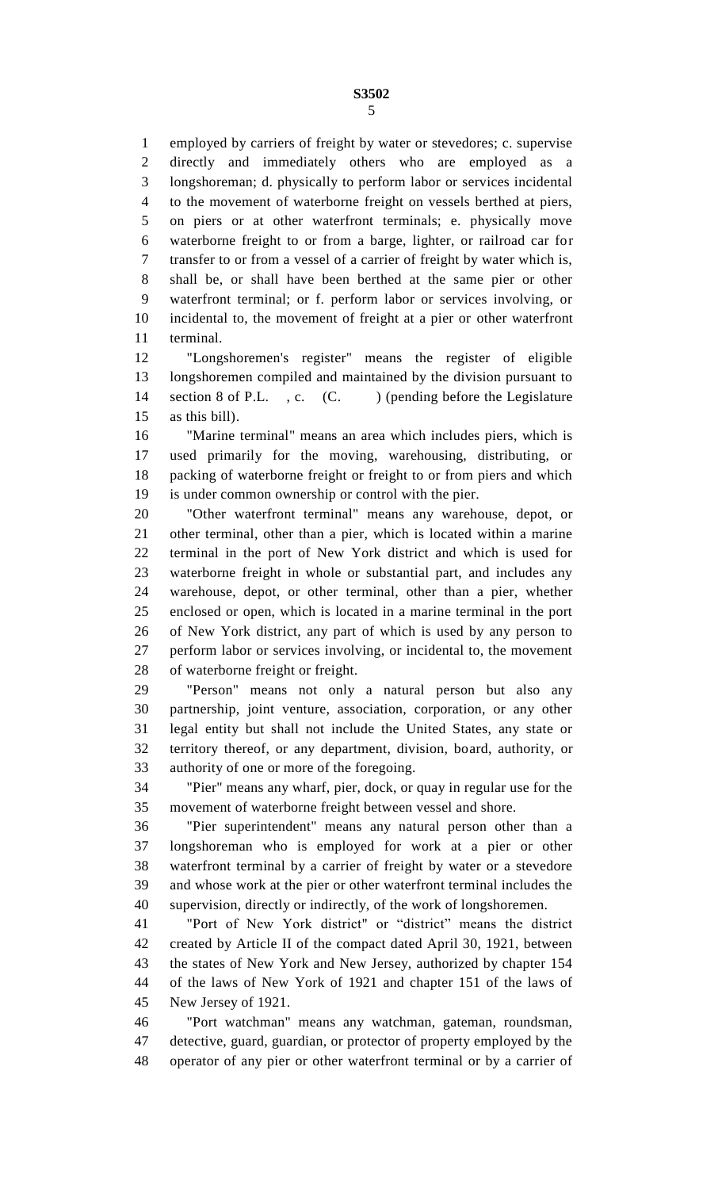employed by carriers of freight by water or stevedores; c. supervise directly and immediately others who are employed as a longshoreman; d. physically to perform labor or services incidental to the movement of waterborne freight on vessels berthed at piers, on piers or at other waterfront terminals; e. physically move waterborne freight to or from a barge, lighter, or railroad car for transfer to or from a vessel of a carrier of freight by water which is, shall be, or shall have been berthed at the same pier or other waterfront terminal; or f. perform labor or services involving, or incidental to, the movement of freight at a pier or other waterfront terminal.

 "Longshoremen's register" means the register of eligible longshoremen compiled and maintained by the division pursuant to 14 section 8 of P.L., c. (C.) (pending before the Legislature as this bill).

 "Marine terminal" means an area which includes piers, which is used primarily for the moving, warehousing, distributing, or packing of waterborne freight or freight to or from piers and which is under common ownership or control with the pier.

 "Other waterfront terminal" means any warehouse, depot, or other terminal, other than a pier, which is located within a marine terminal in the port of New York district and which is used for waterborne freight in whole or substantial part, and includes any warehouse, depot, or other terminal, other than a pier, whether enclosed or open, which is located in a marine terminal in the port of New York district, any part of which is used by any person to perform labor or services involving, or incidental to, the movement of waterborne freight or freight.

 "Person" means not only a natural person but also any partnership, joint venture, association, corporation, or any other legal entity but shall not include the United States, any state or territory thereof, or any department, division, board, authority, or authority of one or more of the foregoing.

 "Pier" means any wharf, pier, dock, or quay in regular use for the movement of waterborne freight between vessel and shore.

 "Pier superintendent" means any natural person other than a longshoreman who is employed for work at a pier or other waterfront terminal by a carrier of freight by water or a stevedore and whose work at the pier or other waterfront terminal includes the supervision, directly or indirectly, of the work of longshoremen.

 "Port of New York district" or "district" means the district created by Article II of the compact dated April 30, 1921, between the states of New York and New Jersey, authorized by chapter 154 of the laws of New York of 1921 and chapter 151 of the laws of New Jersey of 1921.

 "Port watchman" means any watchman, gateman, roundsman, detective, guard, guardian, or protector of property employed by the operator of any pier or other waterfront terminal or by a carrier of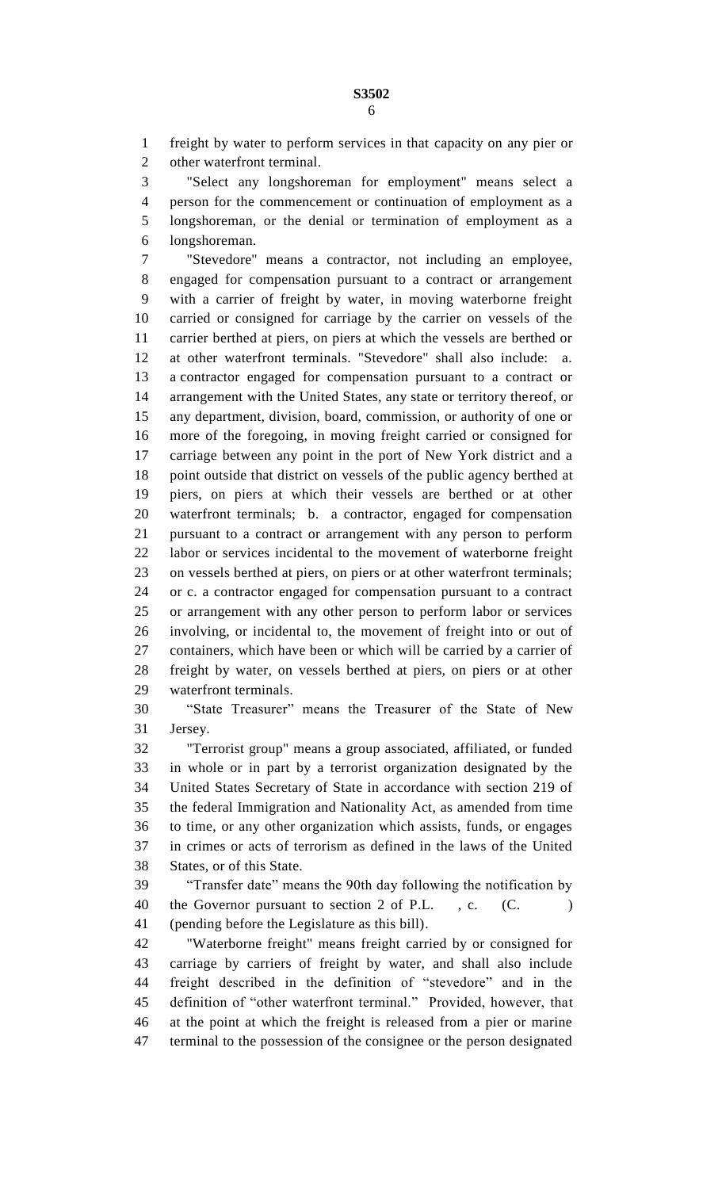freight by water to perform services in that capacity on any pier or other waterfront terminal.

 "Select any longshoreman for employment" means select a person for the commencement or continuation of employment as a longshoreman, or the denial or termination of employment as a longshoreman.

 "Stevedore" means a contractor, not including an employee, engaged for compensation pursuant to a contract or arrangement with a carrier of freight by water, in moving waterborne freight carried or consigned for carriage by the carrier on vessels of the carrier berthed at piers, on piers at which the vessels are berthed or at other waterfront terminals. "Stevedore" shall also include: a. a contractor engaged for compensation pursuant to a contract or arrangement with the United States, any state or territory thereof, or any department, division, board, commission, or authority of one or more of the foregoing, in moving freight carried or consigned for carriage between any point in the port of New York district and a point outside that district on vessels of the public agency berthed at piers, on piers at which their vessels are berthed or at other waterfront terminals; b. a contractor, engaged for compensation pursuant to a contract or arrangement with any person to perform labor or services incidental to the movement of waterborne freight on vessels berthed at piers, on piers or at other waterfront terminals; or c. a contractor engaged for compensation pursuant to a contract or arrangement with any other person to perform labor or services involving, or incidental to, the movement of freight into or out of containers, which have been or which will be carried by a carrier of freight by water, on vessels berthed at piers, on piers or at other waterfront terminals.

 "State Treasurer" means the Treasurer of the State of New Jersey.

 "Terrorist group" means a group associated, affiliated, or funded in whole or in part by a terrorist organization designated by the United States Secretary of State in accordance with section 219 of the federal Immigration and Nationality Act, as amended from time to time, or any other organization which assists, funds, or engages in crimes or acts of terrorism as defined in the laws of the United States, or of this State.

 "Transfer date" means the 90th day following the notification by 40 the Governor pursuant to section 2 of P.L., c. (C. (pending before the Legislature as this bill).

 "Waterborne freight" means freight carried by or consigned for carriage by carriers of freight by water, and shall also include freight described in the definition of "stevedore" and in the definition of "other waterfront terminal." Provided, however, that at the point at which the freight is released from a pier or marine terminal to the possession of the consignee or the person designated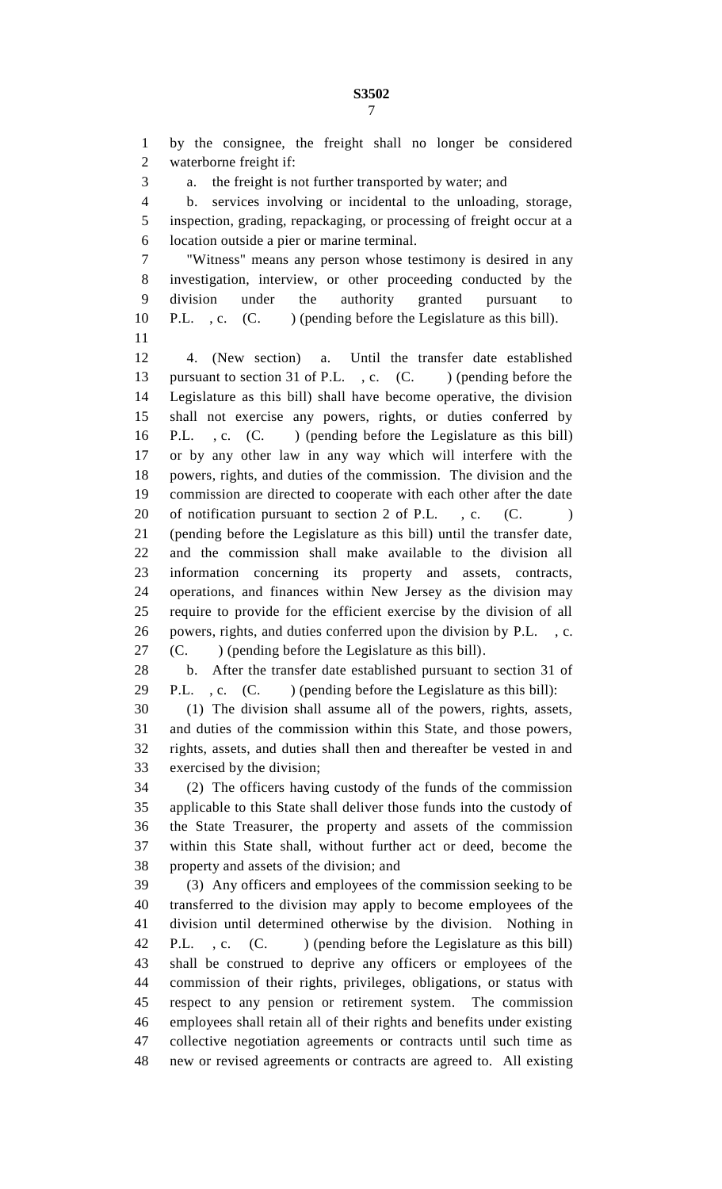by the consignee, the freight shall no longer be considered waterborne freight if: a. the freight is not further transported by water; and b. services involving or incidental to the unloading, storage, inspection, grading, repackaging, or processing of freight occur at a location outside a pier or marine terminal. "Witness" means any person whose testimony is desired in any investigation, interview, or other proceeding conducted by the division under the authority granted pursuant to 10 P.L. , c. (C. ) (pending before the Legislature as this bill). 4. (New section) a. Until the transfer date established 13 pursuant to section 31 of P.L., c. (C. ) (pending before the Legislature as this bill) shall have become operative, the division shall not exercise any powers, rights, or duties conferred by P.L. , c. (C. ) (pending before the Legislature as this bill) or by any other law in any way which will interfere with the powers, rights, and duties of the commission. The division and the commission are directed to cooperate with each other after the date 20 of notification pursuant to section 2 of P.L., c. (C. (pending before the Legislature as this bill) until the transfer date, and the commission shall make available to the division all information concerning its property and assets, contracts, operations, and finances within New Jersey as the division may require to provide for the efficient exercise by the division of all powers, rights, and duties conferred upon the division by P.L. , c. (C. ) (pending before the Legislature as this bill). b. After the transfer date established pursuant to section 31 of 29 P.L., c. (C. ) (pending before the Legislature as this bill): (1) The division shall assume all of the powers, rights, assets, and duties of the commission within this State, and those powers, rights, assets, and duties shall then and thereafter be vested in and exercised by the division; (2) The officers having custody of the funds of the commission applicable to this State shall deliver those funds into the custody of the State Treasurer, the property and assets of the commission within this State shall, without further act or deed, become the property and assets of the division; and (3) Any officers and employees of the commission seeking to be transferred to the division may apply to become employees of the division until determined otherwise by the division. Nothing in 42 P.L., c. (C.) (pending before the Legislature as this bill) shall be construed to deprive any officers or employees of the commission of their rights, privileges, obligations, or status with respect to any pension or retirement system. The commission employees shall retain all of their rights and benefits under existing collective negotiation agreements or contracts until such time as new or revised agreements or contracts are agreed to. All existing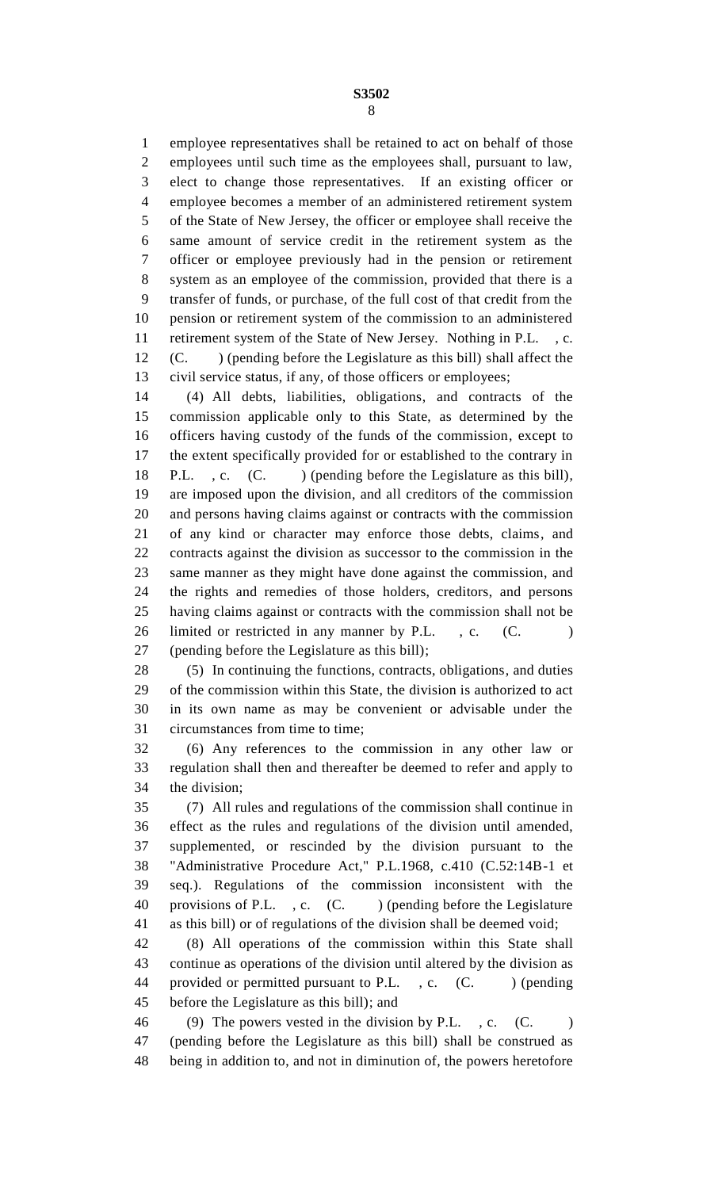employee representatives shall be retained to act on behalf of those employees until such time as the employees shall, pursuant to law, elect to change those representatives. If an existing officer or employee becomes a member of an administered retirement system of the State of New Jersey, the officer or employee shall receive the same amount of service credit in the retirement system as the officer or employee previously had in the pension or retirement system as an employee of the commission, provided that there is a transfer of funds, or purchase, of the full cost of that credit from the pension or retirement system of the commission to an administered retirement system of the State of New Jersey. Nothing in P.L. , c. (C. ) (pending before the Legislature as this bill) shall affect the civil service status, if any, of those officers or employees;

 (4) All debts, liabilities, obligations, and contracts of the commission applicable only to this State, as determined by the officers having custody of the funds of the commission, except to the extent specifically provided for or established to the contrary in 18 P.L., c. (C. ) (pending before the Legislature as this bill), are imposed upon the division, and all creditors of the commission and persons having claims against or contracts with the commission of any kind or character may enforce those debts, claims, and contracts against the division as successor to the commission in the same manner as they might have done against the commission, and the rights and remedies of those holders, creditors, and persons having claims against or contracts with the commission shall not be 26 limited or restricted in any manner by P.L., c. (C.) (pending before the Legislature as this bill);

 (5) In continuing the functions, contracts, obligations, and duties of the commission within this State, the division is authorized to act in its own name as may be convenient or advisable under the circumstances from time to time;

 (6) Any references to the commission in any other law or regulation shall then and thereafter be deemed to refer and apply to the division;

 (7) All rules and regulations of the commission shall continue in effect as the rules and regulations of the division until amended, supplemented, or rescinded by the division pursuant to the "Administrative Procedure Act," P.L.1968, c.410 (C.52:14B-1 et seq.). Regulations of the commission inconsistent with the 40 provisions of P.L., c. (C.) (pending before the Legislature as this bill) or of regulations of the division shall be deemed void;

 (8) All operations of the commission within this State shall continue as operations of the division until altered by the division as 44 provided or permitted pursuant to P.L., c. (C.) (pending before the Legislature as this bill); and

46 (9) The powers vested in the division by P.L., c. (C. ) (pending before the Legislature as this bill) shall be construed as being in addition to, and not in diminution of, the powers heretofore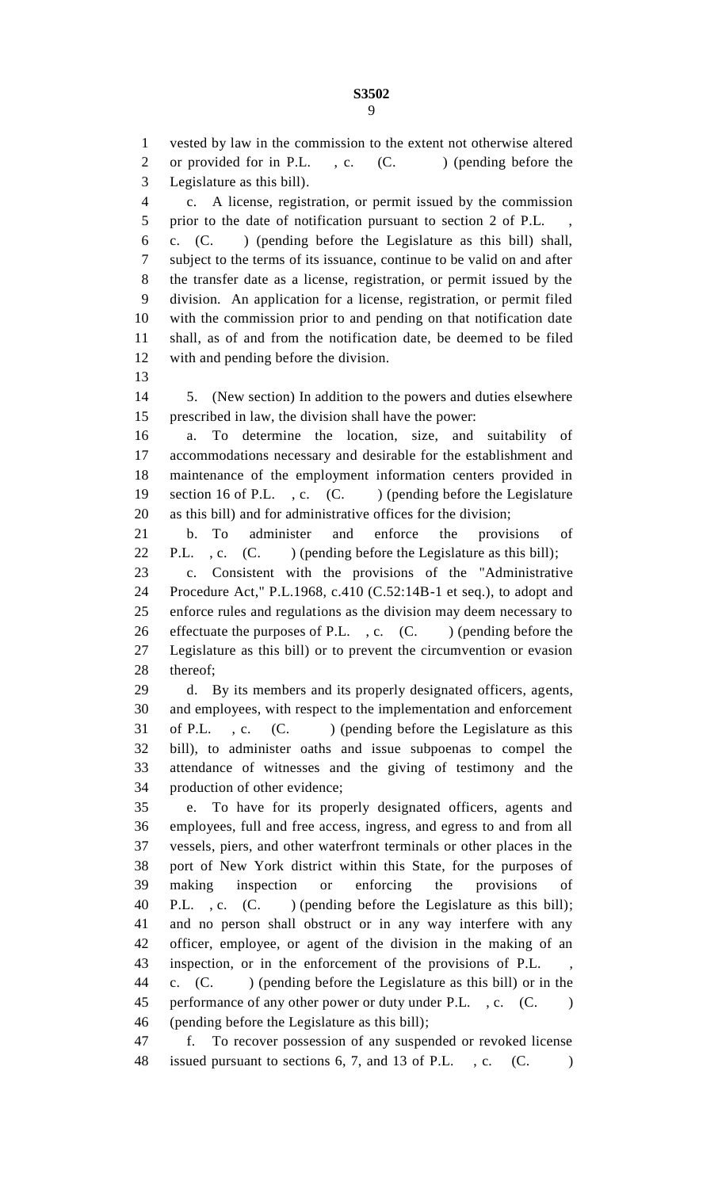vested by law in the commission to the extent not otherwise altered 2 or provided for in P.L., c. (C. ) (pending before the Legislature as this bill). c. A license, registration, or permit issued by the commission 5 prior to the date of notification pursuant to section 2 of P.L. c. (C. ) (pending before the Legislature as this bill) shall, subject to the terms of its issuance, continue to be valid on and after the transfer date as a license, registration, or permit issued by the division. An application for a license, registration, or permit filed with the commission prior to and pending on that notification date shall, as of and from the notification date, be deemed to be filed with and pending before the division. 5. (New section) In addition to the powers and duties elsewhere prescribed in law, the division shall have the power: a. To determine the location, size, and suitability of accommodations necessary and desirable for the establishment and maintenance of the employment information centers provided in 19 section 16 of P.L., c. (C.) (pending before the Legislature as this bill) and for administrative offices for the division; b. To administer and enforce the provisions of 22 P.L., c. (C. ) (pending before the Legislature as this bill); c. Consistent with the provisions of the "Administrative Procedure Act," P.L.1968, c.410 (C.52:14B-1 et seq.), to adopt and enforce rules and regulations as the division may deem necessary to 26 effectuate the purposes of P.L., c. (C.) (pending before the Legislature as this bill) or to prevent the circumvention or evasion thereof; d. By its members and its properly designated officers, agents, and employees, with respect to the implementation and enforcement 31 of P.L., c. (C.) (pending before the Legislature as this bill), to administer oaths and issue subpoenas to compel the attendance of witnesses and the giving of testimony and the production of other evidence; e. To have for its properly designated officers, agents and employees, full and free access, ingress, and egress to and from all vessels, piers, and other waterfront terminals or other places in the port of New York district within this State, for the purposes of making inspection or enforcing the provisions of 40 P.L., c. (C. ) (pending before the Legislature as this bill); and no person shall obstruct or in any way interfere with any officer, employee, or agent of the division in the making of an inspection, or in the enforcement of the provisions of P.L. , c. (C. ) (pending before the Legislature as this bill) or in the 45 performance of any other power or duty under P.L., c. (C.) (pending before the Legislature as this bill); f. To recover possession of any suspended or revoked license 48 issued pursuant to sections 6, 7, and 13 of P.L., c. (C.)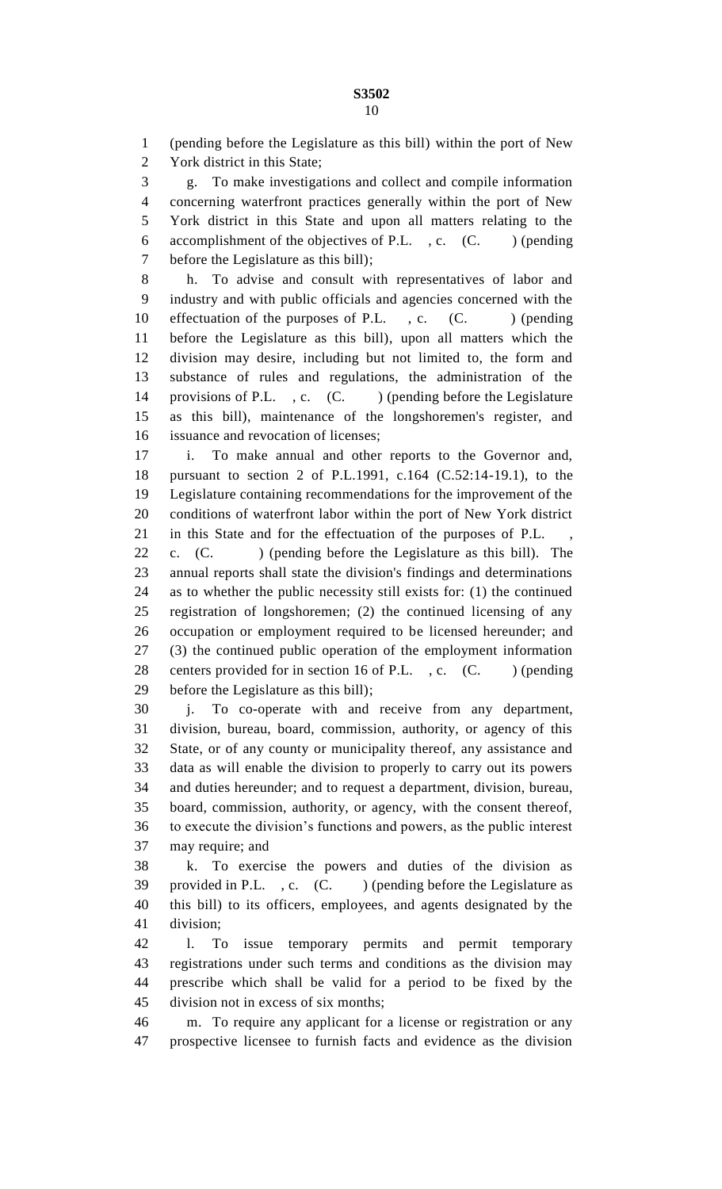(pending before the Legislature as this bill) within the port of New York district in this State;

 g. To make investigations and collect and compile information concerning waterfront practices generally within the port of New York district in this State and upon all matters relating to the 6 accomplishment of the objectives of P.L.  $, c. (C. ) (pending)$ before the Legislature as this bill);

 h. To advise and consult with representatives of labor and industry and with public officials and agencies concerned with the 10 effectuation of the purposes of P.L., c. (C.) (pending before the Legislature as this bill), upon all matters which the division may desire, including but not limited to, the form and substance of rules and regulations, the administration of the 14 provisions of P.L., c. (C.) (pending before the Legislature as this bill), maintenance of the longshoremen's register, and issuance and revocation of licenses;

 i. To make annual and other reports to the Governor and, pursuant to section 2 of P.L.1991, c.164 (C.52:14-19.1), to the Legislature containing recommendations for the improvement of the conditions of waterfront labor within the port of New York district 21 in this State and for the effectuation of the purposes of P.L. 22 c. (C. ) (pending before the Legislature as this bill). The annual reports shall state the division's findings and determinations as to whether the public necessity still exists for: (1) the continued registration of longshoremen; (2) the continued licensing of any

 occupation or employment required to be licensed hereunder; and (3) the continued public operation of the employment information 28 centers provided for in section 16 of P.L., c. (C. ) (pending before the Legislature as this bill);

 j. To co-operate with and receive from any department, division, bureau, board, commission, authority, or agency of this State, or of any county or municipality thereof, any assistance and data as will enable the division to properly to carry out its powers and duties hereunder; and to request a department, division, bureau, board, commission, authority, or agency, with the consent thereof, to execute the division's functions and powers, as the public interest may require; and

 k. To exercise the powers and duties of the division as 39 provided in P.L. , c. (C. ) (pending before the Legislature as this bill) to its officers, employees, and agents designated by the division;

 l. To issue temporary permits and permit temporary registrations under such terms and conditions as the division may prescribe which shall be valid for a period to be fixed by the division not in excess of six months;

 m. To require any applicant for a license or registration or any prospective licensee to furnish facts and evidence as the division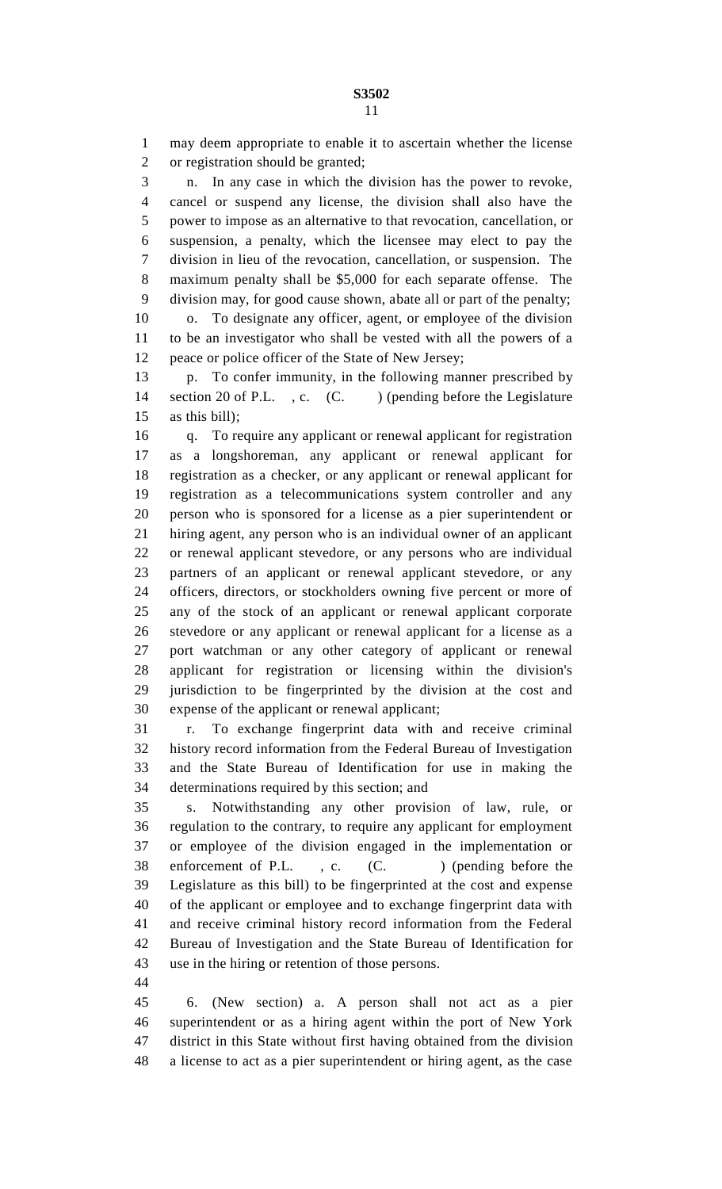may deem appropriate to enable it to ascertain whether the license or registration should be granted;

 n. In any case in which the division has the power to revoke, cancel or suspend any license, the division shall also have the power to impose as an alternative to that revocation, cancellation, or suspension, a penalty, which the licensee may elect to pay the division in lieu of the revocation, cancellation, or suspension. The maximum penalty shall be \$5,000 for each separate offense. The division may, for good cause shown, abate all or part of the penalty; o. To designate any officer, agent, or employee of the division to be an investigator who shall be vested with all the powers of a peace or police officer of the State of New Jersey;

 p. To confer immunity, in the following manner prescribed by 14 section 20 of P.L., c. (C.) (pending before the Legislature as this bill);

 q. To require any applicant or renewal applicant for registration as a longshoreman, any applicant or renewal applicant for registration as a checker, or any applicant or renewal applicant for registration as a telecommunications system controller and any person who is sponsored for a license as a pier superintendent or hiring agent, any person who is an individual owner of an applicant or renewal applicant stevedore, or any persons who are individual partners of an applicant or renewal applicant stevedore, or any officers, directors, or stockholders owning five percent or more of any of the stock of an applicant or renewal applicant corporate stevedore or any applicant or renewal applicant for a license as a port watchman or any other category of applicant or renewal applicant for registration or licensing within the division's jurisdiction to be fingerprinted by the division at the cost and expense of the applicant or renewal applicant;

 r. To exchange fingerprint data with and receive criminal history record information from the Federal Bureau of Investigation and the State Bureau of Identification for use in making the determinations required by this section; and

 s. Notwithstanding any other provision of law, rule, or regulation to the contrary, to require any applicant for employment or employee of the division engaged in the implementation or 38 enforcement of P.L., c. (C.) (pending before the Legislature as this bill) to be fingerprinted at the cost and expense of the applicant or employee and to exchange fingerprint data with and receive criminal history record information from the Federal Bureau of Investigation and the State Bureau of Identification for use in the hiring or retention of those persons.

 6. (New section) a. A person shall not act as a pier superintendent or as a hiring agent within the port of New York district in this State without first having obtained from the division a license to act as a pier superintendent or hiring agent, as the case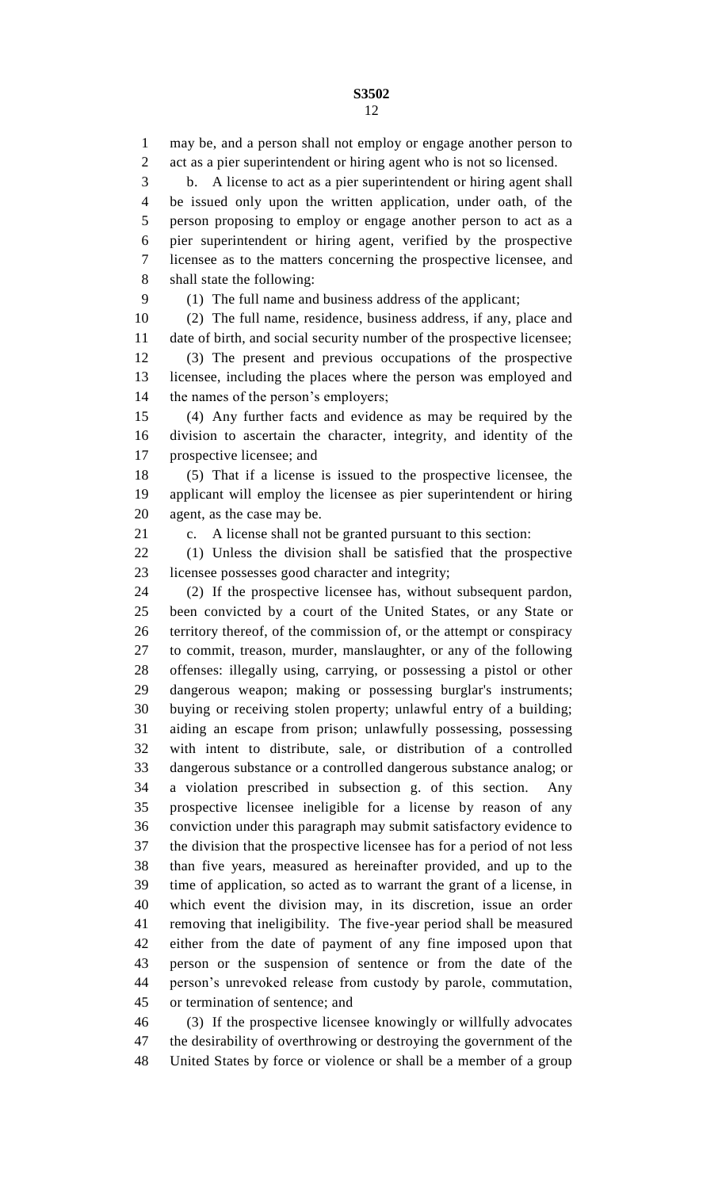may be, and a person shall not employ or engage another person to act as a pier superintendent or hiring agent who is not so licensed. b. A license to act as a pier superintendent or hiring agent shall be issued only upon the written application, under oath, of the person proposing to employ or engage another person to act as a pier superintendent or hiring agent, verified by the prospective licensee as to the matters concerning the prospective licensee, and shall state the following:

(1) The full name and business address of the applicant;

 (2) The full name, residence, business address, if any, place and date of birth, and social security number of the prospective licensee;

 (3) The present and previous occupations of the prospective licensee, including the places where the person was employed and the names of the person's employers;

 (4) Any further facts and evidence as may be required by the division to ascertain the character, integrity, and identity of the prospective licensee; and

 (5) That if a license is issued to the prospective licensee, the applicant will employ the licensee as pier superintendent or hiring agent, as the case may be.

c. A license shall not be granted pursuant to this section:

 (1) Unless the division shall be satisfied that the prospective licensee possesses good character and integrity;

 (2) If the prospective licensee has, without subsequent pardon, been convicted by a court of the United States, or any State or territory thereof, of the commission of, or the attempt or conspiracy to commit, treason, murder, manslaughter, or any of the following offenses: illegally using, carrying, or possessing a pistol or other dangerous weapon; making or possessing burglar's instruments; buying or receiving stolen property; unlawful entry of a building; aiding an escape from prison; unlawfully possessing, possessing with intent to distribute, sale, or distribution of a controlled dangerous substance or a controlled dangerous substance analog; or a violation prescribed in subsection g. of this section. Any prospective licensee ineligible for a license by reason of any conviction under this paragraph may submit satisfactory evidence to the division that the prospective licensee has for a period of not less than five years, measured as hereinafter provided, and up to the time of application, so acted as to warrant the grant of a license, in which event the division may, in its discretion, issue an order removing that ineligibility. The five-year period shall be measured either from the date of payment of any fine imposed upon that person or the suspension of sentence or from the date of the person's unrevoked release from custody by parole, commutation, or termination of sentence; and

 (3) If the prospective licensee knowingly or willfully advocates the desirability of overthrowing or destroying the government of the United States by force or violence or shall be a member of a group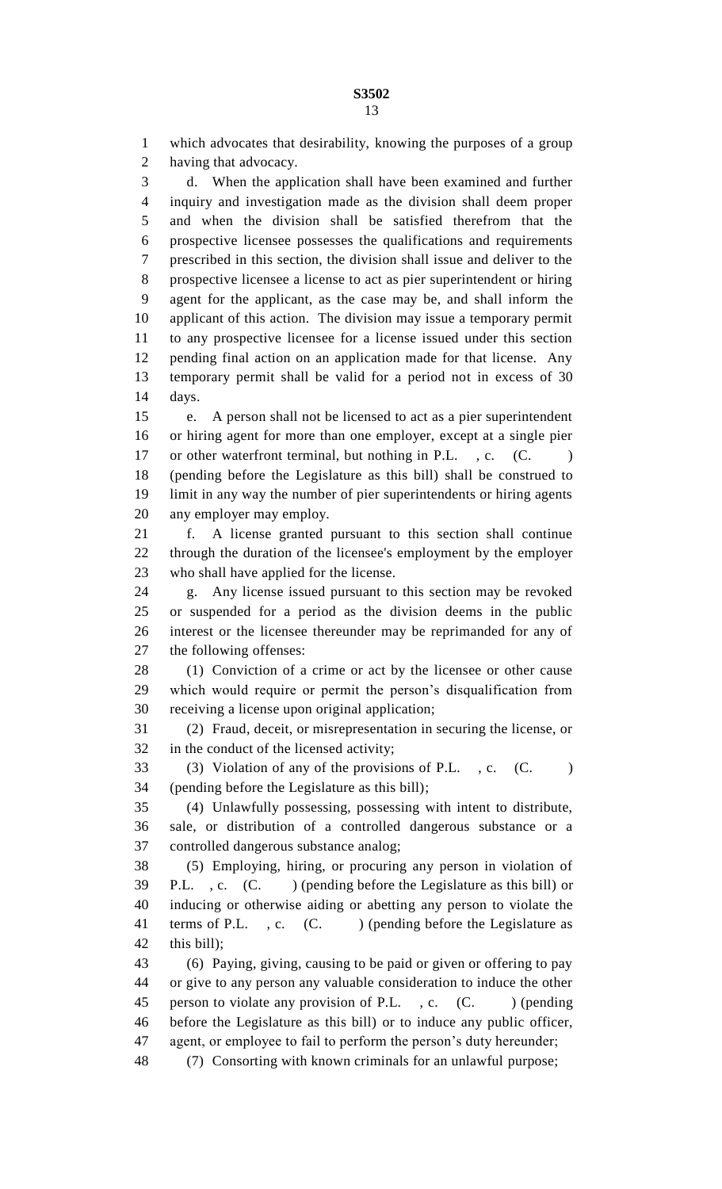which advocates that desirability, knowing the purposes of a group having that advocacy. d. When the application shall have been examined and further inquiry and investigation made as the division shall deem proper and when the division shall be satisfied therefrom that the prospective licensee possesses the qualifications and requirements prescribed in this section, the division shall issue and deliver to the prospective licensee a license to act as pier superintendent or hiring agent for the applicant, as the case may be, and shall inform the applicant of this action. The division may issue a temporary permit to any prospective licensee for a license issued under this section pending final action on an application made for that license. Any temporary permit shall be valid for a period not in excess of 30 days. e. A person shall not be licensed to act as a pier superintendent or hiring agent for more than one employer, except at a single pier 17 or other waterfront terminal, but nothing in P.L., c. (C.) (pending before the Legislature as this bill) shall be construed to limit in any way the number of pier superintendents or hiring agents any employer may employ. f. A license granted pursuant to this section shall continue through the duration of the licensee's employment by the employer who shall have applied for the license. g. Any license issued pursuant to this section may be revoked or suspended for a period as the division deems in the public interest or the licensee thereunder may be reprimanded for any of the following offenses: (1) Conviction of a crime or act by the licensee or other cause which would require or permit the person's disqualification from receiving a license upon original application; (2) Fraud, deceit, or misrepresentation in securing the license, or in the conduct of the licensed activity; 33 (3) Violation of any of the provisions of P.L. , c. (C. ) (pending before the Legislature as this bill); (4) Unlawfully possessing, possessing with intent to distribute, sale, or distribution of a controlled dangerous substance or a controlled dangerous substance analog; (5) Employing, hiring, or procuring any person in violation of P.L. , c. (C. ) (pending before the Legislature as this bill) or inducing or otherwise aiding or abetting any person to violate the 41 terms of P.L., c. (C.) (pending before the Legislature as this bill);

 (6) Paying, giving, causing to be paid or given or offering to pay or give to any person any valuable consideration to induce the other 45 person to violate any provision of P.L., c. (C. ) (pending before the Legislature as this bill) or to induce any public officer, agent, or employee to fail to perform the person's duty hereunder; (7) Consorting with known criminals for an unlawful purpose;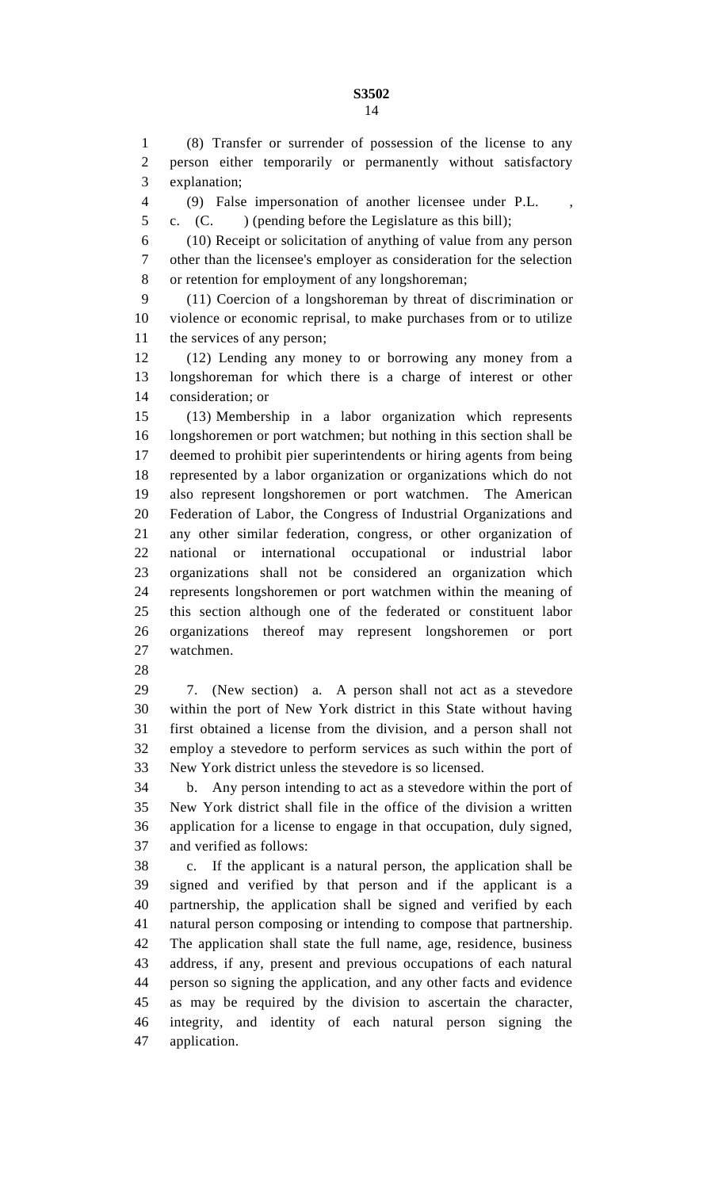(8) Transfer or surrender of possession of the license to any person either temporarily or permanently without satisfactory explanation;

(9) False impersonation of another licensee under P.L. ,

c. (C. ) (pending before the Legislature as this bill);

 (10) Receipt or solicitation of anything of value from any person other than the licensee's employer as consideration for the selection or retention for employment of any longshoreman;

 (11) Coercion of a longshoreman by threat of discrimination or violence or economic reprisal, to make purchases from or to utilize the services of any person;

 (12) Lending any money to or borrowing any money from a longshoreman for which there is a charge of interest or other consideration; or

 (13) Membership in a labor organization which represents longshoremen or port watchmen; but nothing in this section shall be deemed to prohibit pier superintendents or hiring agents from being represented by a labor organization or organizations which do not also represent longshoremen or port watchmen. The American Federation of Labor, the Congress of Industrial Organizations and any other similar federation, congress, or other organization of national or international occupational or industrial labor organizations shall not be considered an organization which represents longshoremen or port watchmen within the meaning of this section although one of the federated or constituent labor organizations thereof may represent longshoremen or port watchmen.

 7. (New section) a. A person shall not act as a stevedore within the port of New York district in this State without having first obtained a license from the division, and a person shall not employ a stevedore to perform services as such within the port of New York district unless the stevedore is so licensed.

 b. Any person intending to act as a stevedore within the port of New York district shall file in the office of the division a written application for a license to engage in that occupation, duly signed, and verified as follows:

 c. If the applicant is a natural person, the application shall be signed and verified by that person and if the applicant is a partnership, the application shall be signed and verified by each natural person composing or intending to compose that partnership. The application shall state the full name, age, residence, business address, if any, present and previous occupations of each natural person so signing the application, and any other facts and evidence as may be required by the division to ascertain the character, integrity, and identity of each natural person signing the application.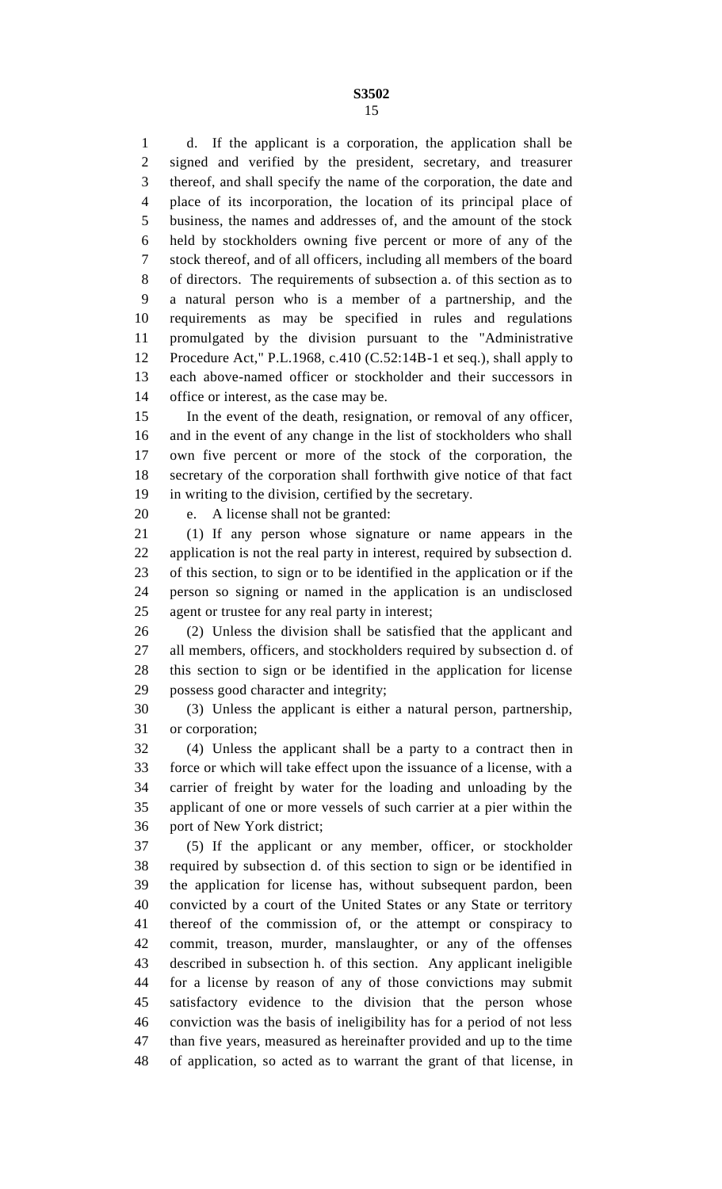d. If the applicant is a corporation, the application shall be signed and verified by the president, secretary, and treasurer thereof, and shall specify the name of the corporation, the date and place of its incorporation, the location of its principal place of business, the names and addresses of, and the amount of the stock held by stockholders owning five percent or more of any of the stock thereof, and of all officers, including all members of the board of directors. The requirements of subsection a. of this section as to a natural person who is a member of a partnership, and the requirements as may be specified in rules and regulations promulgated by the division pursuant to the "Administrative Procedure Act," P.L.1968, c.410 (C.52:14B-1 et seq.), shall apply to each above-named officer or stockholder and their successors in office or interest, as the case may be.

 In the event of the death, resignation, or removal of any officer, and in the event of any change in the list of stockholders who shall own five percent or more of the stock of the corporation, the secretary of the corporation shall forthwith give notice of that fact in writing to the division, certified by the secretary.

e. A license shall not be granted:

 (1) If any person whose signature or name appears in the application is not the real party in interest, required by subsection d. of this section, to sign or to be identified in the application or if the person so signing or named in the application is an undisclosed agent or trustee for any real party in interest;

 (2) Unless the division shall be satisfied that the applicant and all members, officers, and stockholders required by subsection d. of this section to sign or be identified in the application for license possess good character and integrity;

 (3) Unless the applicant is either a natural person, partnership, or corporation;

 (4) Unless the applicant shall be a party to a contract then in force or which will take effect upon the issuance of a license, with a carrier of freight by water for the loading and unloading by the applicant of one or more vessels of such carrier at a pier within the port of New York district;

 (5) If the applicant or any member, officer, or stockholder required by subsection d. of this section to sign or be identified in the application for license has, without subsequent pardon, been convicted by a court of the United States or any State or territory thereof of the commission of, or the attempt or conspiracy to commit, treason, murder, manslaughter, or any of the offenses described in subsection h. of this section. Any applicant ineligible for a license by reason of any of those convictions may submit satisfactory evidence to the division that the person whose conviction was the basis of ineligibility has for a period of not less than five years, measured as hereinafter provided and up to the time of application, so acted as to warrant the grant of that license, in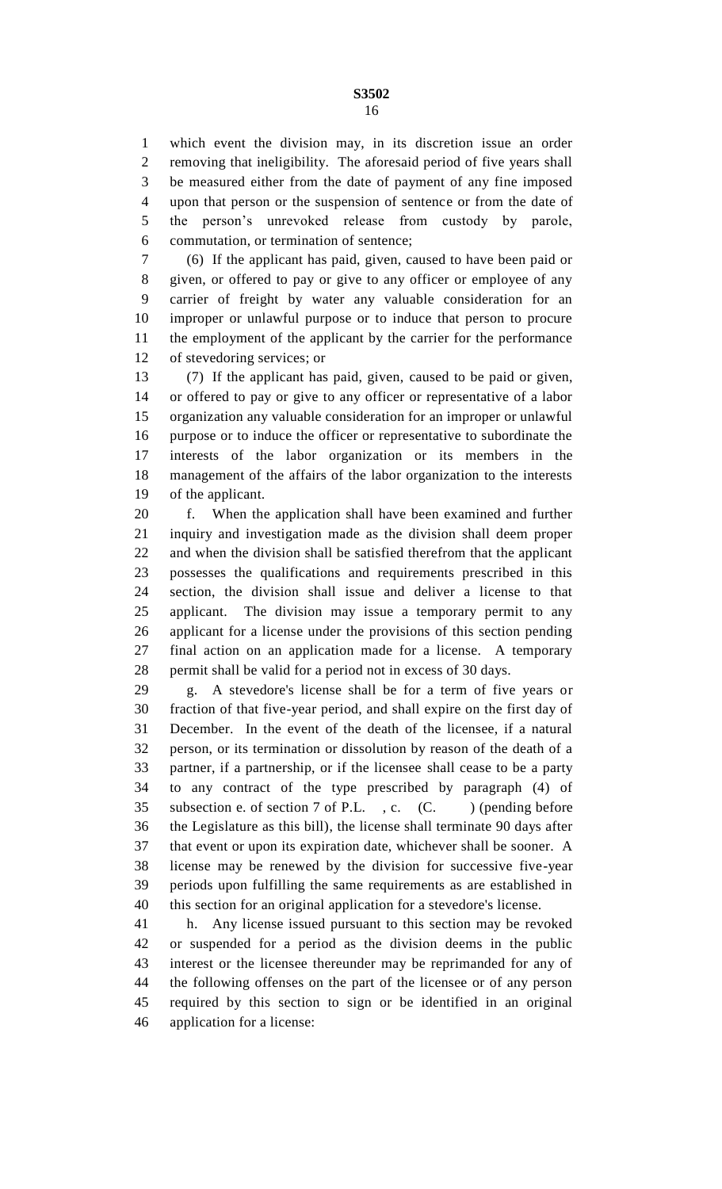which event the division may, in its discretion issue an order removing that ineligibility. The aforesaid period of five years shall be measured either from the date of payment of any fine imposed upon that person or the suspension of sentence or from the date of the person's unrevoked release from custody by parole, commutation, or termination of sentence;

 (6) If the applicant has paid, given, caused to have been paid or given, or offered to pay or give to any officer or employee of any carrier of freight by water any valuable consideration for an improper or unlawful purpose or to induce that person to procure the employment of the applicant by the carrier for the performance of stevedoring services; or

 (7) If the applicant has paid, given, caused to be paid or given, or offered to pay or give to any officer or representative of a labor organization any valuable consideration for an improper or unlawful purpose or to induce the officer or representative to subordinate the interests of the labor organization or its members in the management of the affairs of the labor organization to the interests of the applicant.

 f. When the application shall have been examined and further inquiry and investigation made as the division shall deem proper and when the division shall be satisfied therefrom that the applicant possesses the qualifications and requirements prescribed in this section, the division shall issue and deliver a license to that applicant. The division may issue a temporary permit to any applicant for a license under the provisions of this section pending final action on an application made for a license. A temporary permit shall be valid for a period not in excess of 30 days.

 g. A stevedore's license shall be for a term of five years or fraction of that five-year period, and shall expire on the first day of December. In the event of the death of the licensee, if a natural person, or its termination or dissolution by reason of the death of a partner, if a partnership, or if the licensee shall cease to be a party to any contract of the type prescribed by paragraph (4) of 35 subsection e. of section 7 of P.L., c. (C. ) (pending before the Legislature as this bill), the license shall terminate 90 days after that event or upon its expiration date, whichever shall be sooner. A license may be renewed by the division for successive five-year periods upon fulfilling the same requirements as are established in this section for an original application for a stevedore's license.

 h. Any license issued pursuant to this section may be revoked or suspended for a period as the division deems in the public interest or the licensee thereunder may be reprimanded for any of the following offenses on the part of the licensee or of any person required by this section to sign or be identified in an original application for a license: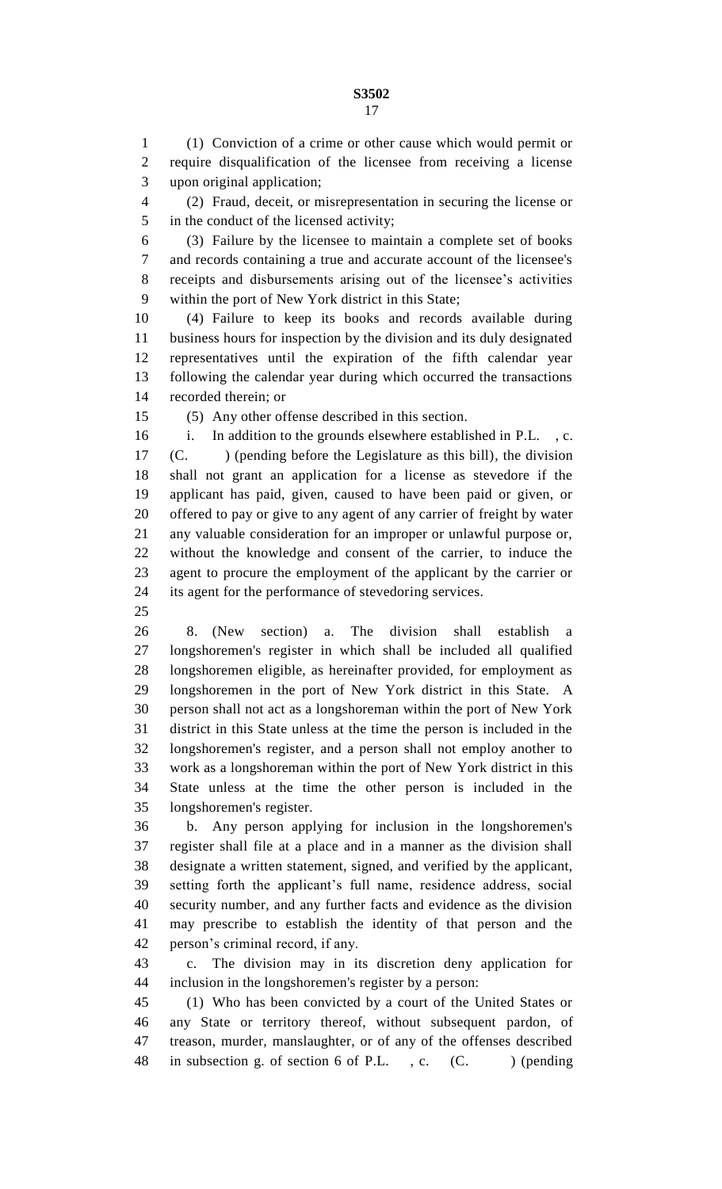**S3502** 

 (1) Conviction of a crime or other cause which would permit or require disqualification of the licensee from receiving a license upon original application;

 (2) Fraud, deceit, or misrepresentation in securing the license or in the conduct of the licensed activity;

 (3) Failure by the licensee to maintain a complete set of books and records containing a true and accurate account of the licensee's receipts and disbursements arising out of the licensee's activities within the port of New York district in this State;

 (4) Failure to keep its books and records available during business hours for inspection by the division and its duly designated representatives until the expiration of the fifth calendar year following the calendar year during which occurred the transactions recorded therein; or

(5) Any other offense described in this section.

 i. In addition to the grounds elsewhere established in P.L. , c. 17 (C. ) (pending before the Legislature as this bill), the division shall not grant an application for a license as stevedore if the applicant has paid, given, caused to have been paid or given, or offered to pay or give to any agent of any carrier of freight by water any valuable consideration for an improper or unlawful purpose or, without the knowledge and consent of the carrier, to induce the agent to procure the employment of the applicant by the carrier or its agent for the performance of stevedoring services.

 8. (New section) a. The division shall establish a longshoremen's register in which shall be included all qualified longshoremen eligible, as hereinafter provided, for employment as longshoremen in the port of New York district in this State. A person shall not act as a longshoreman within the port of New York district in this State unless at the time the person is included in the longshoremen's register, and a person shall not employ another to work as a longshoreman within the port of New York district in this State unless at the time the other person is included in the longshoremen's register.

 b. Any person applying for inclusion in the longshoremen's register shall file at a place and in a manner as the division shall designate a written statement, signed, and verified by the applicant, setting forth the applicant's full name, residence address, social security number, and any further facts and evidence as the division may prescribe to establish the identity of that person and the person's criminal record, if any.

 c. The division may in its discretion deny application for inclusion in the longshoremen's register by a person:

 (1) Who has been convicted by a court of the United States or any State or territory thereof, without subsequent pardon, of treason, murder, manslaughter, or of any of the offenses described 48 in subsection g. of section 6 of P.L., c. (C. ) (pending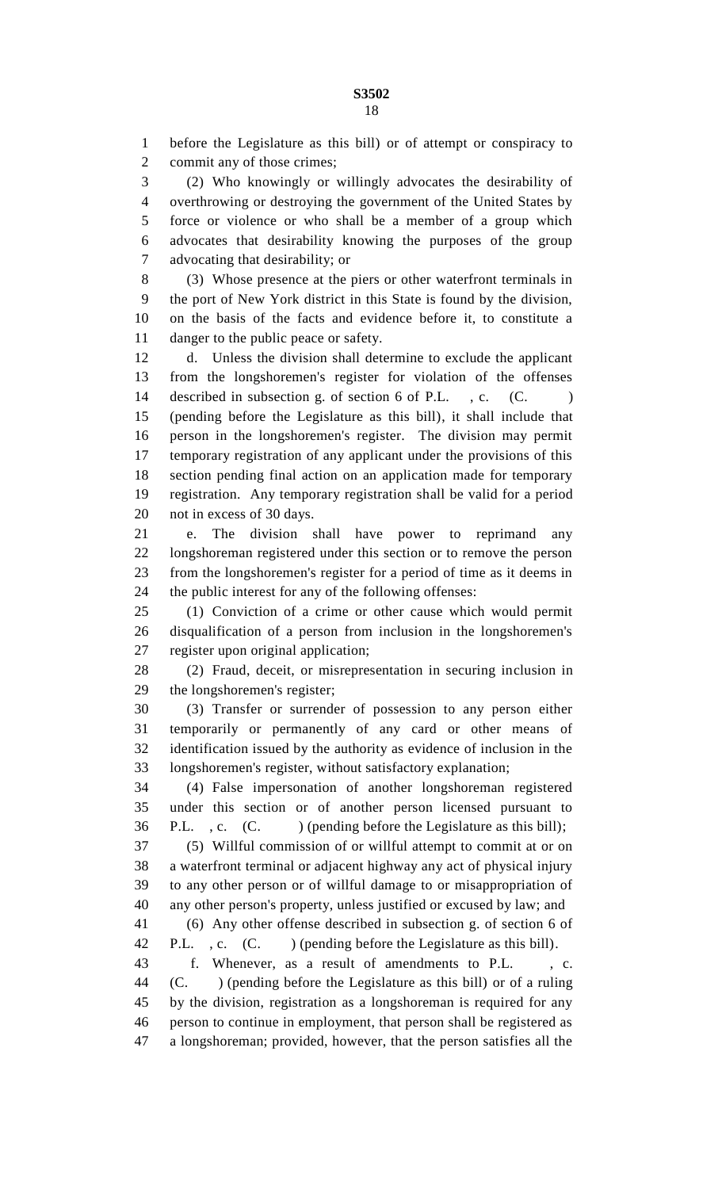before the Legislature as this bill) or of attempt or conspiracy to commit any of those crimes;

 (2) Who knowingly or willingly advocates the desirability of overthrowing or destroying the government of the United States by force or violence or who shall be a member of a group which advocates that desirability knowing the purposes of the group advocating that desirability; or

 (3) Whose presence at the piers or other waterfront terminals in the port of New York district in this State is found by the division, on the basis of the facts and evidence before it, to constitute a danger to the public peace or safety.

 d. Unless the division shall determine to exclude the applicant from the longshoremen's register for violation of the offenses 14 described in subsection g. of section 6 of P.L., c. (C.) (pending before the Legislature as this bill), it shall include that person in the longshoremen's register. The division may permit temporary registration of any applicant under the provisions of this section pending final action on an application made for temporary registration. Any temporary registration shall be valid for a period not in excess of 30 days.

 e. The division shall have power to reprimand any longshoreman registered under this section or to remove the person from the longshoremen's register for a period of time as it deems in the public interest for any of the following offenses:

 (1) Conviction of a crime or other cause which would permit disqualification of a person from inclusion in the longshoremen's register upon original application;

 (2) Fraud, deceit, or misrepresentation in securing inclusion in the longshoremen's register;

 (3) Transfer or surrender of possession to any person either temporarily or permanently of any card or other means of identification issued by the authority as evidence of inclusion in the longshoremen's register, without satisfactory explanation;

 (4) False impersonation of another longshoreman registered under this section or of another person licensed pursuant to P.L. , c. (C. ) (pending before the Legislature as this bill);

 (5) Willful commission of or willful attempt to commit at or on a waterfront terminal or adjacent highway any act of physical injury to any other person or of willful damage to or misappropriation of any other person's property, unless justified or excused by law; and

 (6) Any other offense described in subsection g. of section 6 of 42 P.L., c. (C. ) (pending before the Legislature as this bill).

 f. Whenever, as a result of amendments to P.L. , c. (C. ) (pending before the Legislature as this bill) or of a ruling by the division, registration as a longshoreman is required for any person to continue in employment, that person shall be registered as a longshoreman; provided, however, that the person satisfies all the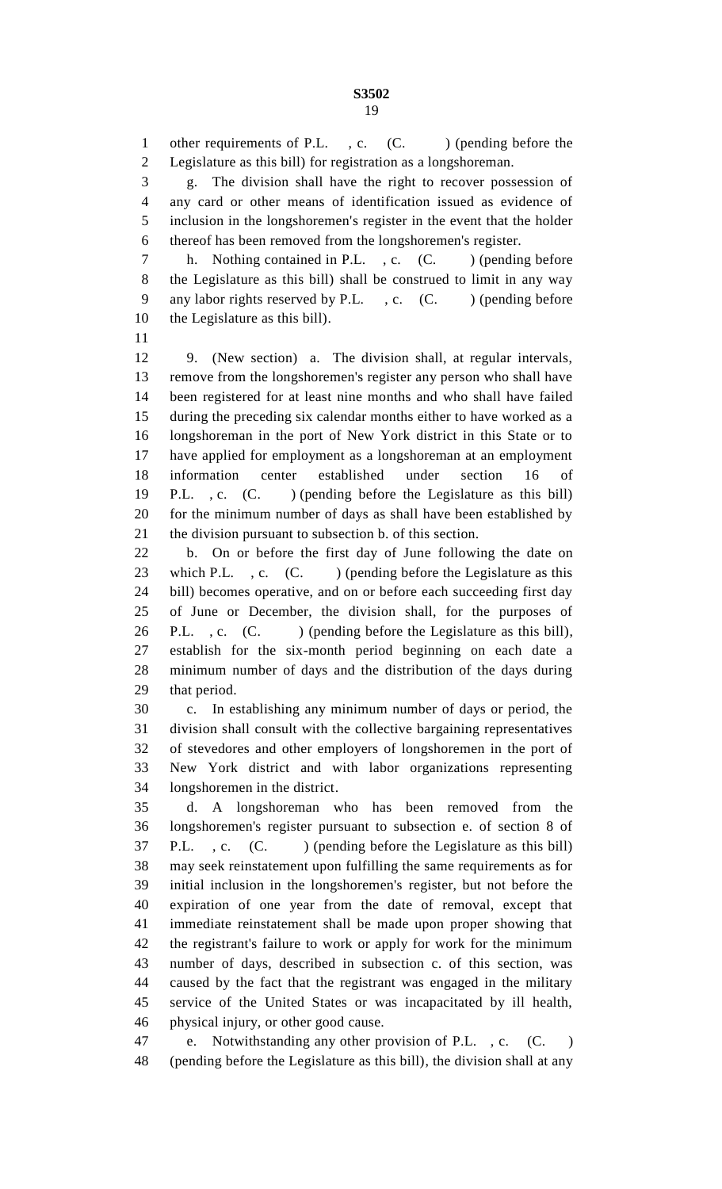1 other requirements of P.L., c. (C. ) (pending before the Legislature as this bill) for registration as a longshoreman.

 g. The division shall have the right to recover possession of any card or other means of identification issued as evidence of inclusion in the longshoremen's register in the event that the holder thereof has been removed from the longshoremen's register.

7 h. Nothing contained in P.L., c. (C. ) (pending before the Legislature as this bill) shall be construed to limit in any way 9 any labor rights reserved by P.L. , c. (C. ) (pending before the Legislature as this bill).

 9. (New section) a. The division shall, at regular intervals, remove from the longshoremen's register any person who shall have been registered for at least nine months and who shall have failed during the preceding six calendar months either to have worked as a longshoreman in the port of New York district in this State or to have applied for employment as a longshoreman at an employment information center established under section 16 of P.L. , c. (C. ) (pending before the Legislature as this bill) for the minimum number of days as shall have been established by the division pursuant to subsection b. of this section.

 b. On or before the first day of June following the date on 23 which P.L., c. (C.) (pending before the Legislature as this bill) becomes operative, and on or before each succeeding first day of June or December, the division shall, for the purposes of 26 P.L., c. (C. ) (pending before the Legislature as this bill), establish for the six-month period beginning on each date a minimum number of days and the distribution of the days during that period.

 c. In establishing any minimum number of days or period, the division shall consult with the collective bargaining representatives of stevedores and other employers of longshoremen in the port of New York district and with labor organizations representing longshoremen in the district.

 d. A longshoreman who has been removed from the longshoremen's register pursuant to subsection e. of section 8 of 37 P.L. , c. (C. ) (pending before the Legislature as this bill) may seek reinstatement upon fulfilling the same requirements as for initial inclusion in the longshoremen's register, but not before the expiration of one year from the date of removal, except that immediate reinstatement shall be made upon proper showing that the registrant's failure to work or apply for work for the minimum number of days, described in subsection c. of this section, was caused by the fact that the registrant was engaged in the military service of the United States or was incapacitated by ill health, physical injury, or other good cause.

 e. Notwithstanding any other provision of P.L. , c. (C. ) (pending before the Legislature as this bill), the division shall at any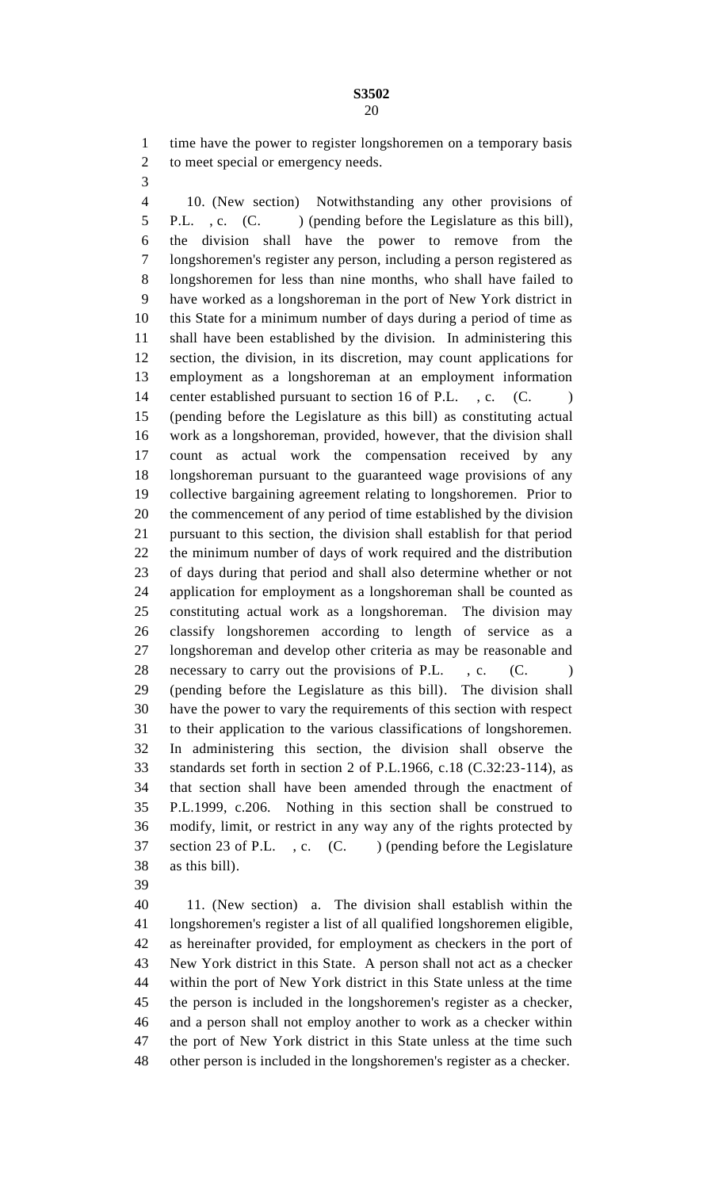time have the power to register longshoremen on a temporary basis 2 to meet special or emergency needs.

- 
- 

 10. (New section) Notwithstanding any other provisions of 5 P.L., c. (C. ) (pending before the Legislature as this bill), the division shall have the power to remove from the longshoremen's register any person, including a person registered as longshoremen for less than nine months, who shall have failed to have worked as a longshoreman in the port of New York district in this State for a minimum number of days during a period of time as shall have been established by the division. In administering this section, the division, in its discretion, may count applications for employment as a longshoreman at an employment information 14 center established pursuant to section 16 of P.L., c. (C.) (pending before the Legislature as this bill) as constituting actual work as a longshoreman, provided, however, that the division shall count as actual work the compensation received by any longshoreman pursuant to the guaranteed wage provisions of any collective bargaining agreement relating to longshoremen. Prior to the commencement of any period of time established by the division pursuant to this section, the division shall establish for that period the minimum number of days of work required and the distribution of days during that period and shall also determine whether or not application for employment as a longshoreman shall be counted as constituting actual work as a longshoreman. The division may classify longshoremen according to length of service as a longshoreman and develop other criteria as may be reasonable and 28 necessary to carry out the provisions of P.L., c. (C.) (pending before the Legislature as this bill). The division shall have the power to vary the requirements of this section with respect to their application to the various classifications of longshoremen. In administering this section, the division shall observe the standards set forth in section 2 of P.L.1966, c.18 (C.32:23-114), as that section shall have been amended through the enactment of P.L.1999, c.206. Nothing in this section shall be construed to modify, limit, or restrict in any way any of the rights protected by 37 section 23 of P.L., c. (C.) (pending before the Legislature as this bill).

 11. (New section) a. The division shall establish within the longshoremen's register a list of all qualified longshoremen eligible, as hereinafter provided, for employment as checkers in the port of New York district in this State. A person shall not act as a checker within the port of New York district in this State unless at the time the person is included in the longshoremen's register as a checker, and a person shall not employ another to work as a checker within the port of New York district in this State unless at the time such other person is included in the longshoremen's register as a checker.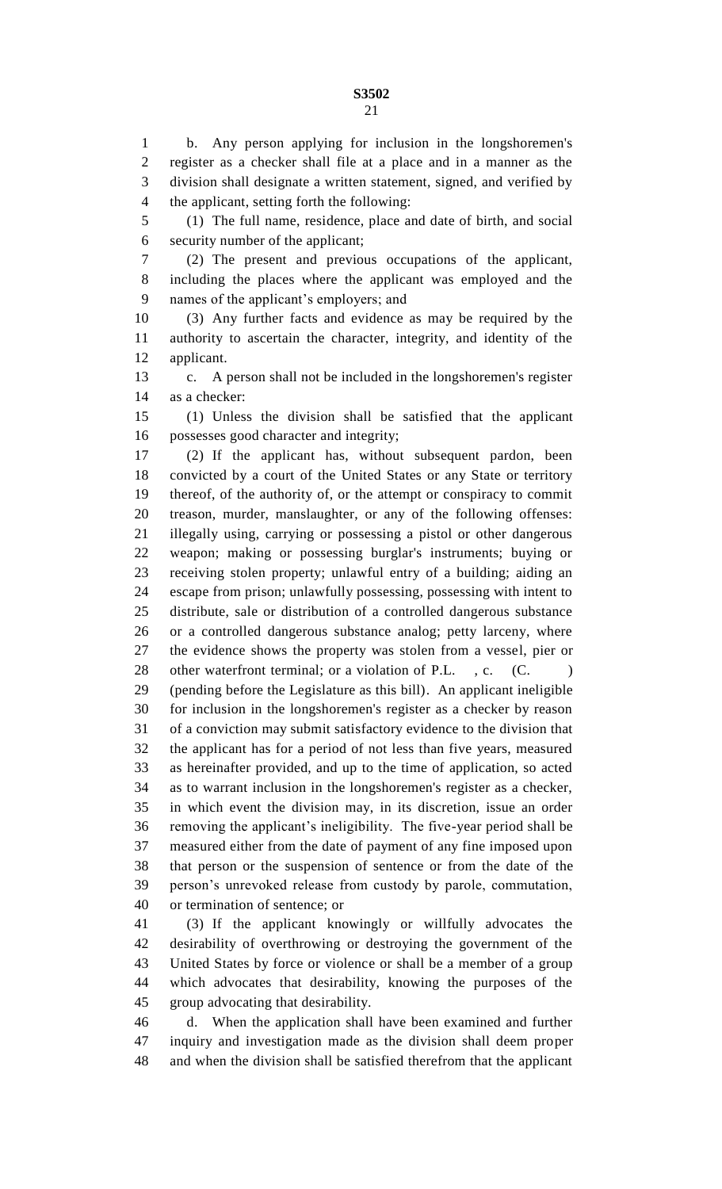b. Any person applying for inclusion in the longshoremen's register as a checker shall file at a place and in a manner as the division shall designate a written statement, signed, and verified by the applicant, setting forth the following:

 (1) The full name, residence, place and date of birth, and social security number of the applicant;

 (2) The present and previous occupations of the applicant, including the places where the applicant was employed and the names of the applicant's employers; and

 (3) Any further facts and evidence as may be required by the authority to ascertain the character, integrity, and identity of the applicant.

 c. A person shall not be included in the longshoremen's register as a checker:

 (1) Unless the division shall be satisfied that the applicant possesses good character and integrity;

 (2) If the applicant has, without subsequent pardon, been convicted by a court of the United States or any State or territory thereof, of the authority of, or the attempt or conspiracy to commit treason, murder, manslaughter, or any of the following offenses: illegally using, carrying or possessing a pistol or other dangerous weapon; making or possessing burglar's instruments; buying or receiving stolen property; unlawful entry of a building; aiding an escape from prison; unlawfully possessing, possessing with intent to distribute, sale or distribution of a controlled dangerous substance or a controlled dangerous substance analog; petty larceny, where the evidence shows the property was stolen from a vessel, pier or 28 other waterfront terminal; or a violation of P.L., c. (C.) (pending before the Legislature as this bill). An applicant ineligible for inclusion in the longshoremen's register as a checker by reason of a conviction may submit satisfactory evidence to the division that the applicant has for a period of not less than five years, measured as hereinafter provided, and up to the time of application, so acted as to warrant inclusion in the longshoremen's register as a checker, in which event the division may, in its discretion, issue an order removing the applicant's ineligibility. The five-year period shall be measured either from the date of payment of any fine imposed upon that person or the suspension of sentence or from the date of the person's unrevoked release from custody by parole, commutation, or termination of sentence; or

 (3) If the applicant knowingly or willfully advocates the desirability of overthrowing or destroying the government of the United States by force or violence or shall be a member of a group which advocates that desirability, knowing the purposes of the group advocating that desirability.

 d. When the application shall have been examined and further inquiry and investigation made as the division shall deem proper and when the division shall be satisfied therefrom that the applicant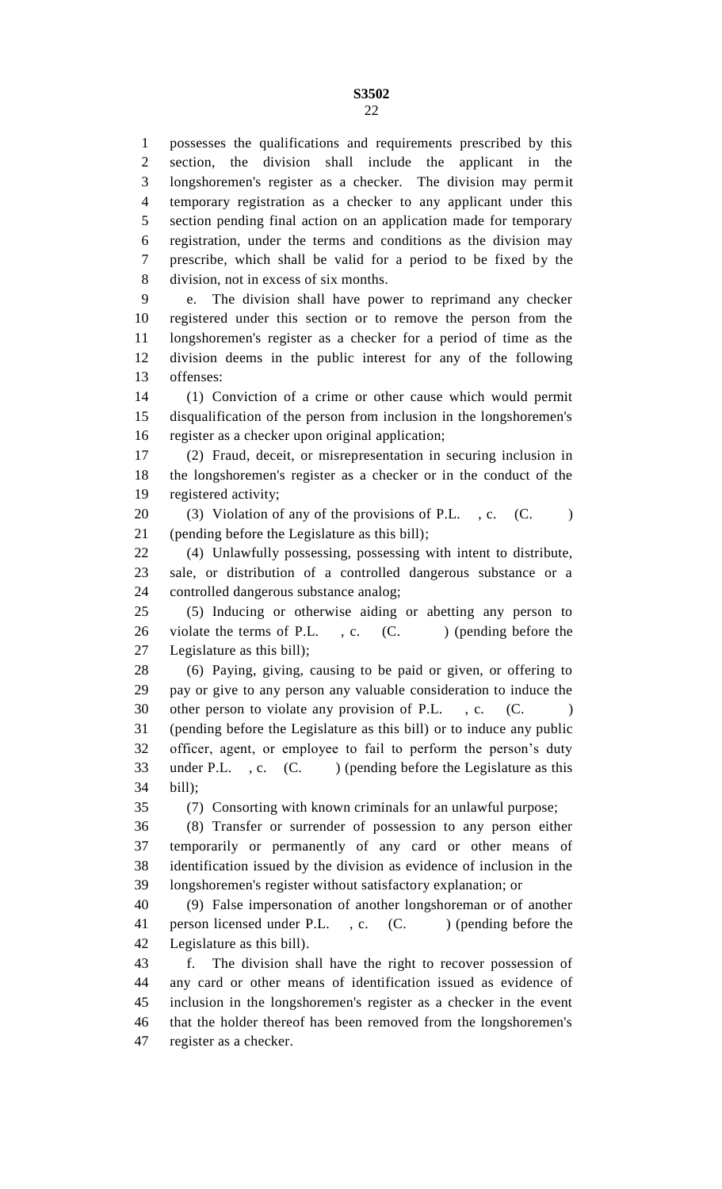possesses the qualifications and requirements prescribed by this section, the division shall include the applicant in the longshoremen's register as a checker. The division may permit temporary registration as a checker to any applicant under this section pending final action on an application made for temporary registration, under the terms and conditions as the division may prescribe, which shall be valid for a period to be fixed by the division, not in excess of six months.

 e. The division shall have power to reprimand any checker registered under this section or to remove the person from the longshoremen's register as a checker for a period of time as the division deems in the public interest for any of the following offenses:

 (1) Conviction of a crime or other cause which would permit disqualification of the person from inclusion in the longshoremen's register as a checker upon original application;

 (2) Fraud, deceit, or misrepresentation in securing inclusion in the longshoremen's register as a checker or in the conduct of the registered activity;

20 (3) Violation of any of the provisions of P.L., c. (C. ) (pending before the Legislature as this bill);

 (4) Unlawfully possessing, possessing with intent to distribute, sale, or distribution of a controlled dangerous substance or a controlled dangerous substance analog;

 (5) Inducing or otherwise aiding or abetting any person to 26 violate the terms of P.L., c. (C.) (pending before the Legislature as this bill);

 (6) Paying, giving, causing to be paid or given, or offering to pay or give to any person any valuable consideration to induce the 30 other person to violate any provision of P.L., c. (C.) (pending before the Legislature as this bill) or to induce any public officer, agent, or employee to fail to perform the person's duty 33 under P.L., c. (C.) (pending before the Legislature as this bill);

(7) Consorting with known criminals for an unlawful purpose;

 (8) Transfer or surrender of possession to any person either temporarily or permanently of any card or other means of identification issued by the division as evidence of inclusion in the longshoremen's register without satisfactory explanation; or

 (9) False impersonation of another longshoreman or of another 41 person licensed under P.L., c. (C.) (pending before the Legislature as this bill).

 f. The division shall have the right to recover possession of any card or other means of identification issued as evidence of inclusion in the longshoremen's register as a checker in the event that the holder thereof has been removed from the longshoremen's register as a checker.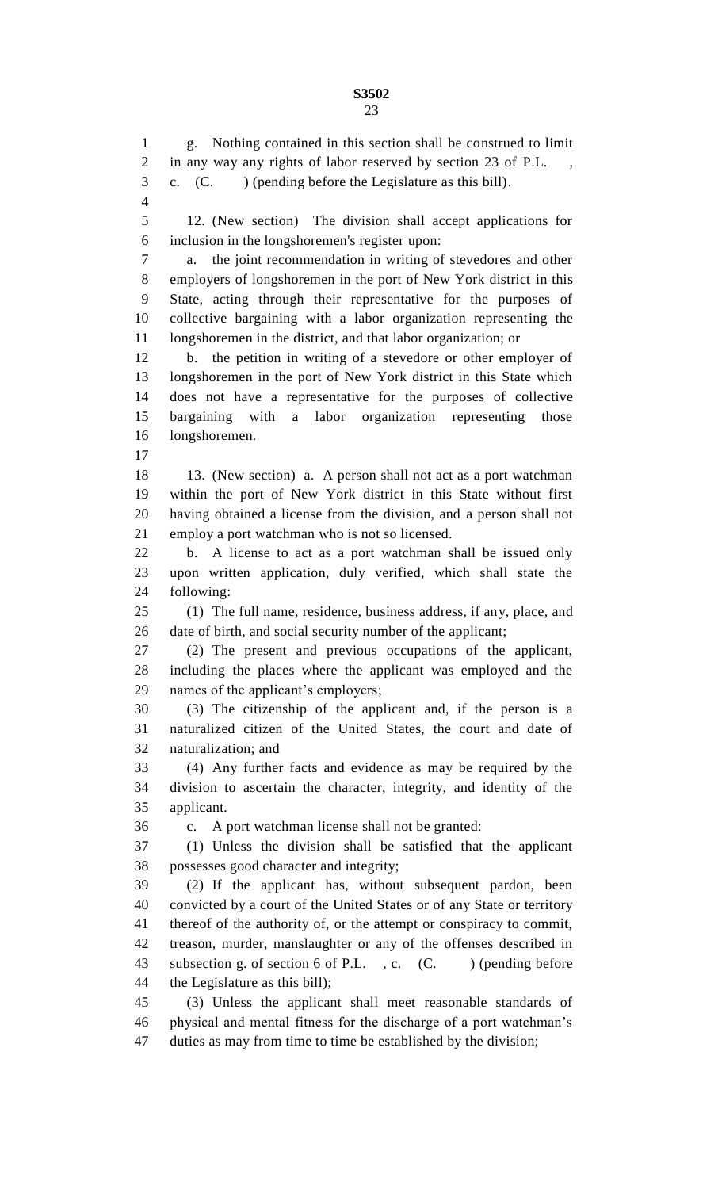g. Nothing contained in this section shall be construed to limit 2 in any way any rights of labor reserved by section 23 of P.L. c. (C. ) (pending before the Legislature as this bill). 12. (New section) The division shall accept applications for inclusion in the longshoremen's register upon: a. the joint recommendation in writing of stevedores and other employers of longshoremen in the port of New York district in this State, acting through their representative for the purposes of collective bargaining with a labor organization representing the longshoremen in the district, and that labor organization; or b. the petition in writing of a stevedore or other employer of longshoremen in the port of New York district in this State which does not have a representative for the purposes of collective bargaining with a labor organization representing those longshoremen. 13. (New section) a. A person shall not act as a port watchman within the port of New York district in this State without first having obtained a license from the division, and a person shall not employ a port watchman who is not so licensed. b. A license to act as a port watchman shall be issued only upon written application, duly verified, which shall state the following: (1) The full name, residence, business address, if any, place, and date of birth, and social security number of the applicant; (2) The present and previous occupations of the applicant, including the places where the applicant was employed and the names of the applicant's employers; (3) The citizenship of the applicant and, if the person is a naturalized citizen of the United States, the court and date of naturalization; and (4) Any further facts and evidence as may be required by the division to ascertain the character, integrity, and identity of the applicant. c. A port watchman license shall not be granted: (1) Unless the division shall be satisfied that the applicant possesses good character and integrity; (2) If the applicant has, without subsequent pardon, been convicted by a court of the United States or of any State or territory thereof of the authority of, or the attempt or conspiracy to commit, treason, murder, manslaughter or any of the offenses described in 43 subsection g. of section 6 of P.L., c. (C. ) (pending before the Legislature as this bill); (3) Unless the applicant shall meet reasonable standards of physical and mental fitness for the discharge of a port watchman's duties as may from time to time be established by the division;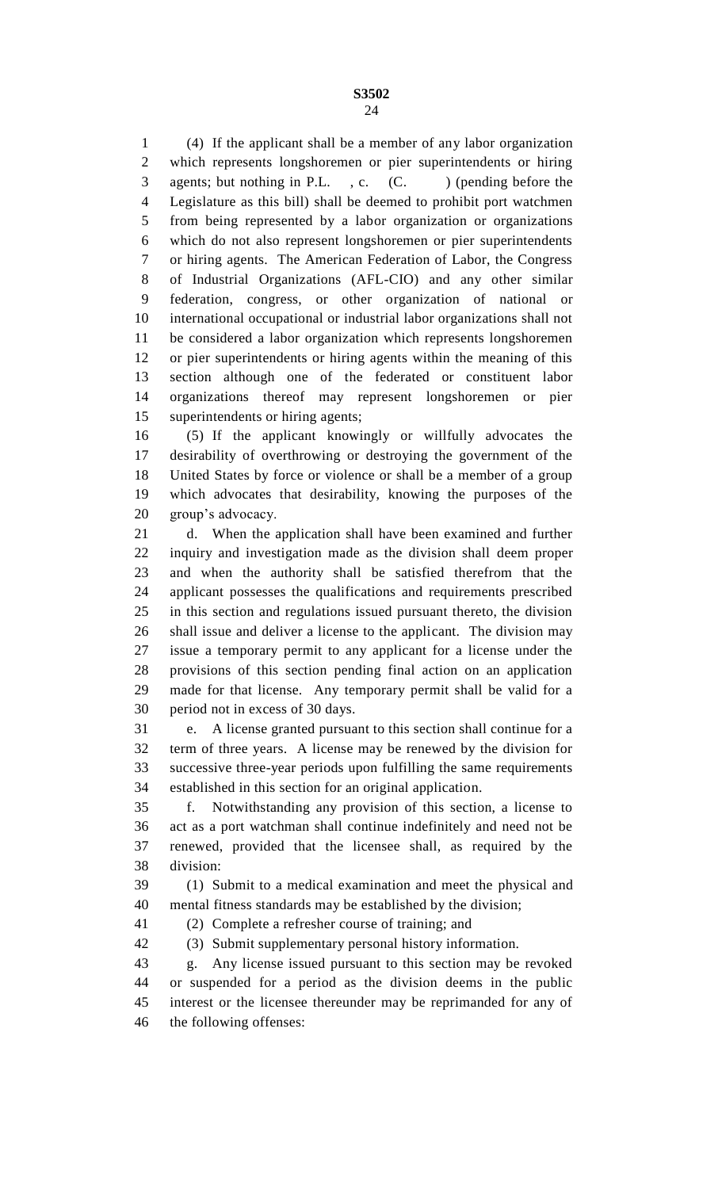(4) If the applicant shall be a member of any labor organization which represents longshoremen or pier superintendents or hiring 3 agents; but nothing in P.L., c. (C.) (pending before the Legislature as this bill) shall be deemed to prohibit port watchmen from being represented by a labor organization or organizations which do not also represent longshoremen or pier superintendents or hiring agents. The American Federation of Labor, the Congress of Industrial Organizations (AFL-CIO) and any other similar federation, congress, or other organization of national or international occupational or industrial labor organizations shall not be considered a labor organization which represents longshoremen or pier superintendents or hiring agents within the meaning of this section although one of the federated or constituent labor organizations thereof may represent longshoremen or pier superintendents or hiring agents;

 (5) If the applicant knowingly or willfully advocates the desirability of overthrowing or destroying the government of the United States by force or violence or shall be a member of a group which advocates that desirability, knowing the purposes of the group's advocacy.

 d. When the application shall have been examined and further inquiry and investigation made as the division shall deem proper and when the authority shall be satisfied therefrom that the applicant possesses the qualifications and requirements prescribed in this section and regulations issued pursuant thereto, the division shall issue and deliver a license to the applicant. The division may issue a temporary permit to any applicant for a license under the provisions of this section pending final action on an application made for that license. Any temporary permit shall be valid for a period not in excess of 30 days.

 e. A license granted pursuant to this section shall continue for a term of three years. A license may be renewed by the division for successive three-year periods upon fulfilling the same requirements established in this section for an original application.

 f. Notwithstanding any provision of this section, a license to act as a port watchman shall continue indefinitely and need not be renewed, provided that the licensee shall, as required by the division:

 (1) Submit to a medical examination and meet the physical and mental fitness standards may be established by the division;

(2) Complete a refresher course of training; and

(3) Submit supplementary personal history information.

 g. Any license issued pursuant to this section may be revoked or suspended for a period as the division deems in the public interest or the licensee thereunder may be reprimanded for any of the following offenses: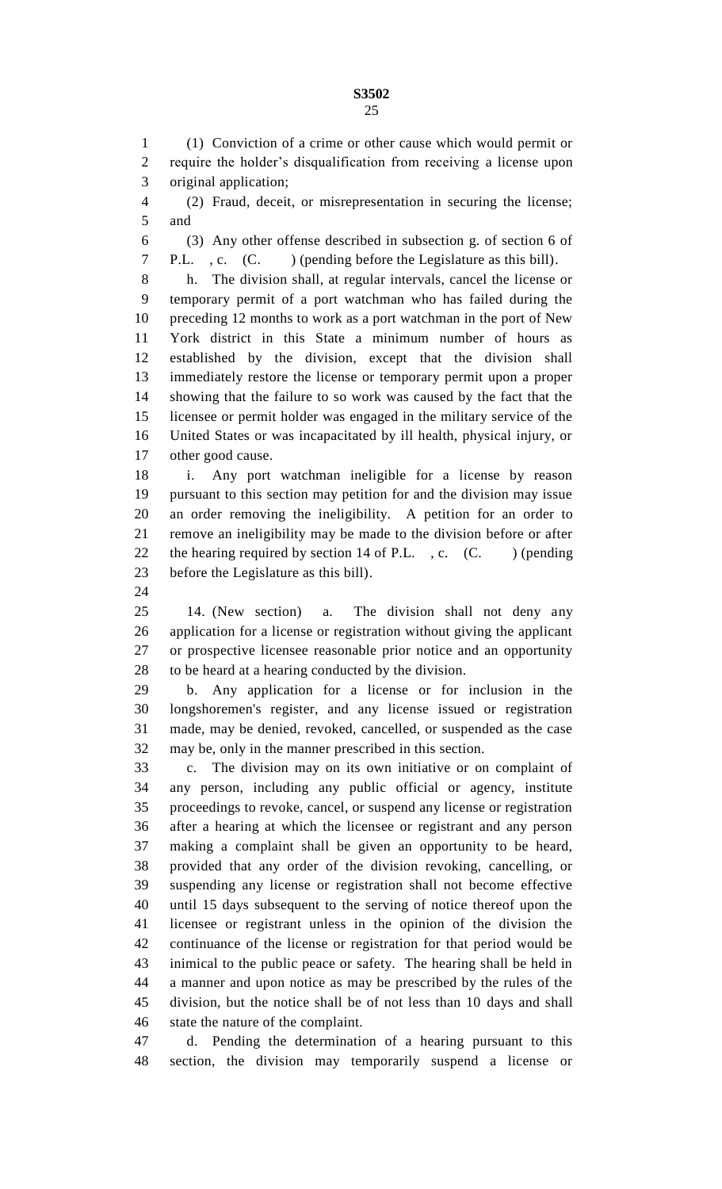(1) Conviction of a crime or other cause which would permit or require the holder's disqualification from receiving a license upon original application;

 (2) Fraud, deceit, or misrepresentation in securing the license; and

 (3) Any other offense described in subsection g. of section 6 of P.L. , c. (C. ) (pending before the Legislature as this bill).

 h. The division shall, at regular intervals, cancel the license or temporary permit of a port watchman who has failed during the preceding 12 months to work as a port watchman in the port of New York district in this State a minimum number of hours as established by the division, except that the division shall immediately restore the license or temporary permit upon a proper showing that the failure to so work was caused by the fact that the licensee or permit holder was engaged in the military service of the United States or was incapacitated by ill health, physical injury, or other good cause.

 i. Any port watchman ineligible for a license by reason pursuant to this section may petition for and the division may issue an order removing the ineligibility. A petition for an order to remove an ineligibility may be made to the division before or after 22 the hearing required by section 14 of P.L. , c.  $(C.$  ) (pending before the Legislature as this bill).

 14. (New section) a. The division shall not deny any application for a license or registration without giving the applicant or prospective licensee reasonable prior notice and an opportunity to be heard at a hearing conducted by the division.

 b. Any application for a license or for inclusion in the longshoremen's register, and any license issued or registration made, may be denied, revoked, cancelled, or suspended as the case may be, only in the manner prescribed in this section.

 c. The division may on its own initiative or on complaint of any person, including any public official or agency, institute proceedings to revoke, cancel, or suspend any license or registration after a hearing at which the licensee or registrant and any person making a complaint shall be given an opportunity to be heard, provided that any order of the division revoking, cancelling, or suspending any license or registration shall not become effective until 15 days subsequent to the serving of notice thereof upon the licensee or registrant unless in the opinion of the division the continuance of the license or registration for that period would be inimical to the public peace or safety. The hearing shall be held in a manner and upon notice as may be prescribed by the rules of the division, but the notice shall be of not less than 10 days and shall state the nature of the complaint.

 d. Pending the determination of a hearing pursuant to this section, the division may temporarily suspend a license or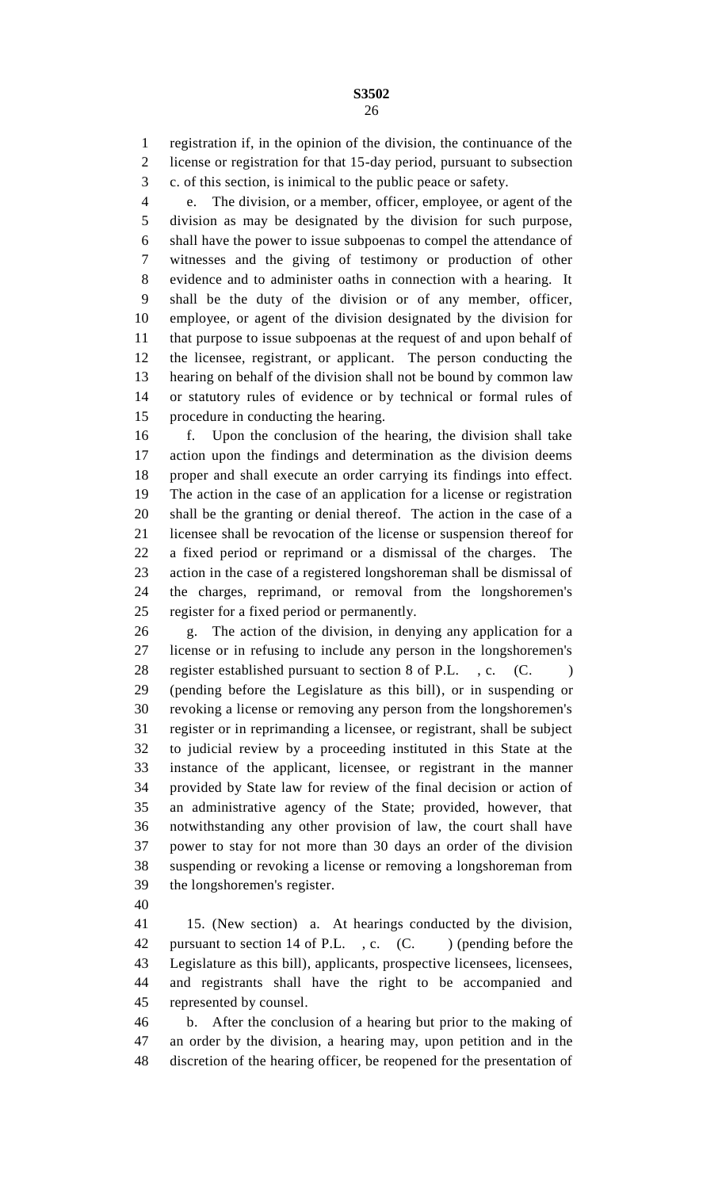registration if, in the opinion of the division, the continuance of the license or registration for that 15-day period, pursuant to subsection

c. of this section, is inimical to the public peace or safety.

 e. The division, or a member, officer, employee, or agent of the division as may be designated by the division for such purpose, shall have the power to issue subpoenas to compel the attendance of witnesses and the giving of testimony or production of other evidence and to administer oaths in connection with a hearing. It shall be the duty of the division or of any member, officer, employee, or agent of the division designated by the division for that purpose to issue subpoenas at the request of and upon behalf of the licensee, registrant, or applicant. The person conducting the hearing on behalf of the division shall not be bound by common law or statutory rules of evidence or by technical or formal rules of procedure in conducting the hearing.

 f. Upon the conclusion of the hearing, the division shall take action upon the findings and determination as the division deems proper and shall execute an order carrying its findings into effect. The action in the case of an application for a license or registration shall be the granting or denial thereof. The action in the case of a licensee shall be revocation of the license or suspension thereof for a fixed period or reprimand or a dismissal of the charges. The action in the case of a registered longshoreman shall be dismissal of the charges, reprimand, or removal from the longshoremen's register for a fixed period or permanently.

 g. The action of the division, in denying any application for a license or in refusing to include any person in the longshoremen's 28 register established pursuant to section 8 of P.L., c. (C.) (pending before the Legislature as this bill), or in suspending or revoking a license or removing any person from the longshoremen's register or in reprimanding a licensee, or registrant, shall be subject to judicial review by a proceeding instituted in this State at the instance of the applicant, licensee, or registrant in the manner provided by State law for review of the final decision or action of an administrative agency of the State; provided, however, that notwithstanding any other provision of law, the court shall have power to stay for not more than 30 days an order of the division suspending or revoking a license or removing a longshoreman from the longshoremen's register.

 15. (New section) a. At hearings conducted by the division, 42 pursuant to section 14 of P.L., c. (C. ) (pending before the Legislature as this bill), applicants, prospective licensees, licensees, and registrants shall have the right to be accompanied and represented by counsel.

 b. After the conclusion of a hearing but prior to the making of an order by the division, a hearing may, upon petition and in the discretion of the hearing officer, be reopened for the presentation of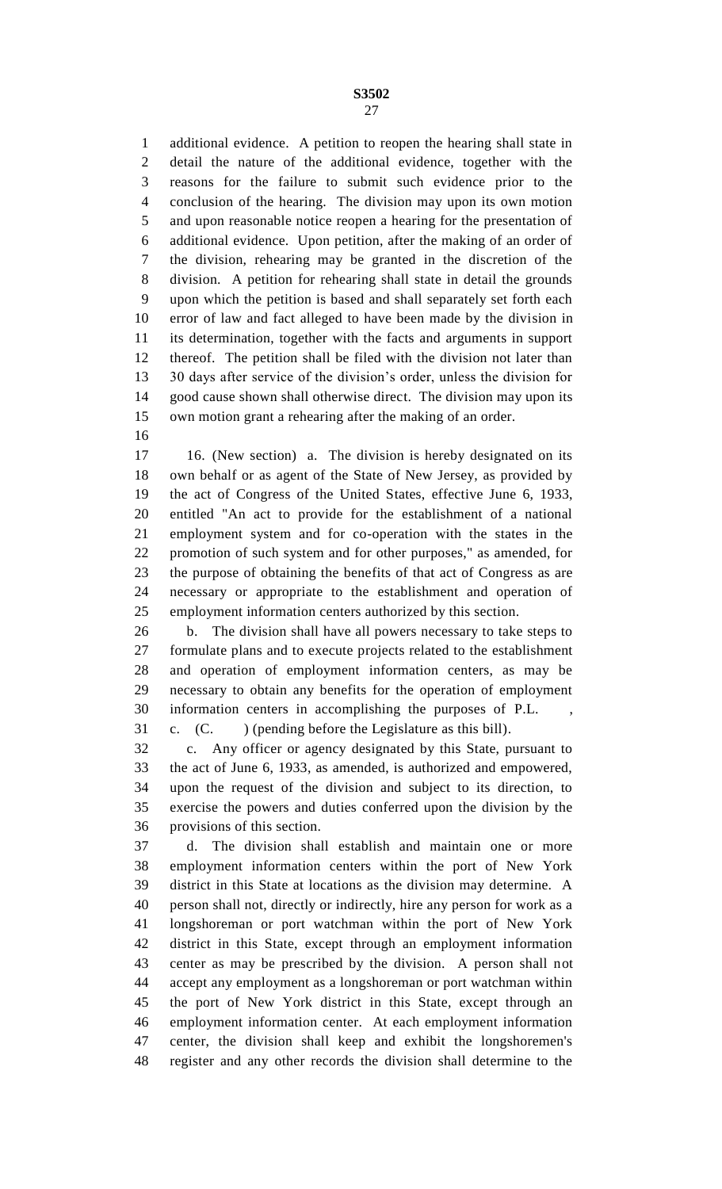additional evidence. A petition to reopen the hearing shall state in detail the nature of the additional evidence, together with the reasons for the failure to submit such evidence prior to the conclusion of the hearing. The division may upon its own motion and upon reasonable notice reopen a hearing for the presentation of additional evidence. Upon petition, after the making of an order of the division, rehearing may be granted in the discretion of the division. A petition for rehearing shall state in detail the grounds upon which the petition is based and shall separately set forth each error of law and fact alleged to have been made by the division in its determination, together with the facts and arguments in support thereof. The petition shall be filed with the division not later than 30 days after service of the division's order, unless the division for good cause shown shall otherwise direct. The division may upon its own motion grant a rehearing after the making of an order.

 16. (New section) a. The division is hereby designated on its own behalf or as agent of the State of New Jersey, as provided by the act of Congress of the United States, effective June 6, 1933, entitled "An act to provide for the establishment of a national employment system and for co-operation with the states in the promotion of such system and for other purposes," as amended, for the purpose of obtaining the benefits of that act of Congress as are necessary or appropriate to the establishment and operation of employment information centers authorized by this section.

 b. The division shall have all powers necessary to take steps to formulate plans and to execute projects related to the establishment and operation of employment information centers, as may be necessary to obtain any benefits for the operation of employment information centers in accomplishing the purposes of P.L. , c. (C. ) (pending before the Legislature as this bill).

 c. Any officer or agency designated by this State, pursuant to the act of June 6, 1933, as amended, is authorized and empowered, upon the request of the division and subject to its direction, to exercise the powers and duties conferred upon the division by the provisions of this section.

 d. The division shall establish and maintain one or more employment information centers within the port of New York district in this State at locations as the division may determine. A person shall not, directly or indirectly, hire any person for work as a longshoreman or port watchman within the port of New York district in this State, except through an employment information center as may be prescribed by the division. A person shall not accept any employment as a longshoreman or port watchman within the port of New York district in this State, except through an employment information center. At each employment information center, the division shall keep and exhibit the longshoremen's register and any other records the division shall determine to the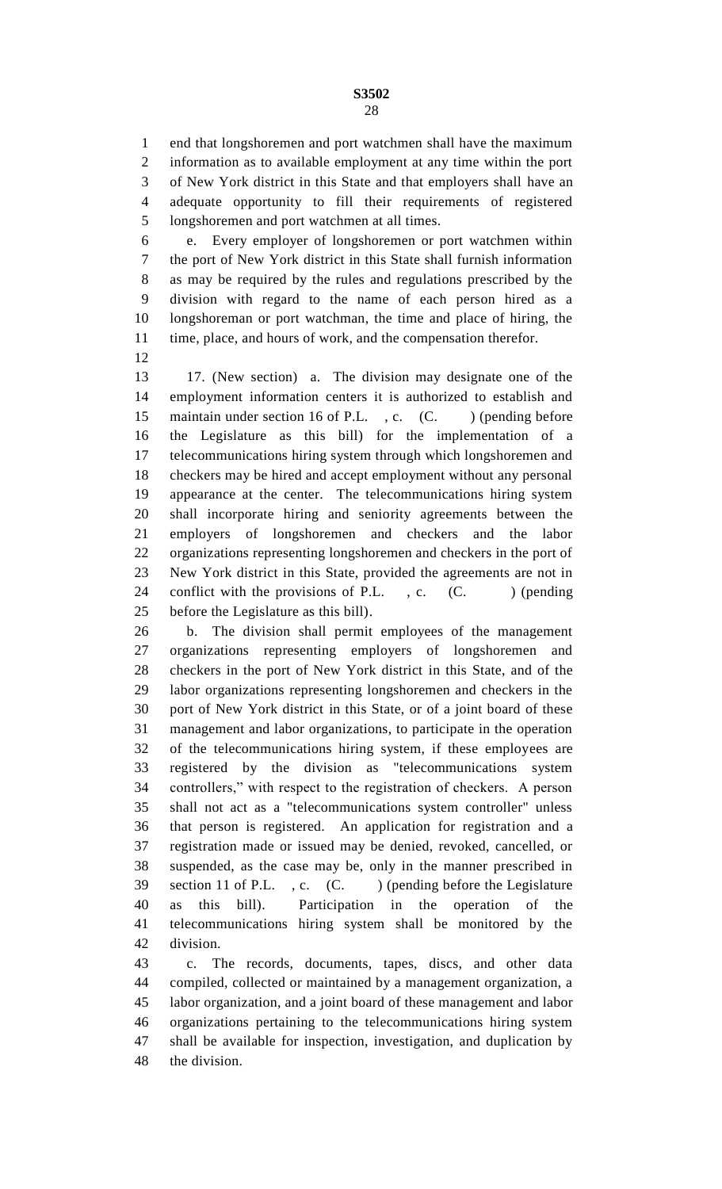end that longshoremen and port watchmen shall have the maximum information as to available employment at any time within the port of New York district in this State and that employers shall have an adequate opportunity to fill their requirements of registered longshoremen and port watchmen at all times.

 e. Every employer of longshoremen or port watchmen within the port of New York district in this State shall furnish information as may be required by the rules and regulations prescribed by the division with regard to the name of each person hired as a longshoreman or port watchman, the time and place of hiring, the time, place, and hours of work, and the compensation therefor.

 17. (New section) a. The division may designate one of the employment information centers it is authorized to establish and 15 maintain under section 16 of P.L., c. (C.) (pending before the Legislature as this bill) for the implementation of a telecommunications hiring system through which longshoremen and checkers may be hired and accept employment without any personal appearance at the center. The telecommunications hiring system shall incorporate hiring and seniority agreements between the employers of longshoremen and checkers and the labor organizations representing longshoremen and checkers in the port of New York district in this State, provided the agreements are not in 24 conflict with the provisions of P.L., c. (C.) (pending before the Legislature as this bill).

 b. The division shall permit employees of the management organizations representing employers of longshoremen and checkers in the port of New York district in this State, and of the labor organizations representing longshoremen and checkers in the port of New York district in this State, or of a joint board of these management and labor organizations, to participate in the operation of the telecommunications hiring system, if these employees are registered by the division as "telecommunications system controllers," with respect to the registration of checkers. A person shall not act as a "telecommunications system controller" unless that person is registered. An application for registration and a registration made or issued may be denied, revoked, cancelled, or suspended, as the case may be, only in the manner prescribed in 39 section 11 of P.L., c. (C.) (pending before the Legislature as this bill). Participation in the operation of the telecommunications hiring system shall be monitored by the division.

 c. The records, documents, tapes, discs, and other data compiled, collected or maintained by a management organization, a labor organization, and a joint board of these management and labor organizations pertaining to the telecommunications hiring system shall be available for inspection, investigation, and duplication by the division.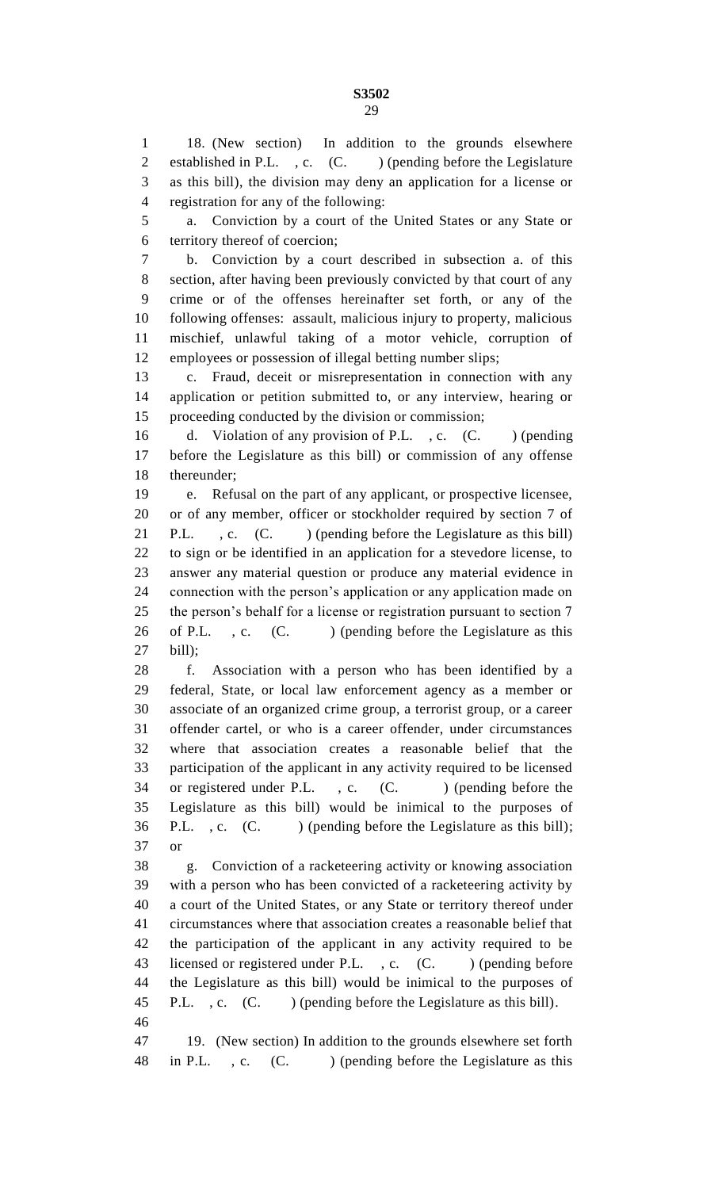18. (New section) In addition to the grounds elsewhere 2 established in P.L., c. (C.) (pending before the Legislature as this bill), the division may deny an application for a license or registration for any of the following:

 a. Conviction by a court of the United States or any State or territory thereof of coercion;

 b. Conviction by a court described in subsection a. of this section, after having been previously convicted by that court of any crime or of the offenses hereinafter set forth, or any of the following offenses: assault, malicious injury to property, malicious mischief, unlawful taking of a motor vehicle, corruption of employees or possession of illegal betting number slips;

 c. Fraud, deceit or misrepresentation in connection with any application or petition submitted to, or any interview, hearing or proceeding conducted by the division or commission;

16 d. Violation of any provision of P.L., c. (C. ) (pending before the Legislature as this bill) or commission of any offense thereunder;

 e. Refusal on the part of any applicant, or prospective licensee, or of any member, officer or stockholder required by section 7 of 21 P.L. , c. (C. ) (pending before the Legislature as this bill) to sign or be identified in an application for a stevedore license, to answer any material question or produce any material evidence in connection with the person's application or any application made on 25 the person's behalf for a license or registration pursuant to section 7 26 of P.L., c. (C.) (pending before the Legislature as this bill);

 f. Association with a person who has been identified by a federal, State, or local law enforcement agency as a member or associate of an organized crime group, a terrorist group, or a career offender cartel, or who is a career offender, under circumstances where that association creates a reasonable belief that the participation of the applicant in any activity required to be licensed 34 or registered under P.L., c. (C. ) (pending before the Legislature as this bill) would be inimical to the purposes of 36 P.L., c. (C.) (pending before the Legislature as this bill); or

 g. Conviction of a racketeering activity or knowing association with a person who has been convicted of a racketeering activity by a court of the United States, or any State or territory thereof under circumstances where that association creates a reasonable belief that the participation of the applicant in any activity required to be 43 licensed or registered under P.L., c. (C. ) (pending before the Legislature as this bill) would be inimical to the purposes of 45 P.L., c. (C. ) (pending before the Legislature as this bill). 

 19. (New section) In addition to the grounds elsewhere set forth 48 in P.L., c. (C.) (pending before the Legislature as this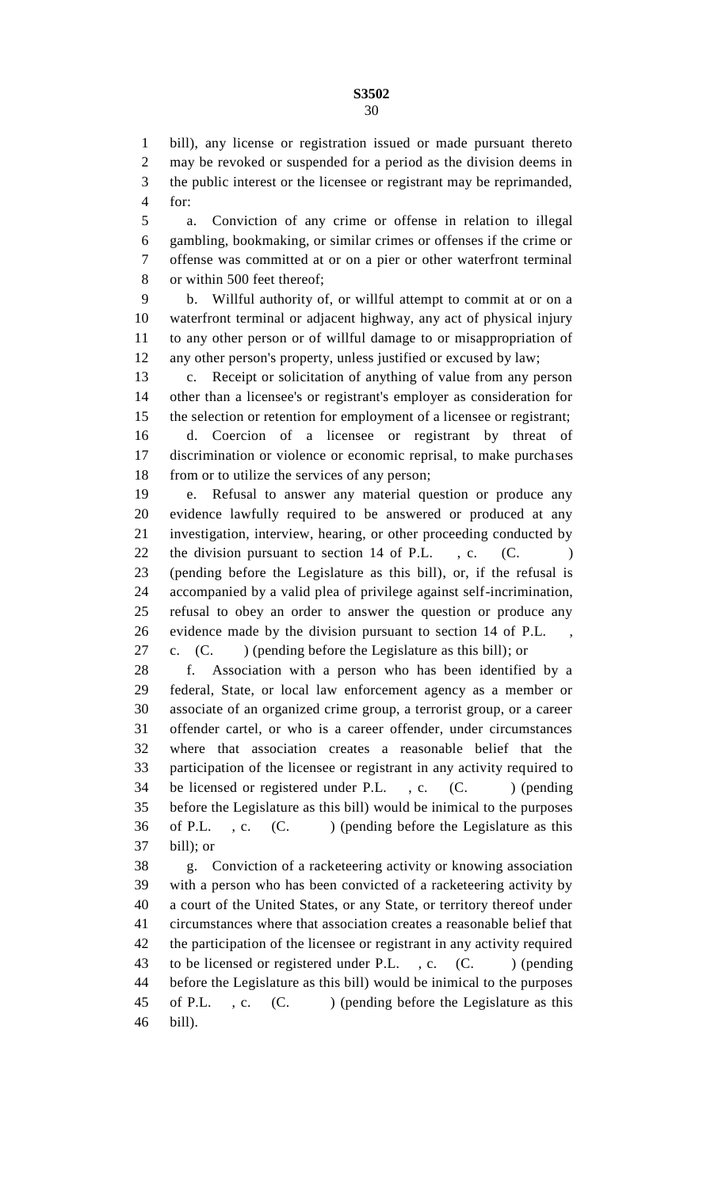bill), any license or registration issued or made pursuant thereto may be revoked or suspended for a period as the division deems in the public interest or the licensee or registrant may be reprimanded, for:

 a. Conviction of any crime or offense in relation to illegal gambling, bookmaking, or similar crimes or offenses if the crime or offense was committed at or on a pier or other waterfront terminal or within 500 feet thereof;

 b. Willful authority of, or willful attempt to commit at or on a waterfront terminal or adjacent highway, any act of physical injury to any other person or of willful damage to or misappropriation of any other person's property, unless justified or excused by law;

 c. Receipt or solicitation of anything of value from any person other than a licensee's or registrant's employer as consideration for the selection or retention for employment of a licensee or registrant; d. Coercion of a licensee or registrant by threat of discrimination or violence or economic reprisal, to make purchases 18 from or to utilize the services of any person;

 e. Refusal to answer any material question or produce any evidence lawfully required to be answered or produced at any investigation, interview, hearing, or other proceeding conducted by 22 the division pursuant to section 14 of P.L., c. (C. (pending before the Legislature as this bill), or, if the refusal is accompanied by a valid plea of privilege against self-incrimination, refusal to obey an order to answer the question or produce any evidence made by the division pursuant to section 14 of P.L. , c. (C. ) (pending before the Legislature as this bill); or

 f. Association with a person who has been identified by a federal, State, or local law enforcement agency as a member or associate of an organized crime group, a terrorist group, or a career offender cartel, or who is a career offender, under circumstances where that association creates a reasonable belief that the participation of the licensee or registrant in any activity required to 34 be licensed or registered under P.L., c. (C. ) (pending before the Legislature as this bill) would be inimical to the purposes 36 of P.L., c. (C.) (pending before the Legislature as this bill); or

 g. Conviction of a racketeering activity or knowing association with a person who has been convicted of a racketeering activity by a court of the United States, or any State, or territory thereof under circumstances where that association creates a reasonable belief that the participation of the licensee or registrant in any activity required 43 to be licensed or registered under P.L., c. (C. ) (pending before the Legislature as this bill) would be inimical to the purposes 45 of P.L., c. (C.) (pending before the Legislature as this bill).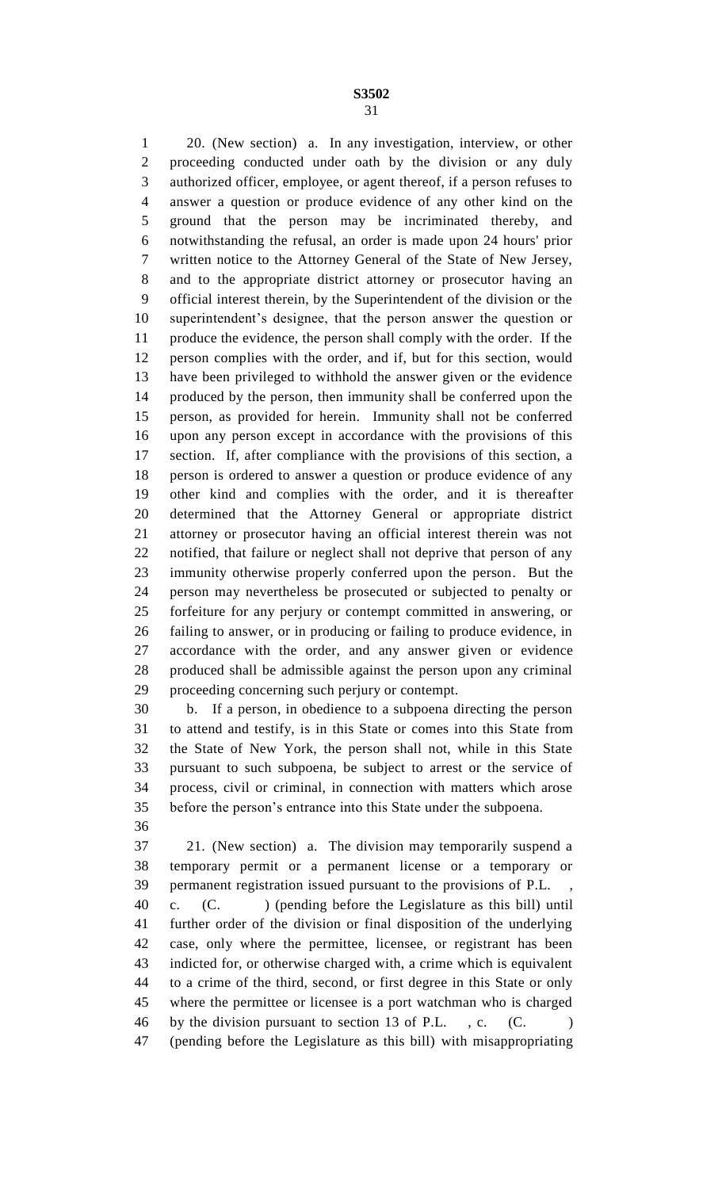20. (New section) a. In any investigation, interview, or other proceeding conducted under oath by the division or any duly authorized officer, employee, or agent thereof, if a person refuses to answer a question or produce evidence of any other kind on the ground that the person may be incriminated thereby, and notwithstanding the refusal, an order is made upon 24 hours' prior written notice to the Attorney General of the State of New Jersey, and to the appropriate district attorney or prosecutor having an official interest therein, by the Superintendent of the division or the superintendent's designee, that the person answer the question or produce the evidence, the person shall comply with the order. If the person complies with the order, and if, but for this section, would have been privileged to withhold the answer given or the evidence produced by the person, then immunity shall be conferred upon the person, as provided for herein. Immunity shall not be conferred upon any person except in accordance with the provisions of this section. If, after compliance with the provisions of this section, a person is ordered to answer a question or produce evidence of any other kind and complies with the order, and it is thereafter determined that the Attorney General or appropriate district attorney or prosecutor having an official interest therein was not notified, that failure or neglect shall not deprive that person of any immunity otherwise properly conferred upon the person. But the person may nevertheless be prosecuted or subjected to penalty or forfeiture for any perjury or contempt committed in answering, or failing to answer, or in producing or failing to produce evidence, in accordance with the order, and any answer given or evidence produced shall be admissible against the person upon any criminal proceeding concerning such perjury or contempt.

 b. If a person, in obedience to a subpoena directing the person to attend and testify, is in this State or comes into this State from the State of New York, the person shall not, while in this State pursuant to such subpoena, be subject to arrest or the service of process, civil or criminal, in connection with matters which arose before the person's entrance into this State under the subpoena.

 21. (New section) a. The division may temporarily suspend a temporary permit or a permanent license or a temporary or permanent registration issued pursuant to the provisions of P.L. , c. (C. ) (pending before the Legislature as this bill) until further order of the division or final disposition of the underlying case, only where the permittee, licensee, or registrant has been indicted for, or otherwise charged with, a crime which is equivalent to a crime of the third, second, or first degree in this State or only where the permittee or licensee is a port watchman who is charged 46 by the division pursuant to section 13 of P.L., c. (C.) (pending before the Legislature as this bill) with misappropriating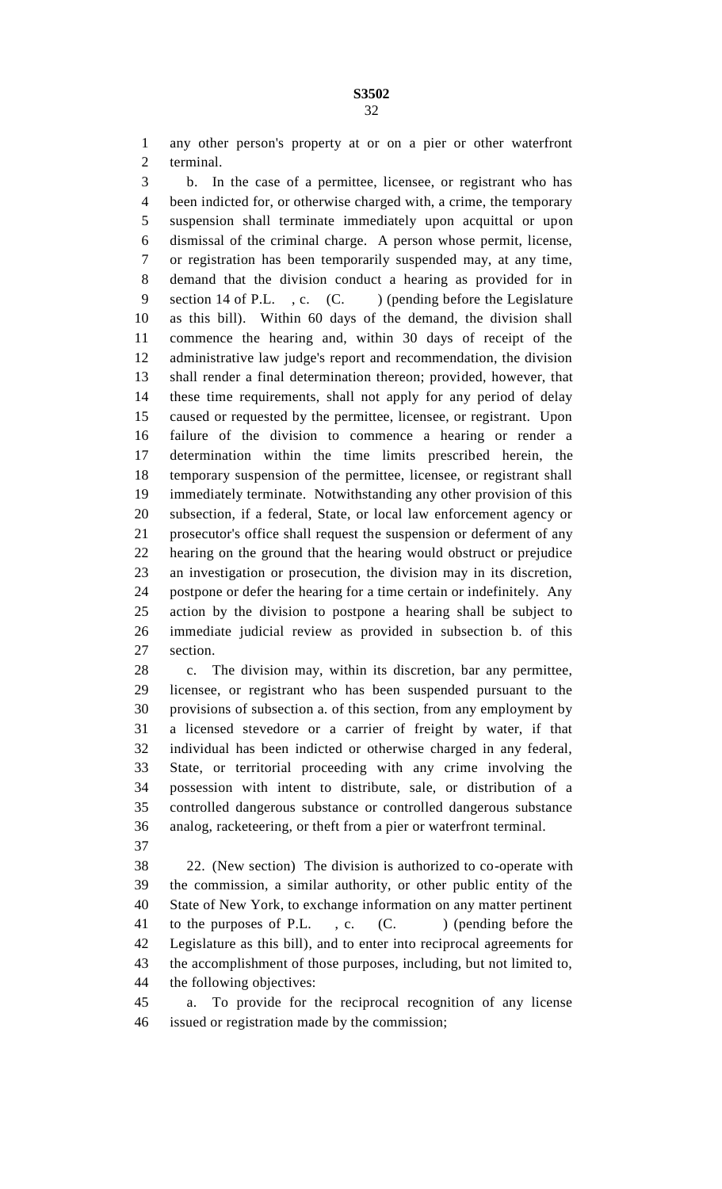any other person's property at or on a pier or other waterfront terminal.

 b. In the case of a permittee, licensee, or registrant who has been indicted for, or otherwise charged with, a crime, the temporary suspension shall terminate immediately upon acquittal or upon dismissal of the criminal charge. A person whose permit, license, or registration has been temporarily suspended may, at any time, demand that the division conduct a hearing as provided for in 9 section 14 of P.L., c. (C.) (pending before the Legislature as this bill). Within 60 days of the demand, the division shall commence the hearing and, within 30 days of receipt of the administrative law judge's report and recommendation, the division shall render a final determination thereon; provided, however, that these time requirements, shall not apply for any period of delay caused or requested by the permittee, licensee, or registrant. Upon failure of the division to commence a hearing or render a determination within the time limits prescribed herein, the temporary suspension of the permittee, licensee, or registrant shall immediately terminate. Notwithstanding any other provision of this subsection, if a federal, State, or local law enforcement agency or prosecutor's office shall request the suspension or deferment of any hearing on the ground that the hearing would obstruct or prejudice an investigation or prosecution, the division may in its discretion, postpone or defer the hearing for a time certain or indefinitely. Any action by the division to postpone a hearing shall be subject to immediate judicial review as provided in subsection b. of this section.

 c. The division may, within its discretion, bar any permittee, licensee, or registrant who has been suspended pursuant to the provisions of subsection a. of this section, from any employment by a licensed stevedore or a carrier of freight by water, if that individual has been indicted or otherwise charged in any federal, State, or territorial proceeding with any crime involving the possession with intent to distribute, sale, or distribution of a controlled dangerous substance or controlled dangerous substance analog, racketeering, or theft from a pier or waterfront terminal.

 22. (New section) The division is authorized to co-operate with the commission, a similar authority, or other public entity of the State of New York, to exchange information on any matter pertinent 41 to the purposes of P.L., c. (C. ) (pending before the Legislature as this bill), and to enter into reciprocal agreements for the accomplishment of those purposes, including, but not limited to, the following objectives:

 a. To provide for the reciprocal recognition of any license issued or registration made by the commission;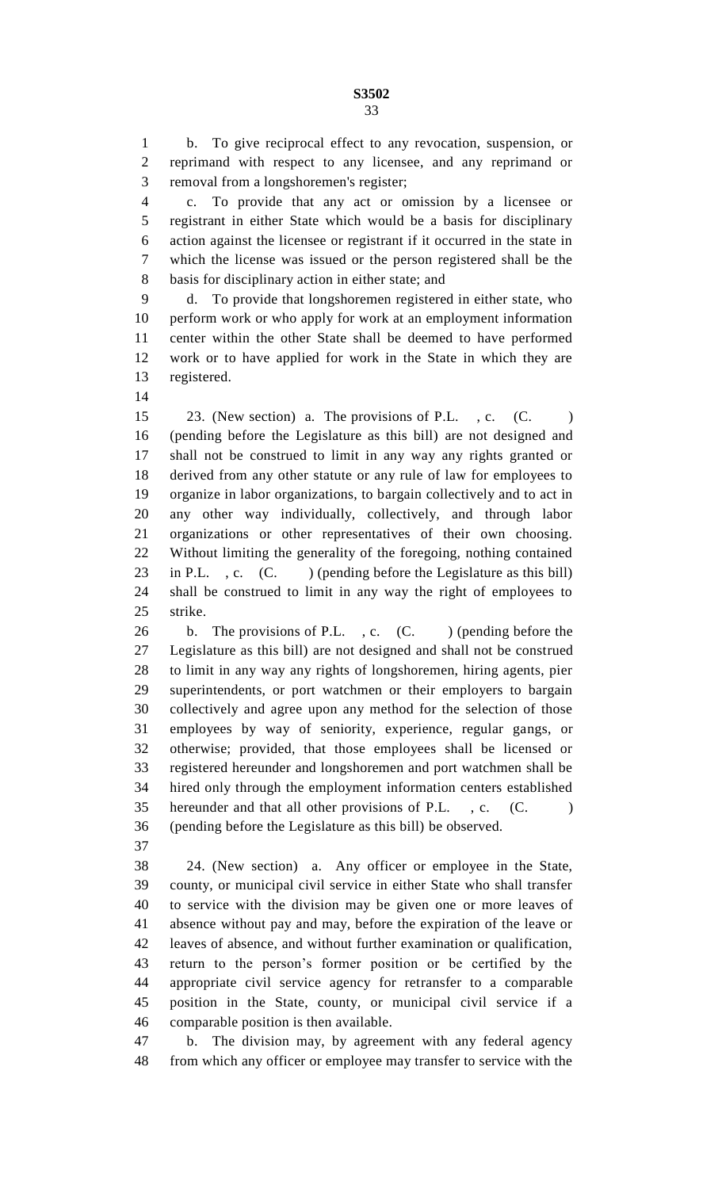b. To give reciprocal effect to any revocation, suspension, or reprimand with respect to any licensee, and any reprimand or removal from a longshoremen's register;

 c. To provide that any act or omission by a licensee or registrant in either State which would be a basis for disciplinary action against the licensee or registrant if it occurred in the state in which the license was issued or the person registered shall be the basis for disciplinary action in either state; and

 d. To provide that longshoremen registered in either state, who perform work or who apply for work at an employment information center within the other State shall be deemed to have performed work or to have applied for work in the State in which they are registered.

 23. (New section) a. The provisions of P.L. , c. (C. ) (pending before the Legislature as this bill) are not designed and shall not be construed to limit in any way any rights granted or derived from any other statute or any rule of law for employees to organize in labor organizations, to bargain collectively and to act in any other way individually, collectively, and through labor organizations or other representatives of their own choosing. Without limiting the generality of the foregoing, nothing contained 23 in P.L., c. (C. ) (pending before the Legislature as this bill) shall be construed to limit in any way the right of employees to strike.

26 b. The provisions of P.L., c. (C. ) (pending before the Legislature as this bill) are not designed and shall not be construed to limit in any way any rights of longshoremen, hiring agents, pier superintendents, or port watchmen or their employers to bargain collectively and agree upon any method for the selection of those employees by way of seniority, experience, regular gangs, or otherwise; provided, that those employees shall be licensed or registered hereunder and longshoremen and port watchmen shall be hired only through the employment information centers established 35 hereunder and that all other provisions of P.L., c. (C.) (pending before the Legislature as this bill) be observed.

 24. (New section) a. Any officer or employee in the State, county, or municipal civil service in either State who shall transfer to service with the division may be given one or more leaves of absence without pay and may, before the expiration of the leave or leaves of absence, and without further examination or qualification, return to the person's former position or be certified by the appropriate civil service agency for retransfer to a comparable position in the State, county, or municipal civil service if a comparable position is then available.

 b. The division may, by agreement with any federal agency from which any officer or employee may transfer to service with the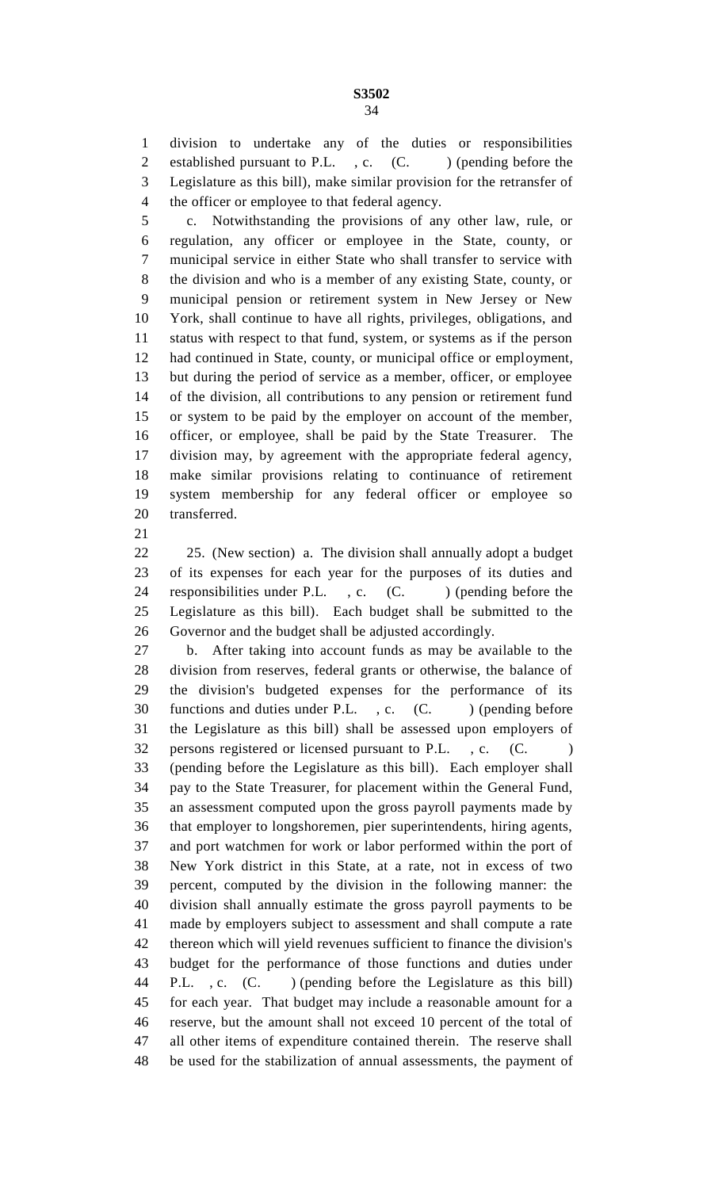division to undertake any of the duties or responsibilities 2 established pursuant to P.L., c. (C. ) (pending before the Legislature as this bill), make similar provision for the retransfer of the officer or employee to that federal agency.

 c. Notwithstanding the provisions of any other law, rule, or regulation, any officer or employee in the State, county, or municipal service in either State who shall transfer to service with the division and who is a member of any existing State, county, or municipal pension or retirement system in New Jersey or New York, shall continue to have all rights, privileges, obligations, and status with respect to that fund, system, or systems as if the person had continued in State, county, or municipal office or employment, but during the period of service as a member, officer, or employee of the division, all contributions to any pension or retirement fund or system to be paid by the employer on account of the member, officer, or employee, shall be paid by the State Treasurer. The division may, by agreement with the appropriate federal agency, make similar provisions relating to continuance of retirement system membership for any federal officer or employee so transferred.

 25. (New section) a. The division shall annually adopt a budget of its expenses for each year for the purposes of its duties and 24 responsibilities under P.L., c. (C. ) (pending before the Legislature as this bill). Each budget shall be submitted to the Governor and the budget shall be adjusted accordingly.

 b. After taking into account funds as may be available to the division from reserves, federal grants or otherwise, the balance of the division's budgeted expenses for the performance of its 30 functions and duties under P.L., c. (C.) (pending before the Legislature as this bill) shall be assessed upon employers of 32 persons registered or licensed pursuant to P.L., c. (C. (pending before the Legislature as this bill). Each employer shall pay to the State Treasurer, for placement within the General Fund, an assessment computed upon the gross payroll payments made by that employer to longshoremen, pier superintendents, hiring agents, and port watchmen for work or labor performed within the port of New York district in this State, at a rate, not in excess of two percent, computed by the division in the following manner: the division shall annually estimate the gross payroll payments to be made by employers subject to assessment and shall compute a rate thereon which will yield revenues sufficient to finance the division's budget for the performance of those functions and duties under 44 P.L., c. (C.) (pending before the Legislature as this bill) for each year. That budget may include a reasonable amount for a reserve, but the amount shall not exceed 10 percent of the total of all other items of expenditure contained therein. The reserve shall be used for the stabilization of annual assessments, the payment of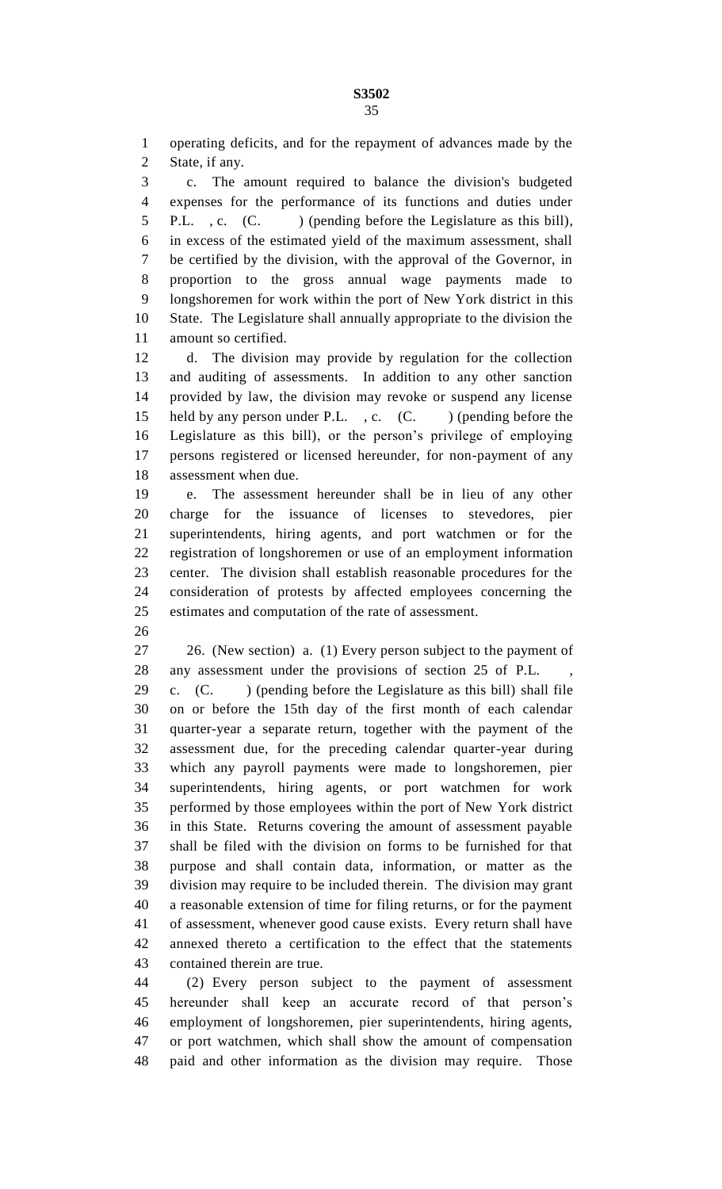operating deficits, and for the repayment of advances made by the State, if any.

 c. The amount required to balance the division's budgeted expenses for the performance of its functions and duties under 5 P.L., c. (C. ) (pending before the Legislature as this bill), in excess of the estimated yield of the maximum assessment, shall be certified by the division, with the approval of the Governor, in proportion to the gross annual wage payments made to longshoremen for work within the port of New York district in this State. The Legislature shall annually appropriate to the division the amount so certified.

 d. The division may provide by regulation for the collection and auditing of assessments. In addition to any other sanction provided by law, the division may revoke or suspend any license 15 held by any person under P.L., c. (C. ) (pending before the Legislature as this bill), or the person's privilege of employing persons registered or licensed hereunder, for non-payment of any assessment when due.

 e. The assessment hereunder shall be in lieu of any other charge for the issuance of licenses to stevedores, pier superintendents, hiring agents, and port watchmen or for the registration of longshoremen or use of an employment information center. The division shall establish reasonable procedures for the consideration of protests by affected employees concerning the estimates and computation of the rate of assessment.

 26. (New section) a. (1) Every person subject to the payment of 28 any assessment under the provisions of section 25 of P.L.

 c. (C. ) (pending before the Legislature as this bill) shall file on or before the 15th day of the first month of each calendar quarter-year a separate return, together with the payment of the assessment due, for the preceding calendar quarter-year during which any payroll payments were made to longshoremen, pier superintendents, hiring agents, or port watchmen for work performed by those employees within the port of New York district in this State. Returns covering the amount of assessment payable shall be filed with the division on forms to be furnished for that purpose and shall contain data, information, or matter as the division may require to be included therein. The division may grant a reasonable extension of time for filing returns, or for the payment of assessment, whenever good cause exists. Every return shall have annexed thereto a certification to the effect that the statements contained therein are true.

 (2) Every person subject to the payment of assessment hereunder shall keep an accurate record of that person's employment of longshoremen, pier superintendents, hiring agents, or port watchmen, which shall show the amount of compensation paid and other information as the division may require. Those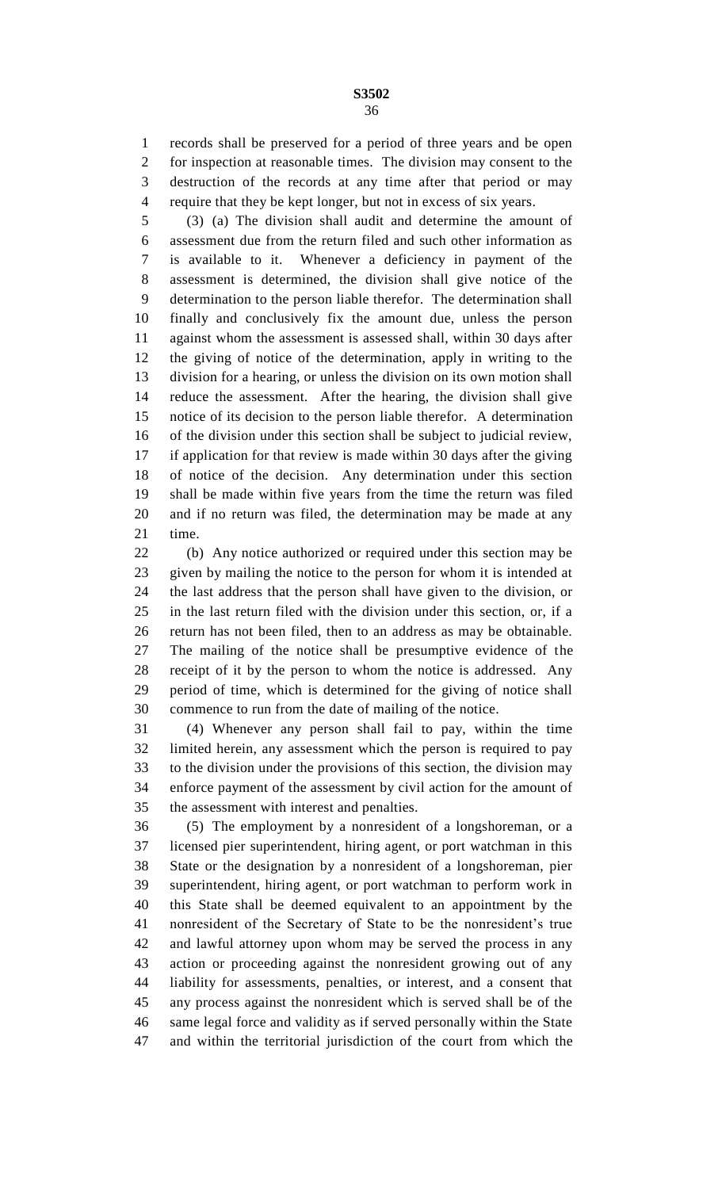records shall be preserved for a period of three years and be open for inspection at reasonable times. The division may consent to the destruction of the records at any time after that period or may require that they be kept longer, but not in excess of six years.

 (3) (a) The division shall audit and determine the amount of assessment due from the return filed and such other information as is available to it. Whenever a deficiency in payment of the assessment is determined, the division shall give notice of the determination to the person liable therefor. The determination shall finally and conclusively fix the amount due, unless the person against whom the assessment is assessed shall, within 30 days after the giving of notice of the determination, apply in writing to the division for a hearing, or unless the division on its own motion shall reduce the assessment. After the hearing, the division shall give notice of its decision to the person liable therefor. A determination of the division under this section shall be subject to judicial review, if application for that review is made within 30 days after the giving of notice of the decision. Any determination under this section shall be made within five years from the time the return was filed and if no return was filed, the determination may be made at any time.

 (b) Any notice authorized or required under this section may be given by mailing the notice to the person for whom it is intended at the last address that the person shall have given to the division, or in the last return filed with the division under this section, or, if a return has not been filed, then to an address as may be obtainable. The mailing of the notice shall be presumptive evidence of the receipt of it by the person to whom the notice is addressed. Any period of time, which is determined for the giving of notice shall commence to run from the date of mailing of the notice.

 (4) Whenever any person shall fail to pay, within the time limited herein, any assessment which the person is required to pay to the division under the provisions of this section, the division may enforce payment of the assessment by civil action for the amount of the assessment with interest and penalties.

 (5) The employment by a nonresident of a longshoreman, or a licensed pier superintendent, hiring agent, or port watchman in this State or the designation by a nonresident of a longshoreman, pier superintendent, hiring agent, or port watchman to perform work in this State shall be deemed equivalent to an appointment by the nonresident of the Secretary of State to be the nonresident's true and lawful attorney upon whom may be served the process in any action or proceeding against the nonresident growing out of any liability for assessments, penalties, or interest, and a consent that any process against the nonresident which is served shall be of the same legal force and validity as if served personally within the State and within the territorial jurisdiction of the court from which the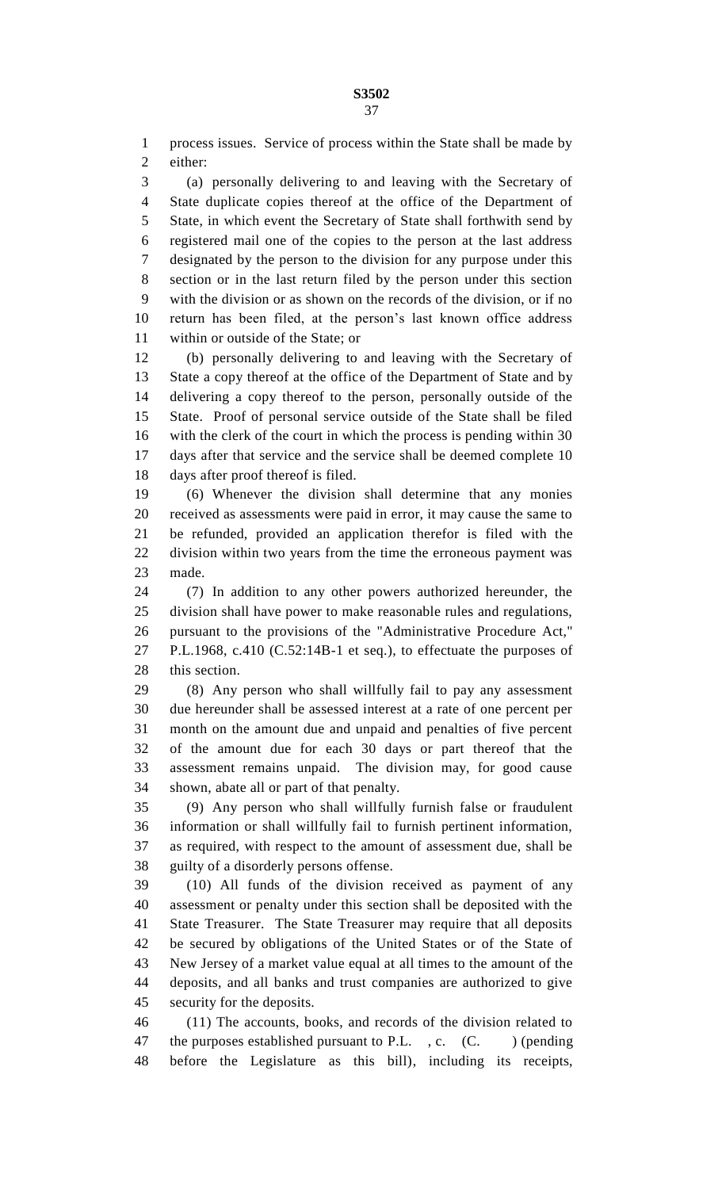process issues. Service of process within the State shall be made by either:

 (a) personally delivering to and leaving with the Secretary of State duplicate copies thereof at the office of the Department of State, in which event the Secretary of State shall forthwith send by registered mail one of the copies to the person at the last address designated by the person to the division for any purpose under this section or in the last return filed by the person under this section with the division or as shown on the records of the division, or if no return has been filed, at the person's last known office address within or outside of the State; or

 (b) personally delivering to and leaving with the Secretary of State a copy thereof at the office of the Department of State and by delivering a copy thereof to the person, personally outside of the State. Proof of personal service outside of the State shall be filed with the clerk of the court in which the process is pending within 30 days after that service and the service shall be deemed complete 10 days after proof thereof is filed.

 (6) Whenever the division shall determine that any monies received as assessments were paid in error, it may cause the same to be refunded, provided an application therefor is filed with the division within two years from the time the erroneous payment was made.

 (7) In addition to any other powers authorized hereunder, the division shall have power to make reasonable rules and regulations, pursuant to the provisions of the "Administrative Procedure Act," P.L.1968, c.410 (C.52:14B-1 et seq.), to effectuate the purposes of this section.

 (8) Any person who shall willfully fail to pay any assessment due hereunder shall be assessed interest at a rate of one percent per month on the amount due and unpaid and penalties of five percent of the amount due for each 30 days or part thereof that the assessment remains unpaid. The division may, for good cause shown, abate all or part of that penalty.

 (9) Any person who shall willfully furnish false or fraudulent information or shall willfully fail to furnish pertinent information, as required, with respect to the amount of assessment due, shall be guilty of a disorderly persons offense.

 (10) All funds of the division received as payment of any assessment or penalty under this section shall be deposited with the State Treasurer. The State Treasurer may require that all deposits be secured by obligations of the United States or of the State of New Jersey of a market value equal at all times to the amount of the deposits, and all banks and trust companies are authorized to give security for the deposits.

 (11) The accounts, books, and records of the division related to 47 the purposes established pursuant to P.L., c.  $(C.$  (c. ) (pending before the Legislature as this bill), including its receipts,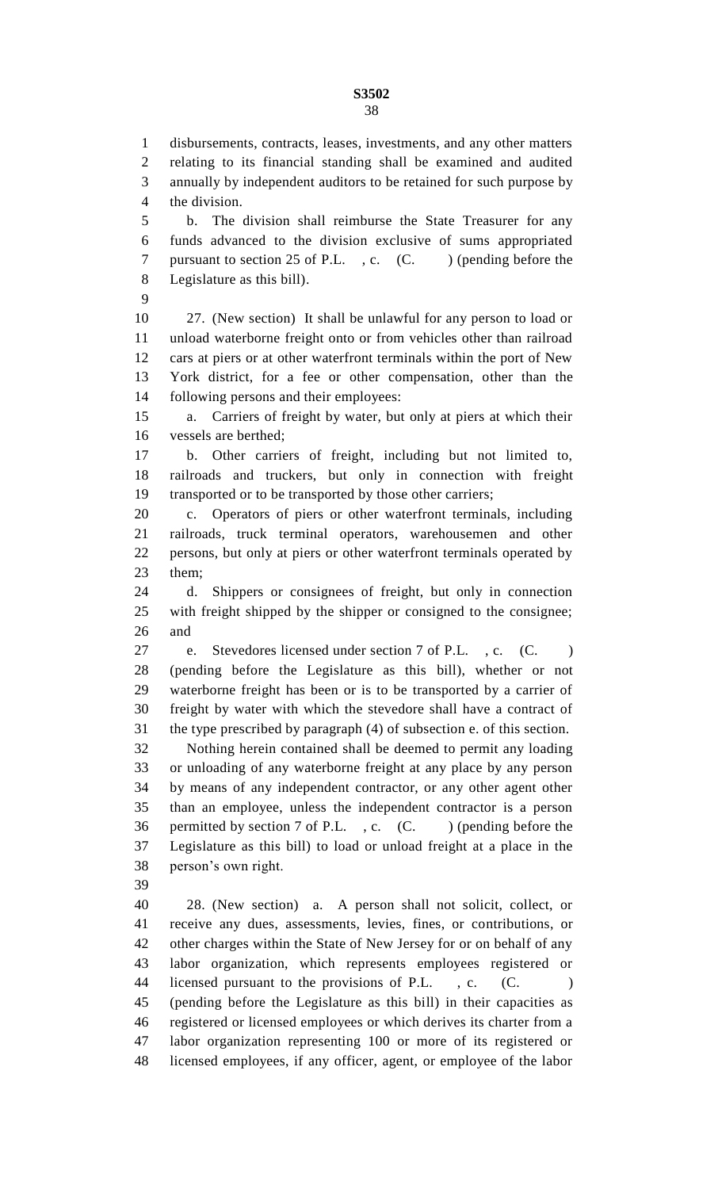## **S3502**

 b. The division shall reimburse the State Treasurer for any funds advanced to the division exclusive of sums appropriated 7 pursuant to section 25 of P.L., c. (C. ) (pending before the Legislature as this bill).

 27. (New section) It shall be unlawful for any person to load or unload waterborne freight onto or from vehicles other than railroad cars at piers or at other waterfront terminals within the port of New York district, for a fee or other compensation, other than the following persons and their employees:

 a. Carriers of freight by water, but only at piers at which their vessels are berthed;

 b. Other carriers of freight, including but not limited to, railroads and truckers, but only in connection with freight transported or to be transported by those other carriers;

 c. Operators of piers or other waterfront terminals, including railroads, truck terminal operators, warehousemen and other persons, but only at piers or other waterfront terminals operated by them;

 d. Shippers or consignees of freight, but only in connection with freight shipped by the shipper or consigned to the consignee; and

 e. Stevedores licensed under section 7 of P.L. , c. (C. ) (pending before the Legislature as this bill), whether or not waterborne freight has been or is to be transported by a carrier of freight by water with which the stevedore shall have a contract of the type prescribed by paragraph (4) of subsection e. of this section.

 Nothing herein contained shall be deemed to permit any loading or unloading of any waterborne freight at any place by any person by means of any independent contractor, or any other agent other than an employee, unless the independent contractor is a person 36 permitted by section 7 of P.L., c. (C. ) (pending before the Legislature as this bill) to load or unload freight at a place in the person's own right.

 28. (New section) a. A person shall not solicit, collect, or receive any dues, assessments, levies, fines, or contributions, or other charges within the State of New Jersey for or on behalf of any labor organization, which represents employees registered or 44 licensed pursuant to the provisions of P.L., c. (C. (pending before the Legislature as this bill) in their capacities as registered or licensed employees or which derives its charter from a labor organization representing 100 or more of its registered or licensed employees, if any officer, agent, or employee of the labor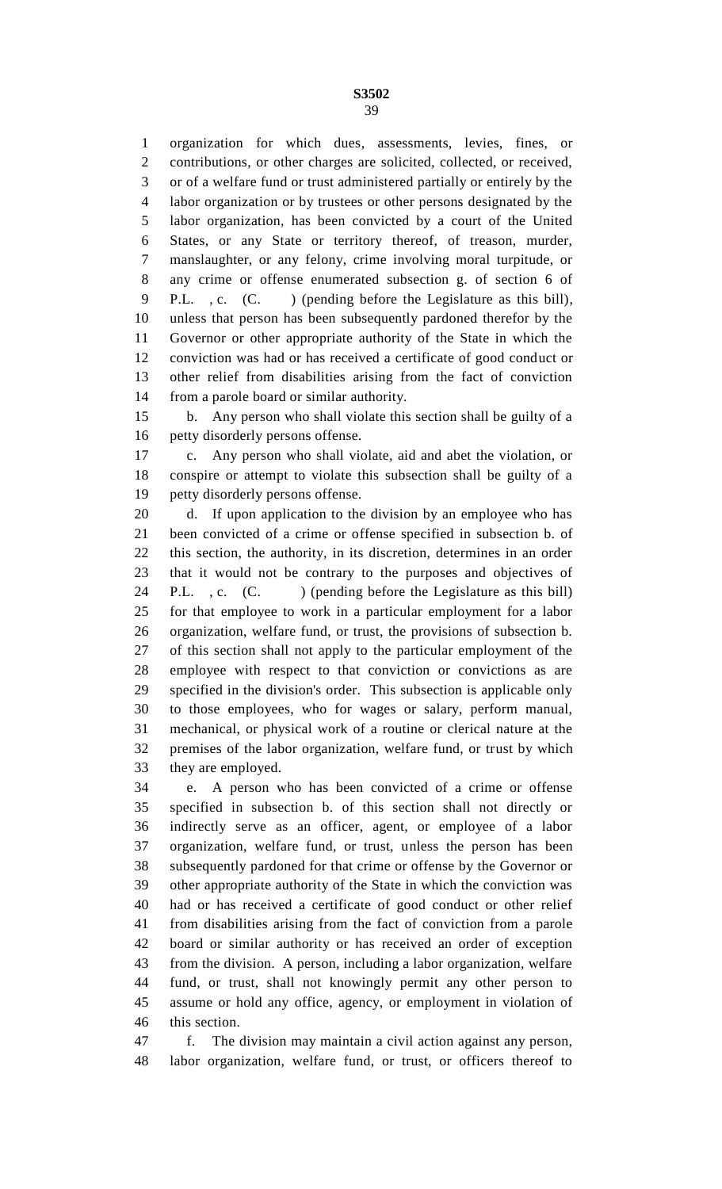**S3502** 

 organization for which dues, assessments, levies, fines, or contributions, or other charges are solicited, collected, or received, or of a welfare fund or trust administered partially or entirely by the labor organization or by trustees or other persons designated by the labor organization, has been convicted by a court of the United States, or any State or territory thereof, of treason, murder, manslaughter, or any felony, crime involving moral turpitude, or any crime or offense enumerated subsection g. of section 6 of P.L. , c. (C. ) (pending before the Legislature as this bill), unless that person has been subsequently pardoned therefor by the Governor or other appropriate authority of the State in which the conviction was had or has received a certificate of good conduct or other relief from disabilities arising from the fact of conviction from a parole board or similar authority.

 b. Any person who shall violate this section shall be guilty of a petty disorderly persons offense.

 c. Any person who shall violate, aid and abet the violation, or conspire or attempt to violate this subsection shall be guilty of a petty disorderly persons offense.

 d. If upon application to the division by an employee who has been convicted of a crime or offense specified in subsection b. of this section, the authority, in its discretion, determines in an order that it would not be contrary to the purposes and objectives of 24 P.L., c. (C. ) (pending before the Legislature as this bill) for that employee to work in a particular employment for a labor organization, welfare fund, or trust, the provisions of subsection b. of this section shall not apply to the particular employment of the employee with respect to that conviction or convictions as are specified in the division's order. This subsection is applicable only to those employees, who for wages or salary, perform manual, mechanical, or physical work of a routine or clerical nature at the premises of the labor organization, welfare fund, or trust by which they are employed.

 e. A person who has been convicted of a crime or offense specified in subsection b. of this section shall not directly or indirectly serve as an officer, agent, or employee of a labor organization, welfare fund, or trust, unless the person has been subsequently pardoned for that crime or offense by the Governor or other appropriate authority of the State in which the conviction was had or has received a certificate of good conduct or other relief from disabilities arising from the fact of conviction from a parole board or similar authority or has received an order of exception from the division. A person, including a labor organization, welfare fund, or trust, shall not knowingly permit any other person to assume or hold any office, agency, or employment in violation of this section.

 f. The division may maintain a civil action against any person, labor organization, welfare fund, or trust, or officers thereof to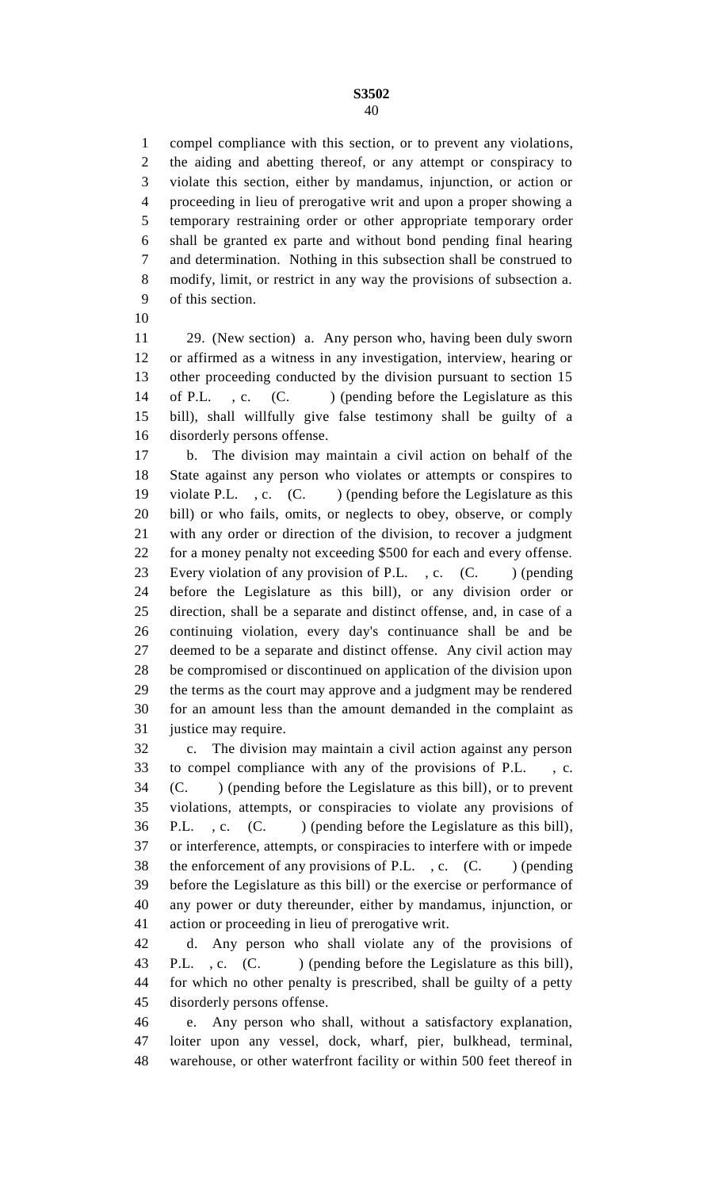compel compliance with this section, or to prevent any violations, the aiding and abetting thereof, or any attempt or conspiracy to violate this section, either by mandamus, injunction, or action or proceeding in lieu of prerogative writ and upon a proper showing a temporary restraining order or other appropriate temporary order shall be granted ex parte and without bond pending final hearing and determination. Nothing in this subsection shall be construed to modify, limit, or restrict in any way the provisions of subsection a. of this section.

 29. (New section) a. Any person who, having been duly sworn or affirmed as a witness in any investigation, interview, hearing or other proceeding conducted by the division pursuant to section 15 14 of P.L., c. (C.) (pending before the Legislature as this bill), shall willfully give false testimony shall be guilty of a disorderly persons offense.

 b. The division may maintain a civil action on behalf of the State against any person who violates or attempts or conspires to 19 violate P.L., c. (C.) (pending before the Legislature as this bill) or who fails, omits, or neglects to obey, observe, or comply with any order or direction of the division, to recover a judgment for a money penalty not exceeding \$500 for each and every offense. 23 Every violation of any provision of P.L., c. (C.) (pending before the Legislature as this bill), or any division order or direction, shall be a separate and distinct offense, and, in case of a continuing violation, every day's continuance shall be and be deemed to be a separate and distinct offense. Any civil action may be compromised or discontinued on application of the division upon the terms as the court may approve and a judgment may be rendered for an amount less than the amount demanded in the complaint as justice may require.

 c. The division may maintain a civil action against any person to compel compliance with any of the provisions of P.L. , c. (C. ) (pending before the Legislature as this bill), or to prevent violations, attempts, or conspiracies to violate any provisions of P.L. , c. (C. ) (pending before the Legislature as this bill), or interference, attempts, or conspiracies to interfere with or impede 38 the enforcement of any provisions of P.L., c. (C.) (pending before the Legislature as this bill) or the exercise or performance of any power or duty thereunder, either by mandamus, injunction, or action or proceeding in lieu of prerogative writ.

 d. Any person who shall violate any of the provisions of 43 P.L., c. (C. ) (pending before the Legislature as this bill), for which no other penalty is prescribed, shall be guilty of a petty disorderly persons offense.

 e. Any person who shall, without a satisfactory explanation, loiter upon any vessel, dock, wharf, pier, bulkhead, terminal, warehouse, or other waterfront facility or within 500 feet thereof in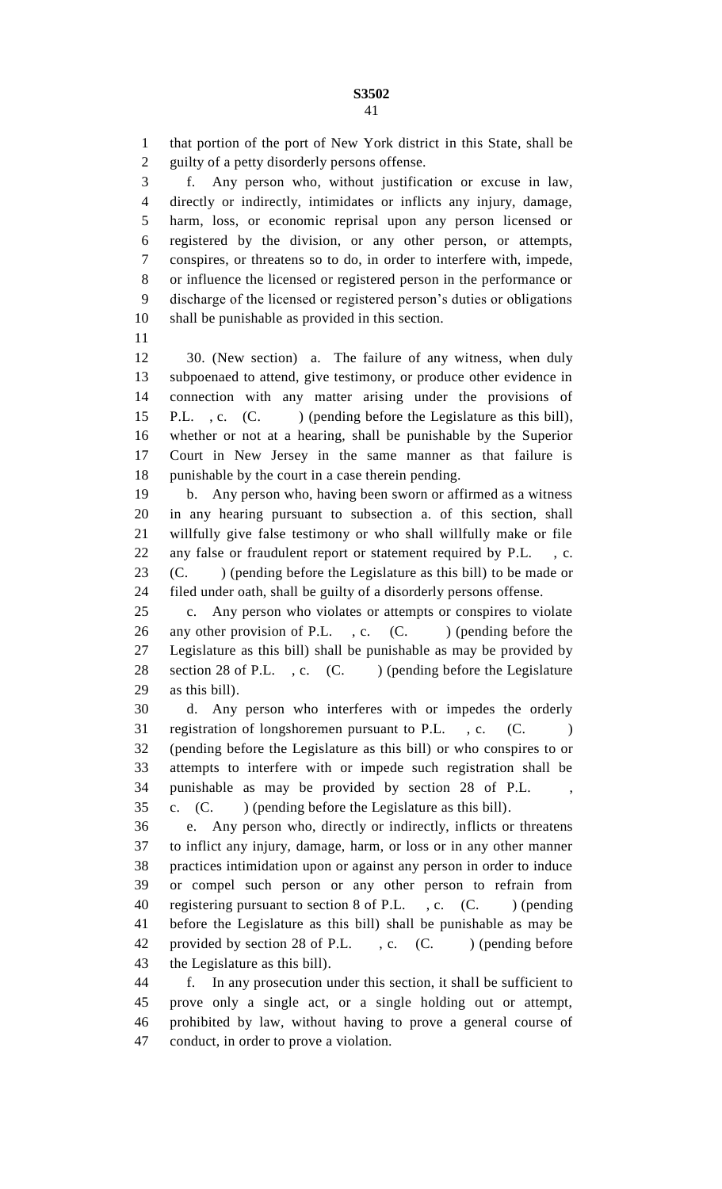that portion of the port of New York district in this State, shall be guilty of a petty disorderly persons offense.

 f. Any person who, without justification or excuse in law, directly or indirectly, intimidates or inflicts any injury, damage, harm, loss, or economic reprisal upon any person licensed or registered by the division, or any other person, or attempts, conspires, or threatens so to do, in order to interfere with, impede, or influence the licensed or registered person in the performance or discharge of the licensed or registered person's duties or obligations shall be punishable as provided in this section.

 30. (New section) a. The failure of any witness, when duly subpoenaed to attend, give testimony, or produce other evidence in connection with any matter arising under the provisions of 15 P.L., c. (C. ) (pending before the Legislature as this bill), whether or not at a hearing, shall be punishable by the Superior Court in New Jersey in the same manner as that failure is punishable by the court in a case therein pending.

 b. Any person who, having been sworn or affirmed as a witness in any hearing pursuant to subsection a. of this section, shall willfully give false testimony or who shall willfully make or file any false or fraudulent report or statement required by P.L. , c. (C. ) (pending before the Legislature as this bill) to be made or filed under oath, shall be guilty of a disorderly persons offense.

 c. Any person who violates or attempts or conspires to violate 26 any other provision of P.L., c. (C. ) (pending before the Legislature as this bill) shall be punishable as may be provided by 28 section 28 of P.L., c. (C.) (pending before the Legislature as this bill).

 d. Any person who interferes with or impedes the orderly 31 registration of longshoremen pursuant to P.L., c. (C.) (pending before the Legislature as this bill) or who conspires to or attempts to interfere with or impede such registration shall be punishable as may be provided by section 28 of P.L. , c. (C. ) (pending before the Legislature as this bill).

 e. Any person who, directly or indirectly, inflicts or threatens to inflict any injury, damage, harm, or loss or in any other manner practices intimidation upon or against any person in order to induce or compel such person or any other person to refrain from 40 registering pursuant to section 8 of P.L., c. (C.) (pending before the Legislature as this bill) shall be punishable as may be 42 provided by section 28 of P.L., c. (C. ) (pending before the Legislature as this bill).

 f. In any prosecution under this section, it shall be sufficient to prove only a single act, or a single holding out or attempt, prohibited by law, without having to prove a general course of conduct, in order to prove a violation.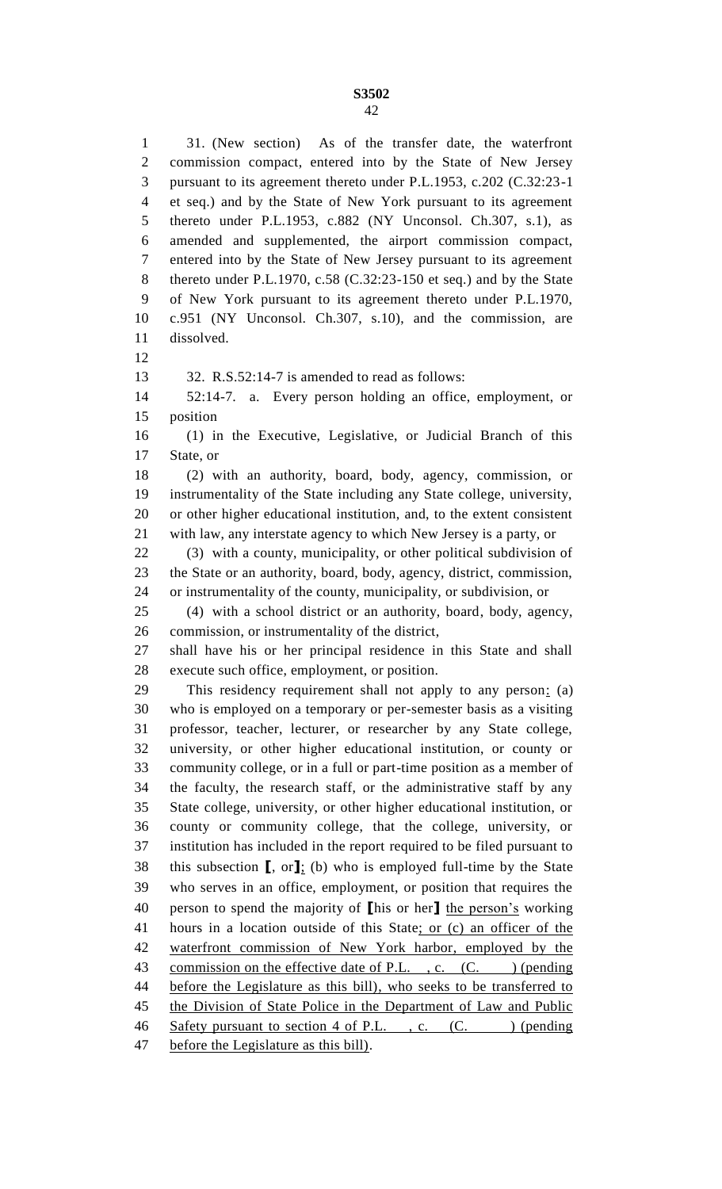31. (New section) As of the transfer date, the waterfront commission compact, entered into by the State of New Jersey pursuant to its agreement thereto under P.L.1953, c.202 (C.32:23-1 et seq.) and by the State of New York pursuant to its agreement thereto under P.L.1953, c.882 (NY Unconsol. Ch.307, s.1), as amended and supplemented, the airport commission compact, entered into by the State of New Jersey pursuant to its agreement thereto under P.L.1970, c.58 (C.32:23-150 et seq.) and by the State of New York pursuant to its agreement thereto under P.L.1970, c.951 (NY Unconsol. Ch.307, s.10), and the commission, are dissolved. 32. R.S.52:14-7 is amended to read as follows: 52:14-7. a. Every person holding an office, employment, or position (1) in the Executive, Legislative, or Judicial Branch of this State, or (2) with an authority, board, body, agency, commission, or instrumentality of the State including any State college, university, or other higher educational institution, and, to the extent consistent with law, any interstate agency to which New Jersey is a party, or (3) with a county, municipality, or other political subdivision of the State or an authority, board, body, agency, district, commission, or instrumentality of the county, municipality, or subdivision, or (4) with a school district or an authority, board, body, agency, commission, or instrumentality of the district, shall have his or her principal residence in this State and shall execute such office, employment, or position. This residency requirement shall not apply to any person: (a) who is employed on a temporary or per-semester basis as a visiting professor, teacher, lecturer, or researcher by any State college, university, or other higher educational institution, or county or community college, or in a full or part-time position as a member of the faculty, the research staff, or the administrative staff by any State college, university, or other higher educational institution, or county or community college, that the college, university, or institution has included in the report required to be filed pursuant to this subsection **[**, or**]**; (b) who is employed full-time by the State who serves in an office, employment, or position that requires the person to spend the majority of **[**his or her**]** the person's working hours in a location outside of this State; or (c) an officer of the waterfront commission of New York harbor, employed by the 43 commission on the effective date of P.L., c. (C. ) (pending 44 before the Legislature as this bill), who seeks to be transferred to 45 the Division of State Police in the Department of Law and Public 46 Safety pursuant to section 4 of P.L., c. (C. ) (pending 47 before the Legislature as this bill).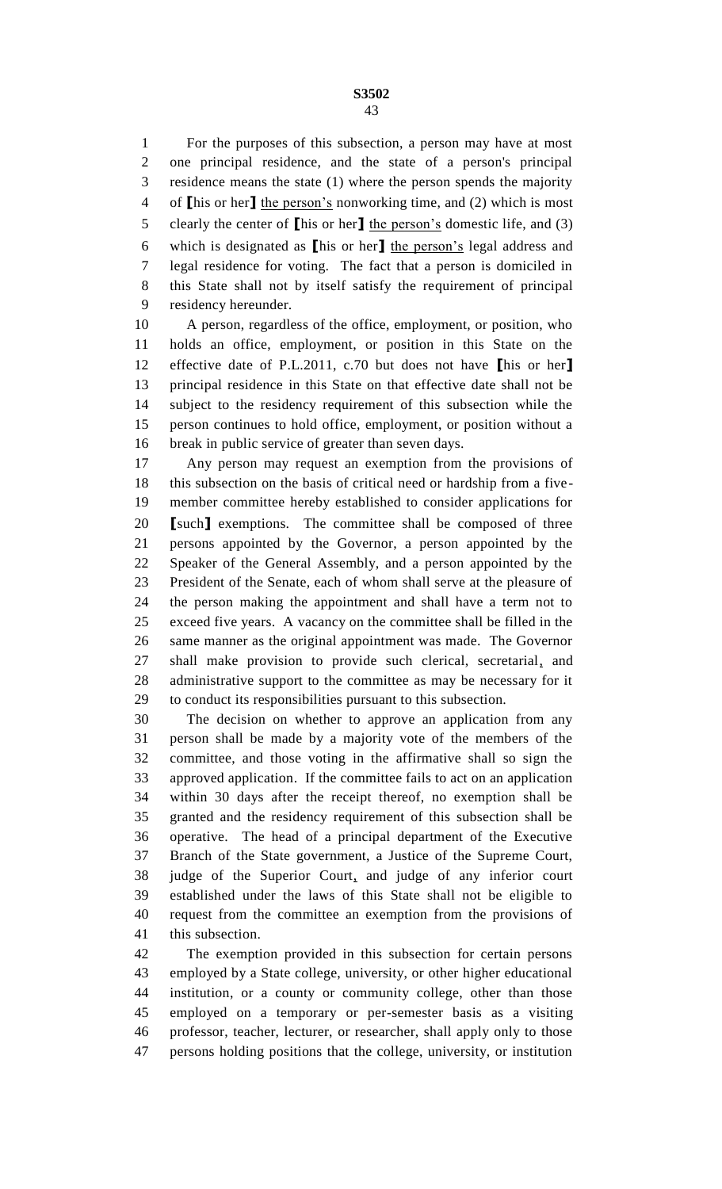For the purposes of this subsection, a person may have at most one principal residence, and the state of a person's principal residence means the state (1) where the person spends the majority of **[**his or her**]** the person's nonworking time, and (2) which is most clearly the center of **[**his or her**]** the person's domestic life, and (3) which is designated as **[**his or her**]** the person's legal address and legal residence for voting. The fact that a person is domiciled in this State shall not by itself satisfy the requirement of principal residency hereunder.

 A person, regardless of the office, employment, or position, who holds an office, employment, or position in this State on the effective date of P.L.2011, c.70 but does not have **[**his or her**]** principal residence in this State on that effective date shall not be subject to the residency requirement of this subsection while the person continues to hold office, employment, or position without a break in public service of greater than seven days.

 Any person may request an exemption from the provisions of this subsection on the basis of critical need or hardship from a five- member committee hereby established to consider applications for **[**such**]** exemptions. The committee shall be composed of three persons appointed by the Governor, a person appointed by the Speaker of the General Assembly, and a person appointed by the President of the Senate, each of whom shall serve at the pleasure of the person making the appointment and shall have a term not to exceed five years. A vacancy on the committee shall be filled in the same manner as the original appointment was made. The Governor shall make provision to provide such clerical, secretarial, and administrative support to the committee as may be necessary for it to conduct its responsibilities pursuant to this subsection.

 The decision on whether to approve an application from any person shall be made by a majority vote of the members of the committee, and those voting in the affirmative shall so sign the approved application. If the committee fails to act on an application within 30 days after the receipt thereof, no exemption shall be granted and the residency requirement of this subsection shall be operative. The head of a principal department of the Executive Branch of the State government, a Justice of the Supreme Court, judge of the Superior Court, and judge of any inferior court established under the laws of this State shall not be eligible to request from the committee an exemption from the provisions of this subsection.

 The exemption provided in this subsection for certain persons employed by a State college, university, or other higher educational institution, or a county or community college, other than those employed on a temporary or per-semester basis as a visiting professor, teacher, lecturer, or researcher, shall apply only to those persons holding positions that the college, university, or institution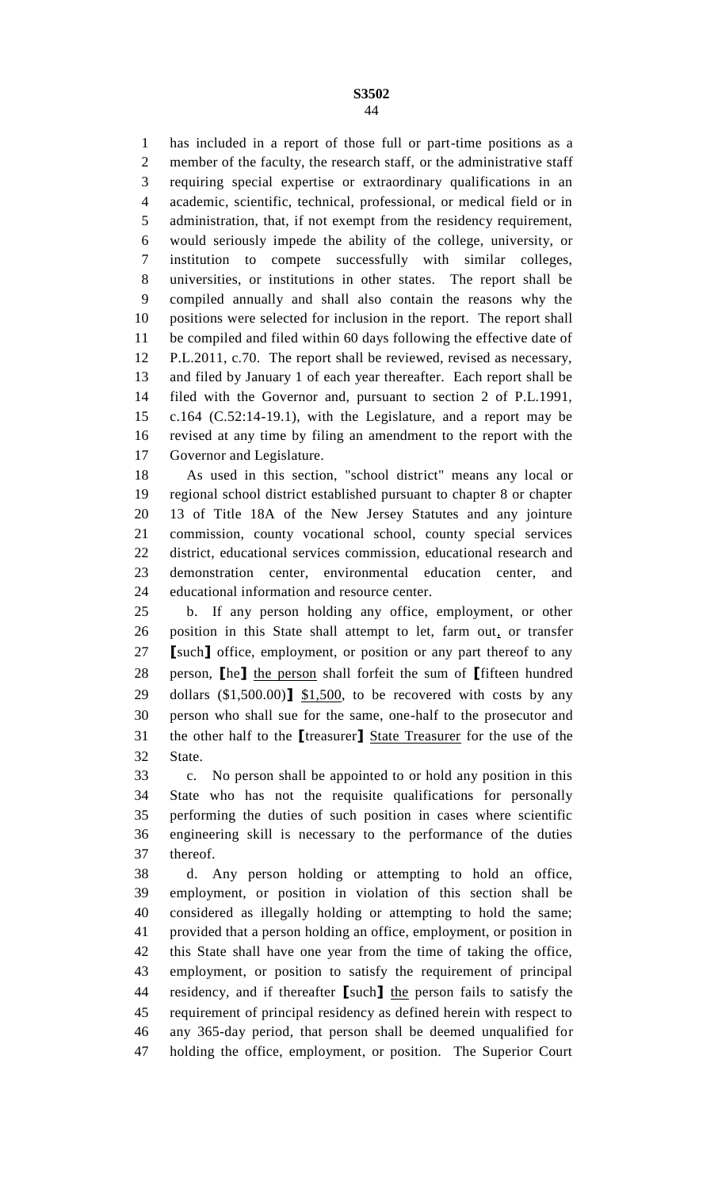has included in a report of those full or part-time positions as a member of the faculty, the research staff, or the administrative staff requiring special expertise or extraordinary qualifications in an academic, scientific, technical, professional, or medical field or in administration, that, if not exempt from the residency requirement, would seriously impede the ability of the college, university, or institution to compete successfully with similar colleges, universities, or institutions in other states. The report shall be compiled annually and shall also contain the reasons why the positions were selected for inclusion in the report. The report shall be compiled and filed within 60 days following the effective date of P.L.2011, c.70. The report shall be reviewed, revised as necessary, and filed by January 1 of each year thereafter. Each report shall be filed with the Governor and, pursuant to section 2 of P.L.1991, c.164 (C.52:14-19.1), with the Legislature, and a report may be revised at any time by filing an amendment to the report with the Governor and Legislature.

 As used in this section, "school district" means any local or regional school district established pursuant to chapter 8 or chapter 13 of Title 18A of the New Jersey Statutes and any jointure commission, county vocational school, county special services district, educational services commission, educational research and demonstration center, environmental education center, and educational information and resource center.

 b. If any person holding any office, employment, or other position in this State shall attempt to let, farm out, or transfer **[**such**]** office, employment, or position or any part thereof to any person, **[**he**]** the person shall forfeit the sum of **[**fifteen hundred dollars (\$1,500.00)**]** \$1,500, to be recovered with costs by any person who shall sue for the same, one-half to the prosecutor and the other half to the **[**treasurer**]** State Treasurer for the use of the State.

 c. No person shall be appointed to or hold any position in this State who has not the requisite qualifications for personally performing the duties of such position in cases where scientific engineering skill is necessary to the performance of the duties thereof.

 d. Any person holding or attempting to hold an office, employment, or position in violation of this section shall be considered as illegally holding or attempting to hold the same; provided that a person holding an office, employment, or position in this State shall have one year from the time of taking the office, employment, or position to satisfy the requirement of principal residency, and if thereafter **[**such**]** the person fails to satisfy the requirement of principal residency as defined herein with respect to any 365-day period, that person shall be deemed unqualified for holding the office, employment, or position. The Superior Court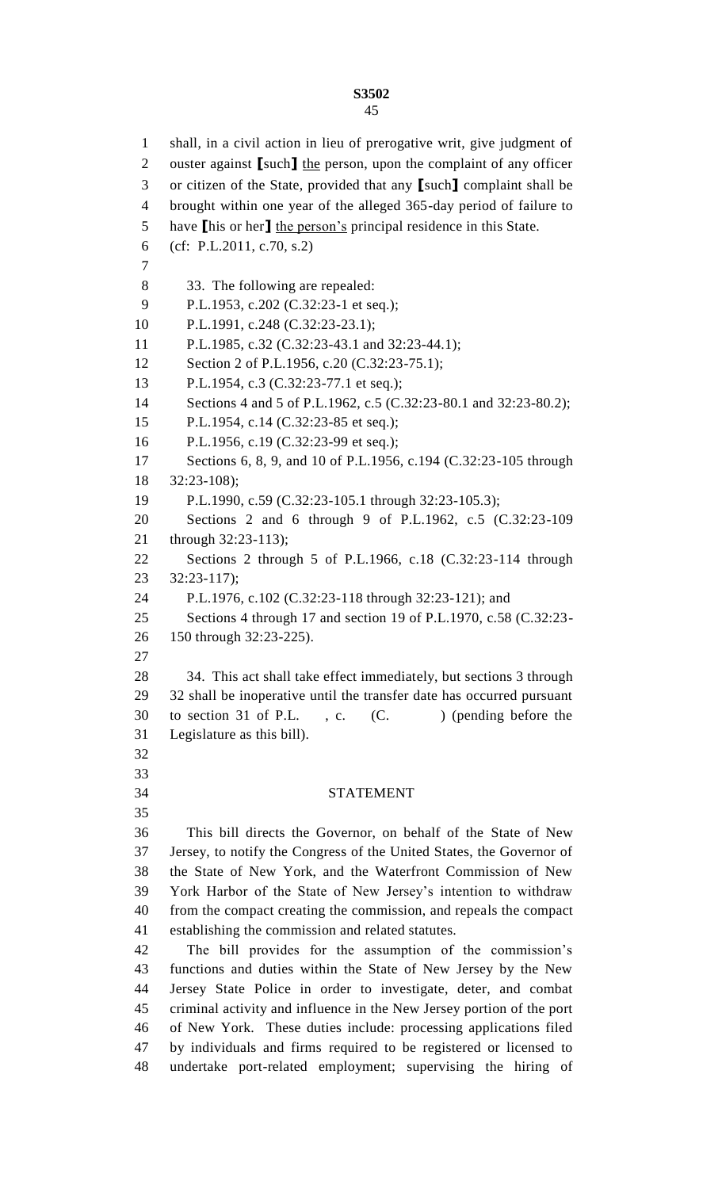shall, in a civil action in lieu of prerogative writ, give judgment of ouster against **[**such**]** the person, upon the complaint of any officer or citizen of the State, provided that any **[**such**]** complaint shall be brought within one year of the alleged 365-day period of failure to have **[**his or her**]** the person's principal residence in this State. (cf: P.L.2011, c.70, s.2) 33. The following are repealed: P.L.1953, c.202 (C.32:23-1 et seq.); P.L.1991, c.248 (C.32:23-23.1); P.L.1985, c.32 (C.32:23-43.1 and 32:23-44.1); 12 Section 2 of P.L.1956, c.20 (C.32:23-75.1); P.L.1954, c.3 (C.32:23-77.1 et seq.); Sections 4 and 5 of P.L.1962, c.5 (C.32:23-80.1 and 32:23-80.2); P.L.1954, c.14 (C.32:23-85 et seq.); P.L.1956, c.19 (C.32:23-99 et seq.); 17 Sections 6, 8, 9, and 10 of P.L.1956, c.194 (C.32:23-105 through 32:23-108); P.L.1990, c.59 (C.32:23-105.1 through 32:23-105.3); Sections 2 and 6 through 9 of P.L.1962, c.5 (C.32:23-109 through 32:23-113); Sections 2 through 5 of P.L.1966, c.18 (C.32:23-114 through 32:23-117); P.L.1976, c.102 (C.32:23-118 through 32:23-121); and Sections 4 through 17 and section 19 of P.L.1970, c.58 (C.32:23- 150 through 32:23-225). 34. This act shall take effect immediately, but sections 3 through 32 shall be inoperative until the transfer date has occurred pursuant 30 to section 31 of P.L., c. (C. ) (pending before the Legislature as this bill). STATEMENT This bill directs the Governor, on behalf of the State of New Jersey, to notify the Congress of the United States, the Governor of the State of New York, and the Waterfront Commission of New York Harbor of the State of New Jersey's intention to withdraw from the compact creating the commission, and repeals the compact establishing the commission and related statutes. The bill provides for the assumption of the commission's functions and duties within the State of New Jersey by the New Jersey State Police in order to investigate, deter, and combat criminal activity and influence in the New Jersey portion of the port of New York. These duties include: processing applications filed by individuals and firms required to be registered or licensed to undertake port-related employment; supervising the hiring of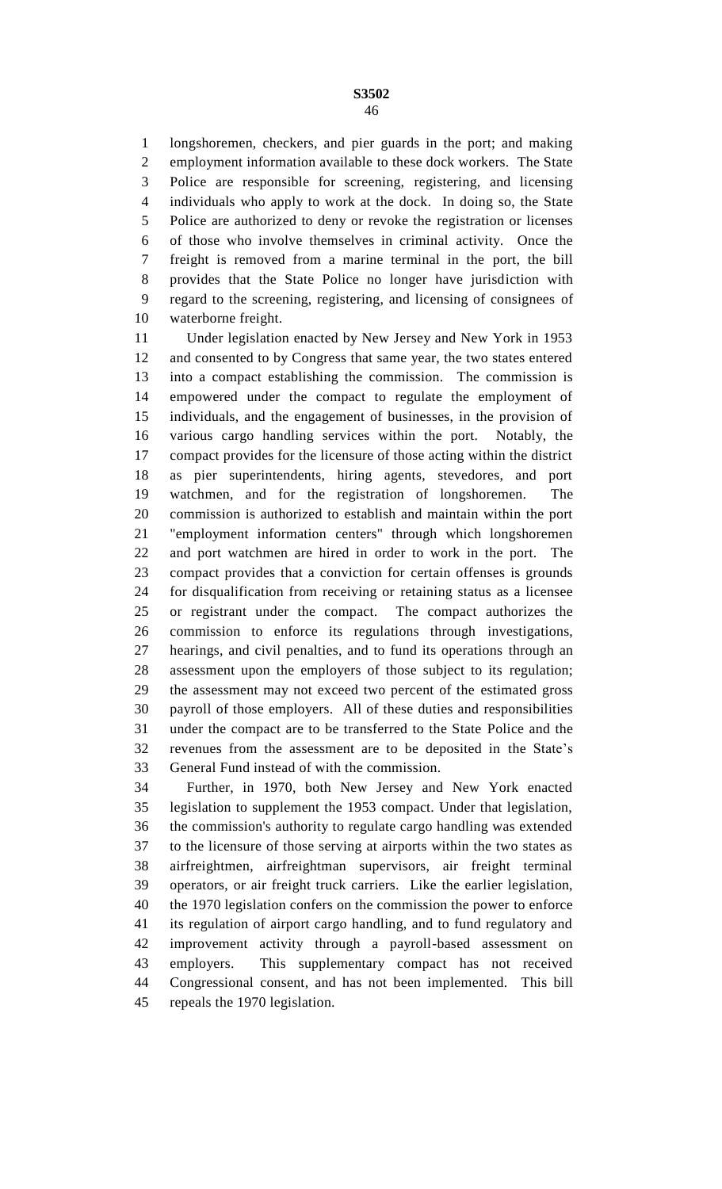longshoremen, checkers, and pier guards in the port; and making employment information available to these dock workers. The State Police are responsible for screening, registering, and licensing individuals who apply to work at the dock. In doing so, the State Police are authorized to deny or revoke the registration or licenses of those who involve themselves in criminal activity. Once the freight is removed from a marine terminal in the port, the bill provides that the State Police no longer have jurisdiction with regard to the screening, registering, and licensing of consignees of waterborne freight.

 Under legislation enacted by New Jersey and New York in 1953 and consented to by Congress that same year, the two states entered into a compact establishing the commission. The commission is empowered under the compact to regulate the employment of individuals, and the engagement of businesses, in the provision of various cargo handling services within the port. Notably, the compact provides for the licensure of those acting within the district as pier superintendents, hiring agents, stevedores, and port watchmen, and for the registration of longshoremen. The commission is authorized to establish and maintain within the port "employment information centers" through which longshoremen and port watchmen are hired in order to work in the port. The compact provides that a conviction for certain offenses is grounds for disqualification from receiving or retaining status as a licensee or registrant under the compact. The compact authorizes the commission to enforce its regulations through investigations, hearings, and civil penalties, and to fund its operations through an assessment upon the employers of those subject to its regulation; the assessment may not exceed two percent of the estimated gross payroll of those employers. All of these duties and responsibilities under the compact are to be transferred to the State Police and the revenues from the assessment are to be deposited in the State's General Fund instead of with the commission.

 Further, in 1970, both New Jersey and New York enacted legislation to supplement the 1953 compact. Under that legislation, the commission's authority to regulate cargo handling was extended to the licensure of those serving at airports within the two states as airfreightmen, airfreightman supervisors, air freight terminal operators, or air freight truck carriers. Like the earlier legislation, the 1970 legislation confers on the commission the power to enforce its regulation of airport cargo handling, and to fund regulatory and improvement activity through a payroll-based assessment on employers. This supplementary compact has not received Congressional consent, and has not been implemented. This bill repeals the 1970 legislation.